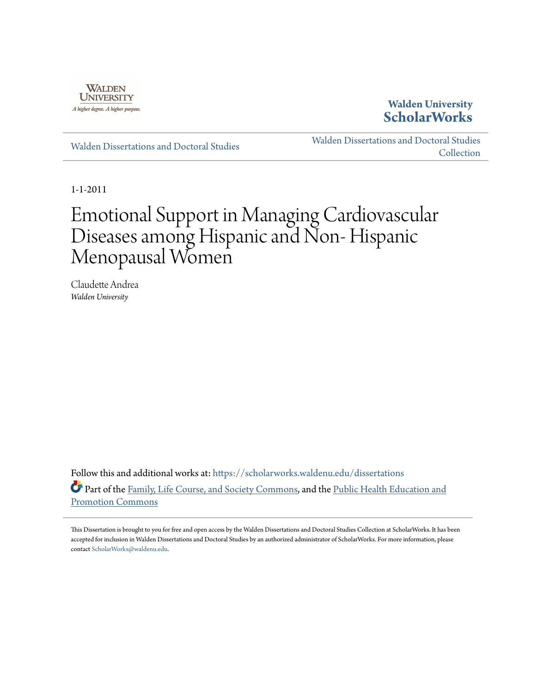

**Walden University [ScholarWorks](https://scholarworks.waldenu.edu?utm_source=scholarworks.waldenu.edu%2Fdissertations%2F1124&utm_medium=PDF&utm_campaign=PDFCoverPages)**

[Walden Dissertations and Doctoral Studies](https://scholarworks.waldenu.edu/dissertations?utm_source=scholarworks.waldenu.edu%2Fdissertations%2F1124&utm_medium=PDF&utm_campaign=PDFCoverPages)

[Walden Dissertations and Doctoral Studies](https://scholarworks.waldenu.edu/dissanddoc?utm_source=scholarworks.waldenu.edu%2Fdissertations%2F1124&utm_medium=PDF&utm_campaign=PDFCoverPages) **[Collection](https://scholarworks.waldenu.edu/dissanddoc?utm_source=scholarworks.waldenu.edu%2Fdissertations%2F1124&utm_medium=PDF&utm_campaign=PDFCoverPages)** 

1-1-2011

# Emotional Support in Managing Cardiovascular Diseases among Hispanic and Non- Hispanic Menopausal Women

Claudette Andrea *Walden University*

Follow this and additional works at: [https://scholarworks.waldenu.edu/dissertations](https://scholarworks.waldenu.edu/dissertations?utm_source=scholarworks.waldenu.edu%2Fdissertations%2F1124&utm_medium=PDF&utm_campaign=PDFCoverPages) Part of the [Family, Life Course, and Society Commons](http://network.bepress.com/hgg/discipline/419?utm_source=scholarworks.waldenu.edu%2Fdissertations%2F1124&utm_medium=PDF&utm_campaign=PDFCoverPages), and the [Public Health Education and](http://network.bepress.com/hgg/discipline/743?utm_source=scholarworks.waldenu.edu%2Fdissertations%2F1124&utm_medium=PDF&utm_campaign=PDFCoverPages) [Promotion Commons](http://network.bepress.com/hgg/discipline/743?utm_source=scholarworks.waldenu.edu%2Fdissertations%2F1124&utm_medium=PDF&utm_campaign=PDFCoverPages)

This Dissertation is brought to you for free and open access by the Walden Dissertations and Doctoral Studies Collection at ScholarWorks. It has been accepted for inclusion in Walden Dissertations and Doctoral Studies by an authorized administrator of ScholarWorks. For more information, please contact [ScholarWorks@waldenu.edu](mailto:ScholarWorks@waldenu.edu).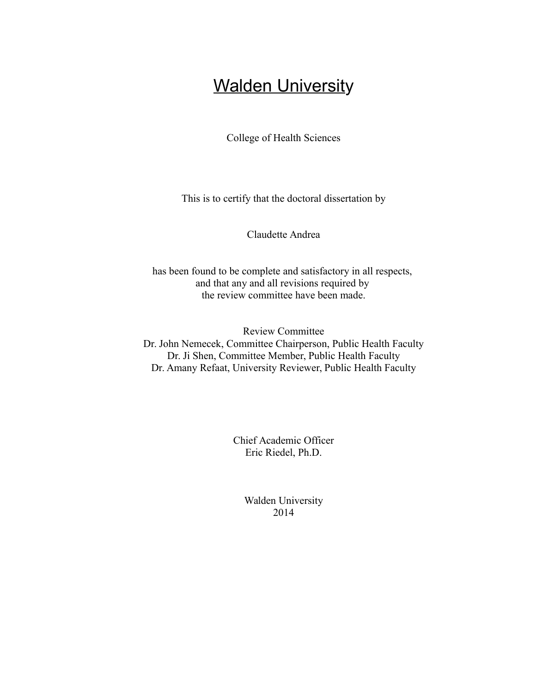## **Walden University**

College of Health Sciences

This is to certify that the doctoral dissertation by

Claudette Andrea

has been found to be complete and satisfactory in all respects, and that any and all revisions required by the review committee have been made.

Review Committee Dr. John Nemecek, Committee Chairperson, Public Health Faculty Dr. Ji Shen, Committee Member, Public Health Faculty Dr. Amany Refaat, University Reviewer, Public Health Faculty

> Chief Academic Officer Eric Riedel, Ph.D.

> > Walden University 2014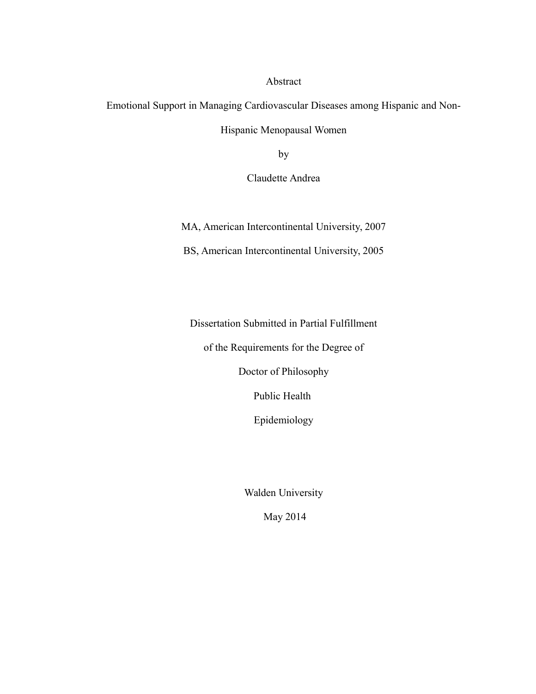Abstract

Emotional Support in Managing Cardiovascular Diseases among Hispanic and Non-Hispanic Menopausal Women

by

Claudette Andrea

MA, American Intercontinental University, 2007

BS, American Intercontinental University, 2005

Dissertation Submitted in Partial Fulfillment

of the Requirements for the Degree of

Doctor of Philosophy

Public Health

Epidemiology

Walden University

May 2014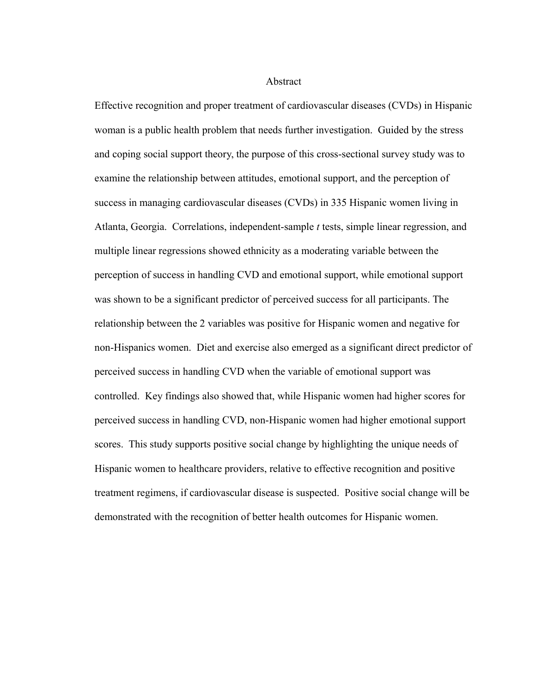Abstract

Effective recognition and proper treatment of cardiovascular diseases (CVDs) in Hispanic woman is a public health problem that needs further investigation. Guided by the stress and coping social support theory, the purpose of this cross-sectional survey study was to examine the relationship between attitudes, emotional support, and the perception of success in managing cardiovascular diseases (CVDs) in 335 Hispanic women living in Atlanta, Georgia. Correlations, independent-sample *t* tests, simple linear regression, and multiple linear regressions showed ethnicity as a moderating variable between the perception of success in handling CVD and emotional support, while emotional support was shown to be a significant predictor of perceived success for all participants. The relationship between the 2 variables was positive for Hispanic women and negative for non-Hispanics women. Diet and exercise also emerged as a significant direct predictor of perceived success in handling CVD when the variable of emotional support was controlled. Key findings also showed that, while Hispanic women had higher scores for perceived success in handling CVD, non-Hispanic women had higher emotional support scores. This study supports positive social change by highlighting the unique needs of Hispanic women to healthcare providers, relative to effective recognition and positive treatment regimens, if cardiovascular disease is suspected. Positive social change will be demonstrated with the recognition of better health outcomes for Hispanic women.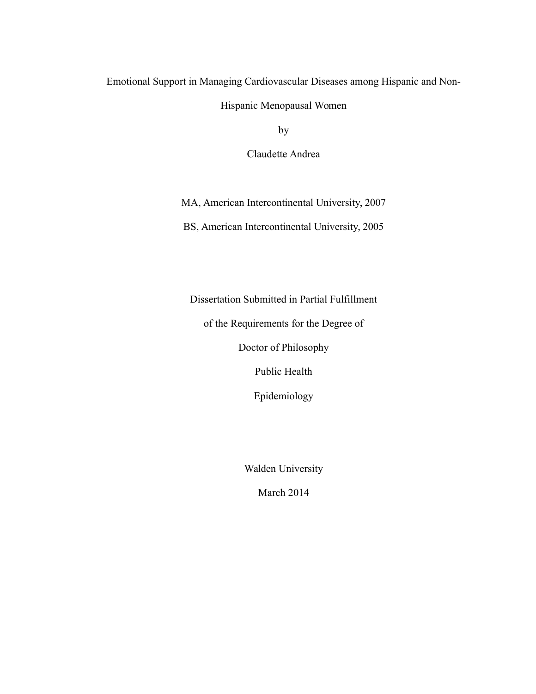#### Emotional Support in Managing Cardiovascular Diseases among Hispanic and Non-

Hispanic Menopausal Women

by

Claudette Andrea

MA, American Intercontinental University, 2007

BS, American Intercontinental University, 2005

Dissertation Submitted in Partial Fulfillment

of the Requirements for the Degree of

Doctor of Philosophy

Public Health

Epidemiology

Walden University

March 2014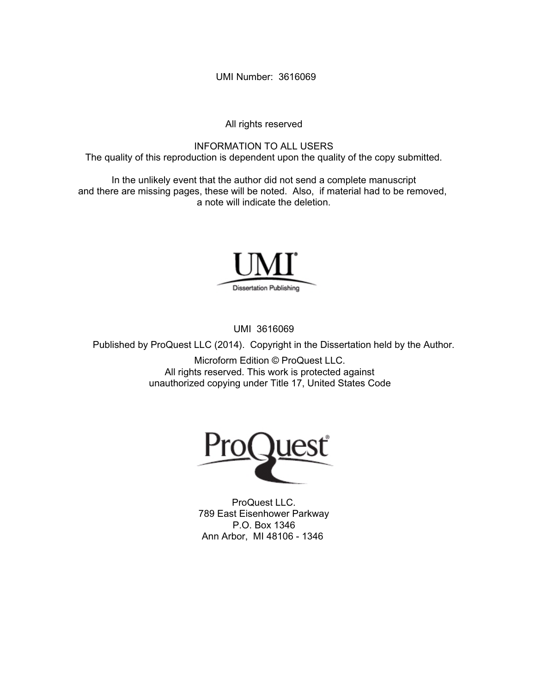UMI Number: 3616069

All rights reserved

INFORMATION TO ALL USERS The quality of this reproduction is dependent upon the quality of the copy submitted.

In the unlikely event that the author did not send a complete manuscript and there are missing pages, these will be noted. Also, if material had to be removed, a note will indicate the deletion.



UMI 3616069

Published by ProQuest LLC (2014). Copyright in the Dissertation held by the Author.

Microform Edition © ProQuest LLC. All rights reserved. This work is protected against unauthorized copying under Title 17, United States Code



ProQuest LLC. 789 East Eisenhower Parkway P.O. Box 1346 Ann Arbor, MI 48106 - 1346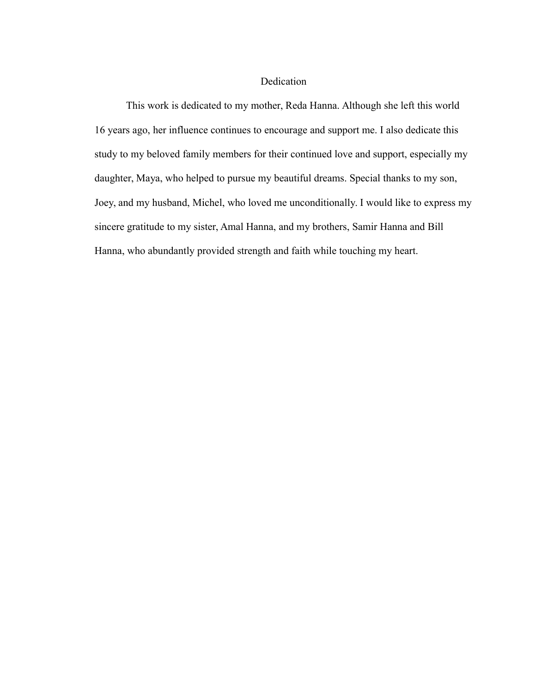#### Dedication

This work is dedicated to my mother, Reda Hanna. Although she left this world 16 years ago, her influence continues to encourage and support me. I also dedicate this study to my beloved family members for their continued love and support, especially my daughter, Maya, who helped to pursue my beautiful dreams. Special thanks to my son, Joey, and my husband, Michel, who loved me unconditionally. I would like to express my sincere gratitude to my sister, Amal Hanna, and my brothers, Samir Hanna and Bill Hanna, who abundantly provided strength and faith while touching my heart.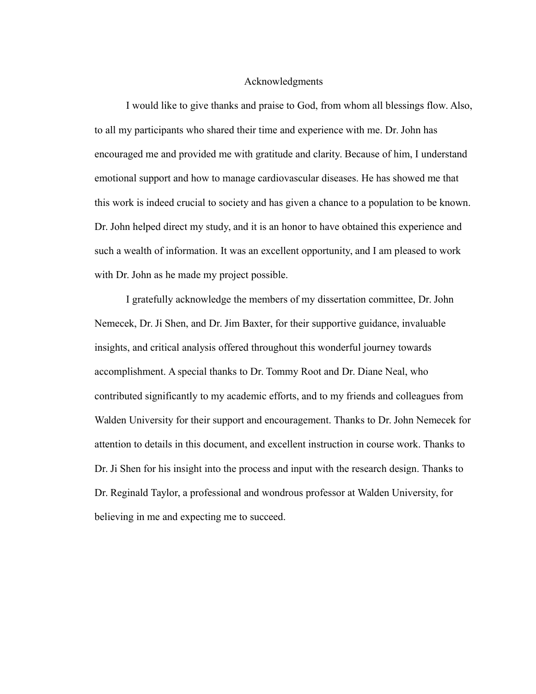#### Acknowledgments

I would like to give thanks and praise to God, from whom all blessings flow. Also, to all my participants who shared their time and experience with me. Dr. John has encouraged me and provided me with gratitude and clarity. Because of him, I understand emotional support and how to manage cardiovascular diseases. He has showed me that this work is indeed crucial to society and has given a chance to a population to be known. Dr. John helped direct my study, and it is an honor to have obtained this experience and such a wealth of information. It was an excellent opportunity, and I am pleased to work with Dr. John as he made my project possible.

I gratefully acknowledge the members of my dissertation committee, Dr. John Nemecek, Dr. Ji Shen, and Dr. Jim Baxter, for their supportive guidance, invaluable insights, and critical analysis offered throughout this wonderful journey towards accomplishment. A special thanks to Dr. Tommy Root and Dr. Diane Neal, who contributed significantly to my academic efforts, and to my friends and colleagues from Walden University for their support and encouragement. Thanks to Dr. John Nemecek for attention to details in this document, and excellent instruction in course work. Thanks to Dr. Ji Shen for his insight into the process and input with the research design. Thanks to Dr. Reginald Taylor, a professional and wondrous professor at Walden University, for believing in me and expecting me to succeed.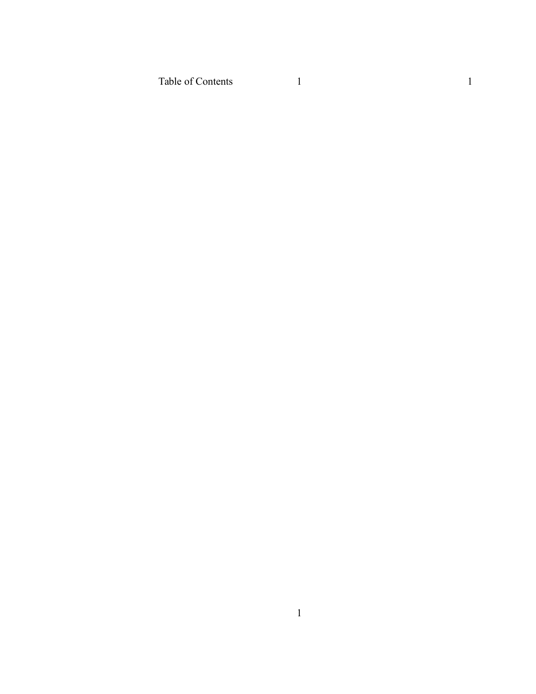Table of Contents

1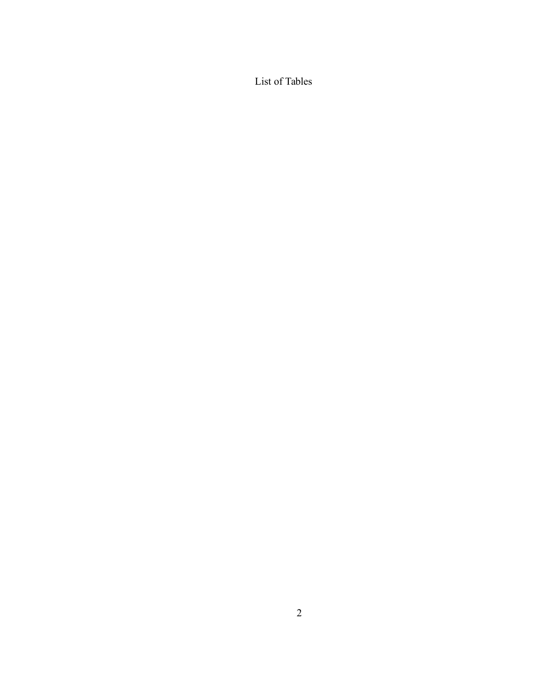List of Tables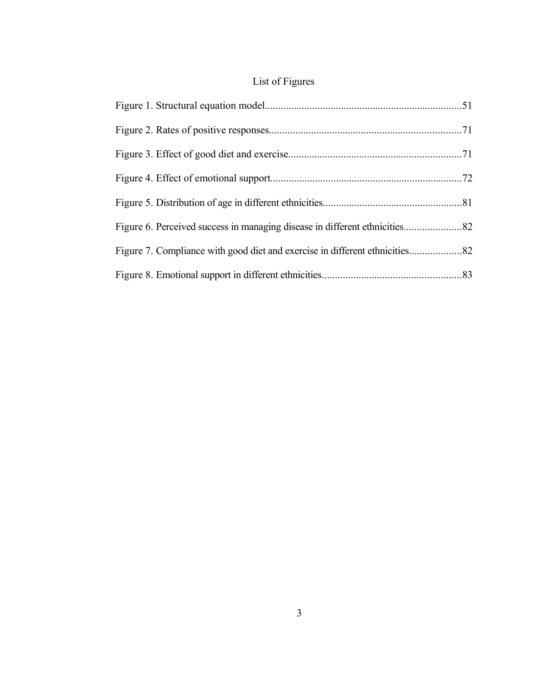### List of Figures

| Figure 7. Compliance with good diet and exercise in different ethnicities82 |  |
|-----------------------------------------------------------------------------|--|
|                                                                             |  |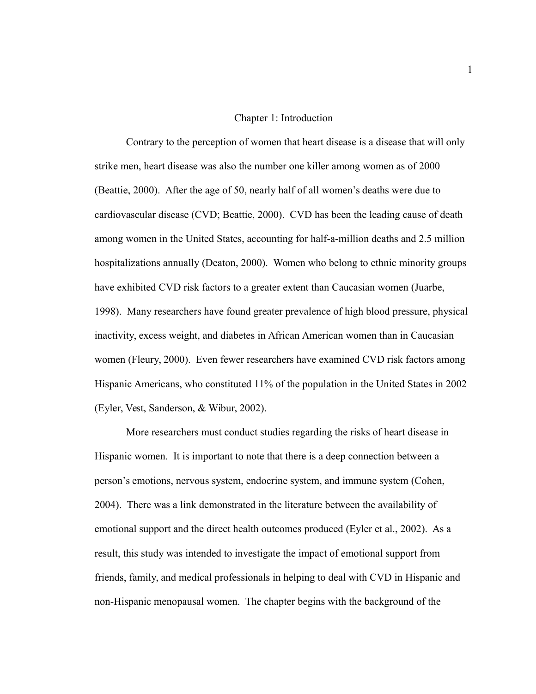#### Chapter 1: Introduction

Contrary to the perception of women that heart disease is a disease that will only strike men, heart disease was also the number one killer among women as of 2000 (Beattie, 2000). After the age of 50, nearly half of all women's deaths were due to cardiovascular disease (CVD; Beattie, 2000). CVD has been the leading cause of death among women in the United States, accounting for half-a-million deaths and 2.5 million hospitalizations annually (Deaton, 2000). Women who belong to ethnic minority groups have exhibited CVD risk factors to a greater extent than Caucasian women (Juarbe, 1998). Many researchers have found greater prevalence of high blood pressure, physical inactivity, excess weight, and diabetes in African American women than in Caucasian women (Fleury, 2000). Even fewer researchers have examined CVD risk factors among Hispanic Americans, who constituted 11% of the population in the United States in 2002 (Eyler, Vest, Sanderson, & Wibur, 2002).

More researchers must conduct studies regarding the risks of heart disease in Hispanic women. It is important to note that there is a deep connection between a person's emotions, nervous system, endocrine system, and immune system (Cohen, 2004). There was a link demonstrated in the literature between the availability of emotional support and the direct health outcomes produced (Eyler et al., 2002). As a result, this study was intended to investigate the impact of emotional support from friends, family, and medical professionals in helping to deal with CVD in Hispanic and non-Hispanic menopausal women. The chapter begins with the background of the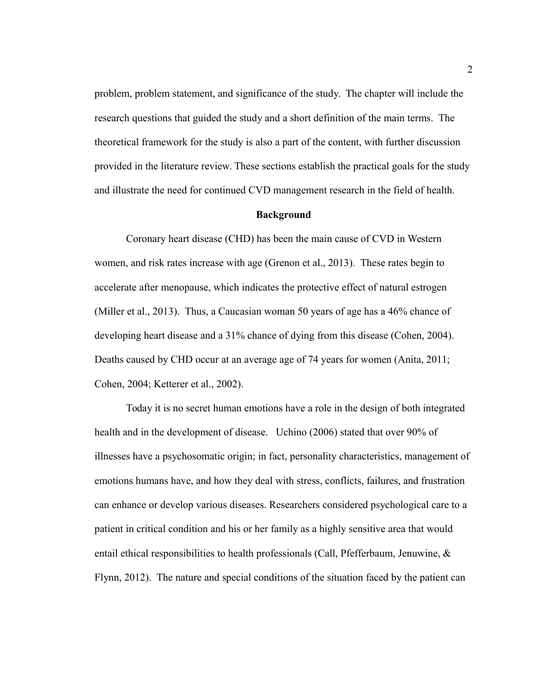problem, problem statement, and significance of the study. The chapter will include the research questions that guided the study and a short definition of the main terms. The theoretical framework for the study is also a part of the content, with further discussion provided in the literature review. These sections establish the practical goals for the study and illustrate the need for continued CVD management research in the field of health.

#### **Background**

Coronary heart disease (CHD) has been the main cause of CVD in Western women, and risk rates increase with age (Grenon et al., 2013). These rates begin to accelerate after menopause, which indicates the protective effect of natural estrogen (Miller et al., 2013). Thus, a Caucasian woman 50 years of age has a 46% chance of developing heart disease and a 31% chance of dying from this disease (Cohen, 2004). Deaths caused by CHD occur at an average age of 74 years for women (Anita, 2011; Cohen, 2004; Ketterer et al., 2002).

Today it is no secret human emotions have a role in the design of both integrated health and in the development of disease. Uchino (2006) stated that over 90% of illnesses have a psychosomatic origin; in fact, personality characteristics, management of emotions humans have, and how they deal with stress, conflicts, failures, and frustration can enhance or develop various diseases. Researchers considered psychological care to a patient in critical condition and his or her family as a highly sensitive area that would entail ethical responsibilities to health professionals (Call, Pfefferbaum, Jenuwine, & Flynn, 2012). The nature and special conditions of the situation faced by the patient can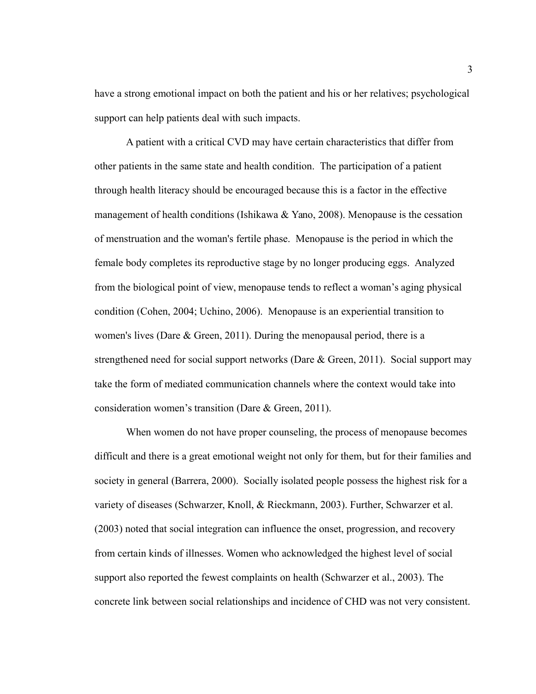have a strong emotional impact on both the patient and his or her relatives; psychological support can help patients deal with such impacts.

A patient with a critical CVD may have certain characteristics that differ from other patients in the same state and health condition. The participation of a patient through health literacy should be encouraged because this is a factor in the effective management of health conditions (Ishikawa & Yano, 2008). Menopause is the cessation of menstruation and the woman's fertile phase. Menopause is the period in which the female body completes its reproductive stage by no longer producing eggs. Analyzed from the biological point of view, menopause tends to reflect a woman's aging physical condition (Cohen, 2004; Uchino, 2006). Menopause is an experiential transition to women's lives (Dare & Green, 2011). During the menopausal period, there is a strengthened need for social support networks (Dare & Green, 2011). Social support may take the form of mediated communication channels where the context would take into consideration women's transition (Dare & Green, 2011).

When women do not have proper counseling, the process of menopause becomes difficult and there is a great emotional weight not only for them, but for their families and society in general (Barrera, 2000). Socially isolated people possess the highest risk for a variety of diseases (Schwarzer, Knoll, & Rieckmann, 2003). Further, Schwarzer et al. (2003) noted that social integration can influence the onset, progression, and recovery from certain kinds of illnesses. Women who acknowledged the highest level of social support also reported the fewest complaints on health (Schwarzer et al., 2003). The concrete link between social relationships and incidence of CHD was not very consistent.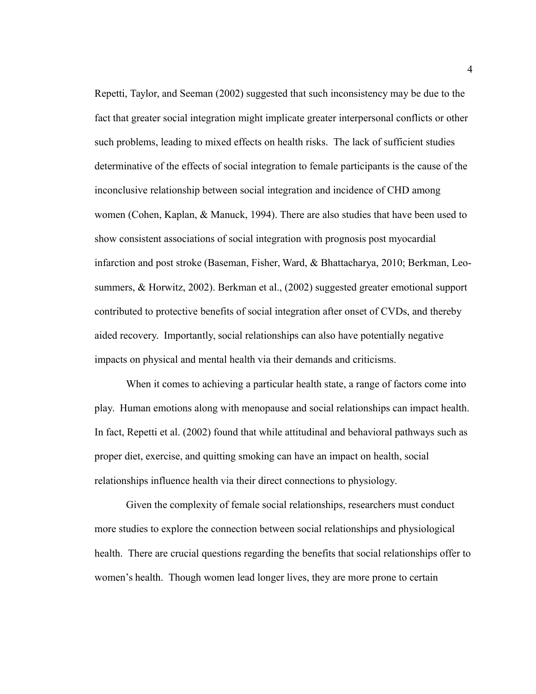Repetti, Taylor, and Seeman (2002) suggested that such inconsistency may be due to the fact that greater social integration might implicate greater interpersonal conflicts or other such problems, leading to mixed effects on health risks. The lack of sufficient studies determinative of the effects of social integration to female participants is the cause of the inconclusive relationship between social integration and incidence of CHD among women (Cohen, Kaplan, & Manuck, 1994). There are also studies that have been used to show consistent associations of social integration with prognosis post myocardial infarction and post stroke (Baseman, Fisher, Ward, & Bhattacharya, 2010; Berkman, Leosummers, & Horwitz, 2002). Berkman et al., (2002) suggested greater emotional support contributed to protective benefits of social integration after onset of CVDs, and thereby aided recovery. Importantly, social relationships can also have potentially negative impacts on physical and mental health via their demands and criticisms.

When it comes to achieving a particular health state, a range of factors come into play. Human emotions along with menopause and social relationships can impact health. In fact, Repetti et al. (2002) found that while attitudinal and behavioral pathways such as proper diet, exercise, and quitting smoking can have an impact on health, social relationships influence health via their direct connections to physiology.

Given the complexity of female social relationships, researchers must conduct more studies to explore the connection between social relationships and physiological health. There are crucial questions regarding the benefits that social relationships offer to women's health. Though women lead longer lives, they are more prone to certain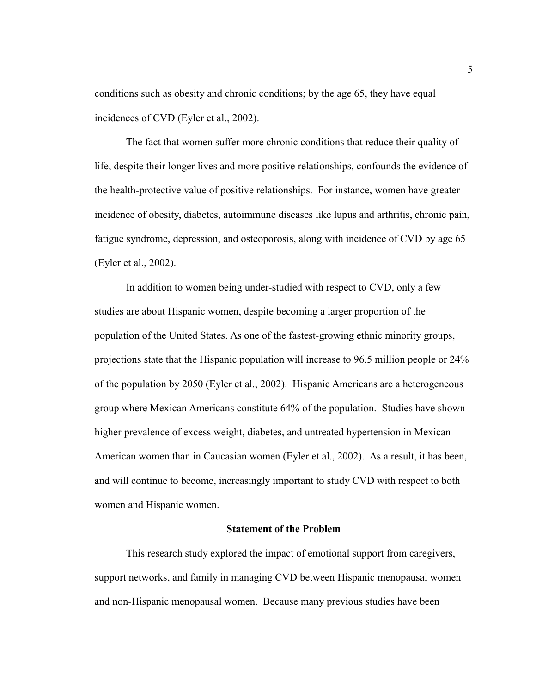conditions such as obesity and chronic conditions; by the age 65, they have equal incidences of CVD (Eyler et al., 2002).

The fact that women suffer more chronic conditions that reduce their quality of life, despite their longer lives and more positive relationships, confounds the evidence of the health-protective value of positive relationships. For instance, women have greater incidence of obesity, diabetes, autoimmune diseases like lupus and arthritis, chronic pain, fatigue syndrome, depression, and osteoporosis, along with incidence of CVD by age 65 (Eyler et al., 2002).

In addition to women being under-studied with respect to CVD, only a few studies are about Hispanic women, despite becoming a larger proportion of the population of the United States. As one of the fastest-growing ethnic minority groups, projections state that the Hispanic population will increase to 96.5 million people or 24% of the population by 2050 (Eyler et al., 2002). Hispanic Americans are a heterogeneous group where Mexican Americans constitute 64% of the population. Studies have shown higher prevalence of excess weight, diabetes, and untreated hypertension in Mexican American women than in Caucasian women (Eyler et al., 2002). As a result, it has been, and will continue to become, increasingly important to study CVD with respect to both women and Hispanic women.

#### **Statement of the Problem**

This research study explored the impact of emotional support from caregivers, support networks, and family in managing CVD between Hispanic menopausal women and non-Hispanic menopausal women. Because many previous studies have been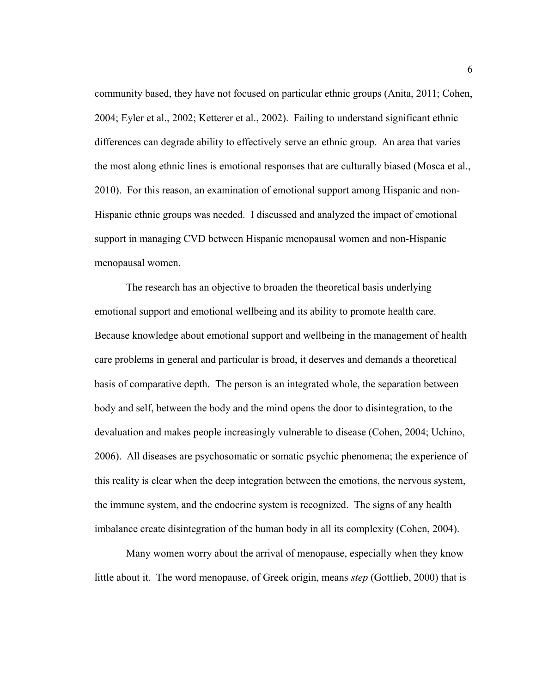community based, they have not focused on particular ethnic groups (Anita, 2011; Cohen, 2004; Eyler et al., 2002; Ketterer et al., 2002). Failing to understand significant ethnic differences can degrade ability to effectively serve an ethnic group. An area that varies the most along ethnic lines is emotional responses that are culturally biased (Mosca et al., 2010). For this reason, an examination of emotional support among Hispanic and non-Hispanic ethnic groups was needed. I discussed and analyzed the impact of emotional support in managing CVD between Hispanic menopausal women and non-Hispanic menopausal women.

The research has an objective to broaden the theoretical basis underlying emotional support and emotional wellbeing and its ability to promote health care. Because knowledge about emotional support and wellbeing in the management of health care problems in general and particular is broad, it deserves and demands a theoretical basis of comparative depth. The person is an integrated whole, the separation between body and self, between the body and the mind opens the door to disintegration, to the devaluation and makes people increasingly vulnerable to disease (Cohen, 2004; Uchino, 2006). All diseases are psychosomatic or somatic psychic phenomena; the experience of this reality is clear when the deep integration between the emotions, the nervous system, the immune system, and the endocrine system is recognized. The signs of any health imbalance create disintegration of the human body in all its complexity (Cohen, 2004).

Many women worry about the arrival of menopause, especially when they know little about it. The word menopause, of Greek origin, means *step* (Gottlieb, 2000) that is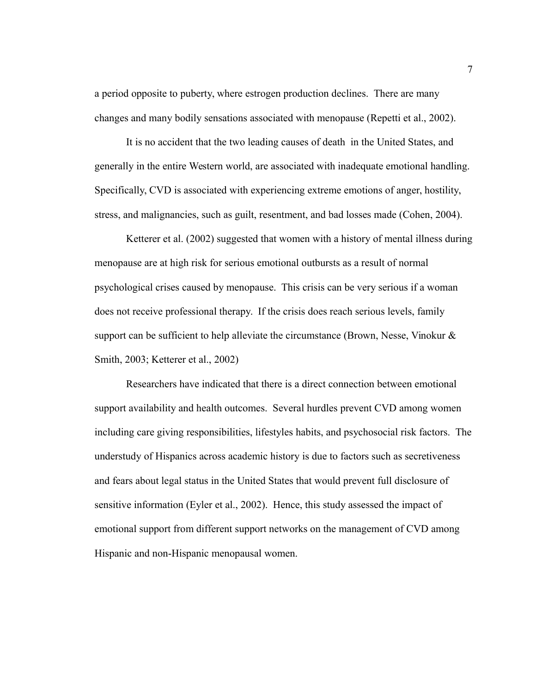a period opposite to puberty, where estrogen production declines. There are many changes and many bodily sensations associated with menopause (Repetti et al., 2002).

It is no accident that the two leading causes of death in the United States, and generally in the entire Western world, are associated with inadequate emotional handling. Specifically, CVD is associated with experiencing extreme emotions of anger, hostility, stress, and malignancies, such as guilt, resentment, and bad losses made (Cohen, 2004).

Ketterer et al. (2002) suggested that women with a history of mental illness during menopause are at high risk for serious emotional outbursts as a result of normal psychological crises caused by menopause. This crisis can be very serious if a woman does not receive professional therapy. If the crisis does reach serious levels, family support can be sufficient to help alleviate the circumstance (Brown, Nesse, Vinokur  $\&$ Smith, 2003; Ketterer et al., 2002)

Researchers have indicated that there is a direct connection between emotional support availability and health outcomes. Several hurdles prevent CVD among women including care giving responsibilities, lifestyles habits, and psychosocial risk factors. The understudy of Hispanics across academic history is due to factors such as secretiveness and fears about legal status in the United States that would prevent full disclosure of sensitive information (Eyler et al., 2002). Hence, this study assessed the impact of emotional support from different support networks on the management of CVD among Hispanic and non-Hispanic menopausal women.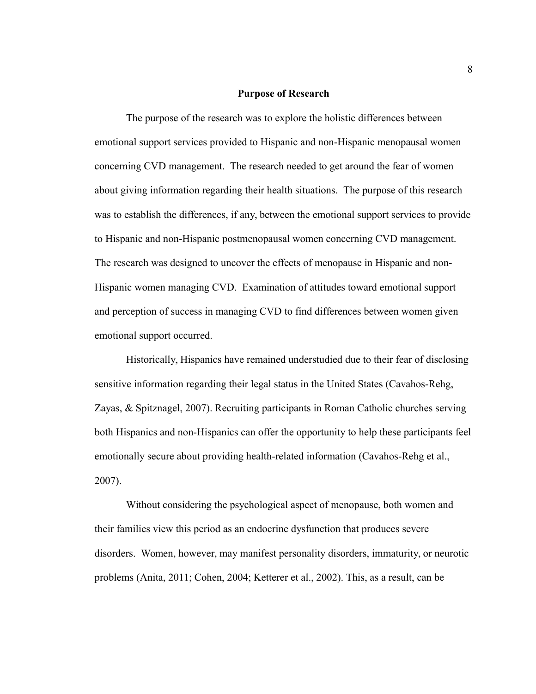#### **Purpose of Research**

The purpose of the research was to explore the holistic differences between emotional support services provided to Hispanic and non-Hispanic menopausal women concerning CVD management. The research needed to get around the fear of women about giving information regarding their health situations. The purpose of this research was to establish the differences, if any, between the emotional support services to provide to Hispanic and non-Hispanic postmenopausal women concerning CVD management. The research was designed to uncover the effects of menopause in Hispanic and non-Hispanic women managing CVD. Examination of attitudes toward emotional support and perception of success in managing CVD to find differences between women given emotional support occurred.

Historically, Hispanics have remained understudied due to their fear of disclosing sensitive information regarding their legal status in the United States (Cavahos-Rehg, Zayas, & Spitznagel, 2007). Recruiting participants in Roman Catholic churches serving both Hispanics and non-Hispanics can offer the opportunity to help these participants feel emotionally secure about providing health-related information (Cavahos-Rehg et al., 2007).

Without considering the psychological aspect of menopause, both women and their families view this period as an endocrine dysfunction that produces severe disorders. Women, however, may manifest personality disorders, immaturity, or neurotic problems (Anita, 2011; Cohen, 2004; Ketterer et al., 2002). This, as a result, can be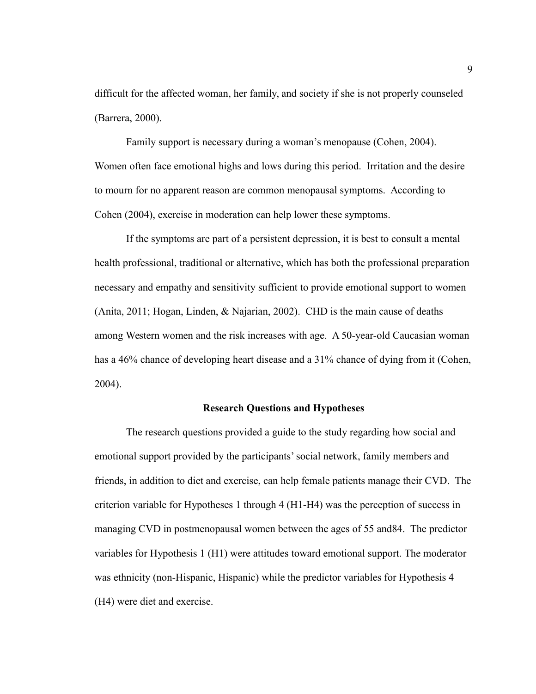difficult for the affected woman, her family, and society if she is not properly counseled (Barrera, 2000).

Family support is necessary during a woman's menopause (Cohen, 2004). Women often face emotional highs and lows during this period. Irritation and the desire to mourn for no apparent reason are common menopausal symptoms. According to Cohen (2004), exercise in moderation can help lower these symptoms.

If the symptoms are part of a persistent depression, it is best to consult a mental health professional, traditional or alternative, which has both the professional preparation necessary and empathy and sensitivity sufficient to provide emotional support to women (Anita, 2011; Hogan, Linden, & Najarian, 2002). CHD is the main cause of deaths among Western women and the risk increases with age. A 50-year-old Caucasian woman has a 46% chance of developing heart disease and a 31% chance of dying from it (Cohen, 2004).

#### **Research Questions and Hypotheses**

The research questions provided a guide to the study regarding how social and emotional support provided by the participants' social network, family members and friends, in addition to diet and exercise, can help female patients manage their CVD. The criterion variable for Hypotheses 1 through 4 (H1-H4) was the perception of success in managing CVD in postmenopausal women between the ages of 55 and84. The predictor variables for Hypothesis 1 (H1) were attitudes toward emotional support. The moderator was ethnicity (non-Hispanic, Hispanic) while the predictor variables for Hypothesis 4 (H4) were diet and exercise.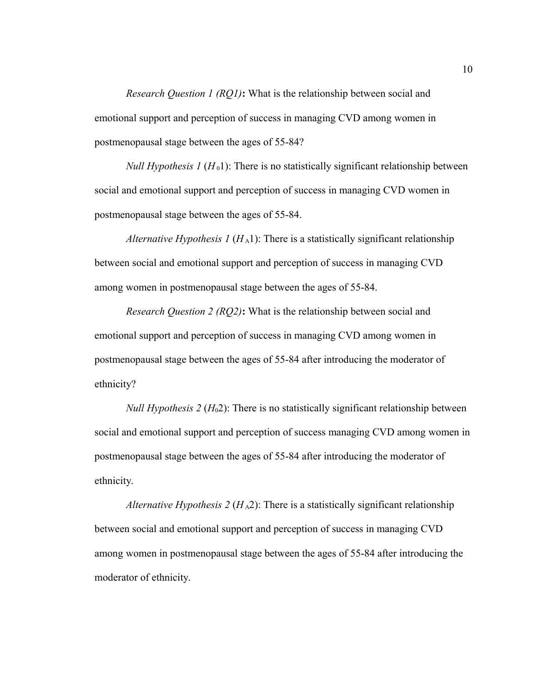*Research Question 1 (RQ1)***:** What is the relationship between social and emotional support and perception of success in managing CVD among women in postmenopausal stage between the ages of 55-84?

*Null Hypothesis 1 (H<sub>0</sub>1)*: There is no statistically significant relationship between social and emotional support and perception of success in managing CVD women in postmenopausal stage between the ages of 55-84.

*Alternative Hypothesis 1*  $(H_A1)$ *:* There is a statistically significant relationship between social and emotional support and perception of success in managing CVD among women in postmenopausal stage between the ages of 55-84.

*Research Question 2 (RQ2)***:** What is the relationship between social and emotional support and perception of success in managing CVD among women in postmenopausal stage between the ages of 55-84 after introducing the moderator of ethnicity?

*Null Hypothesis 2 (H<sub>0</sub>2)*: There is no statistically significant relationship between social and emotional support and perception of success managing CVD among women in postmenopausal stage between the ages of 55-84 after introducing the moderator of ethnicity.

*Alternative Hypothesis 2 (* $H_A$ *2)*: There is a statistically significant relationship between social and emotional support and perception of success in managing CVD among women in postmenopausal stage between the ages of 55-84 after introducing the moderator of ethnicity.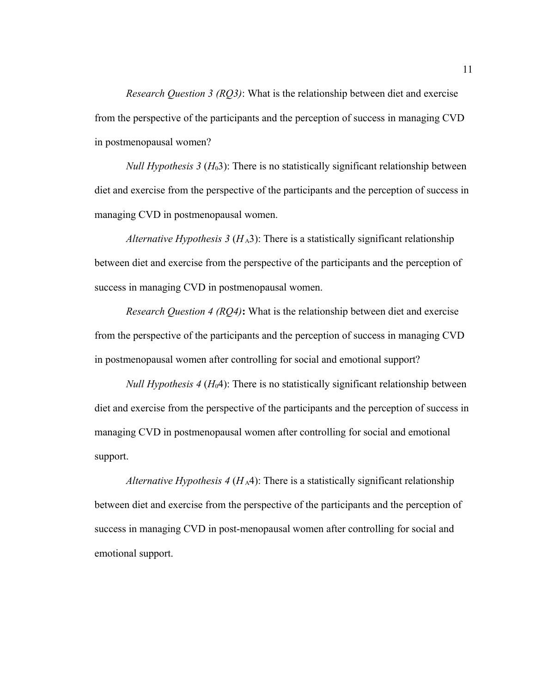*Research Question 3 (RQ3)*: What is the relationship between diet and exercise from the perspective of the participants and the perception of success in managing CVD in postmenopausal women?

*Null Hypothesis 3 (H<sub>0</sub>3)*: There is no statistically significant relationship between diet and exercise from the perspective of the participants and the perception of success in managing CVD in postmenopausal women.

*Alternative Hypothesis 3 (* $H_A$ *3):* There is a statistically significant relationship between diet and exercise from the perspective of the participants and the perception of success in managing CVD in postmenopausal women.

*Research Question 4 (RQ4)***:** What is the relationship between diet and exercise from the perspective of the participants and the perception of success in managing CVD in postmenopausal women after controlling for social and emotional support?

*Null Hypothesis 4 (H*<sub>0</sub>4): There is no statistically significant relationship between diet and exercise from the perspective of the participants and the perception of success in managing CVD in postmenopausal women after controlling for social and emotional support.

*Alternative Hypothesis 4 (H<sub>A</sub>4)*: There is a statistically significant relationship between diet and exercise from the perspective of the participants and the perception of success in managing CVD in post-menopausal women after controlling for social and emotional support.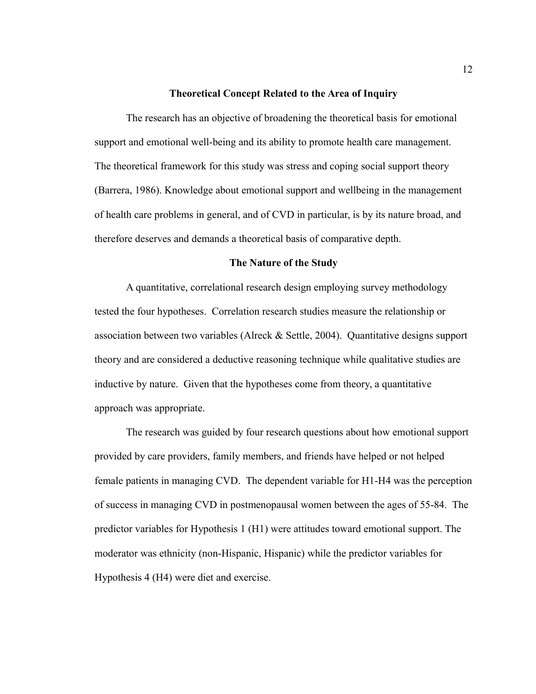#### **Theoretical Concept Related to the Area of Inquiry**

The research has an objective of broadening the theoretical basis for emotional support and emotional well-being and its ability to promote health care management. The theoretical framework for this study was stress and coping social support theory (Barrera, 1986). Knowledge about emotional support and wellbeing in the management of health care problems in general, and of CVD in particular, is by its nature broad, and therefore deserves and demands a theoretical basis of comparative depth.

#### **The Nature of the Study**

A quantitative, correlational research design employing survey methodology tested the four hypotheses. Correlation research studies measure the relationship or association between two variables (Alreck & Settle, 2004). Quantitative designs support theory and are considered a deductive reasoning technique while qualitative studies are inductive by nature. Given that the hypotheses come from theory, a quantitative approach was appropriate.

The research was guided by four research questions about how emotional support provided by care providers, family members, and friends have helped or not helped female patients in managing CVD. The dependent variable for H1-H4 was the perception of success in managing CVD in postmenopausal women between the ages of 55-84. The predictor variables for Hypothesis 1 (H1) were attitudes toward emotional support. The moderator was ethnicity (non-Hispanic, Hispanic) while the predictor variables for Hypothesis 4 (H4) were diet and exercise.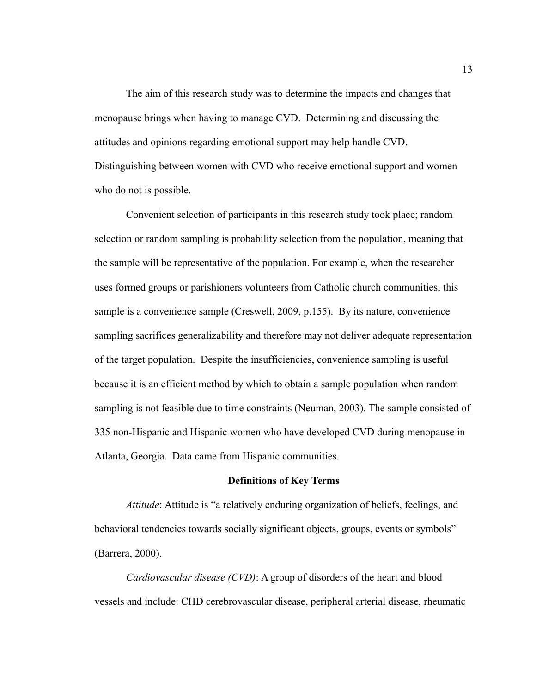The aim of this research study was to determine the impacts and changes that menopause brings when having to manage CVD. Determining and discussing the attitudes and opinions regarding emotional support may help handle CVD. Distinguishing between women with CVD who receive emotional support and women who do not is possible.

Convenient selection of participants in this research study took place; random selection or random sampling is probability selection from the population, meaning that the sample will be representative of the population. For example, when the researcher uses formed groups or parishioners volunteers from Catholic church communities, this sample is a convenience sample (Creswell, 2009, p.155). By its nature, convenience sampling sacrifices generalizability and therefore may not deliver adequate representation of the target population. Despite the insufficiencies, convenience sampling is useful because it is an efficient method by which to obtain a sample population when random sampling is not feasible due to time constraints (Neuman, 2003). The sample consisted of 335 non-Hispanic and Hispanic women who have developed CVD during menopause in Atlanta, Georgia. Data came from Hispanic communities.

#### **Definitions of Key Terms**

*Attitude*: Attitude is "a relatively enduring organization of beliefs, feelings, and behavioral tendencies towards socially significant objects, groups, events or symbols" (Barrera, 2000).

*Cardiovascular disease (CVD)*: A group of disorders of the heart and blood vessels and include: CHD cerebrovascular disease, peripheral arterial disease, rheumatic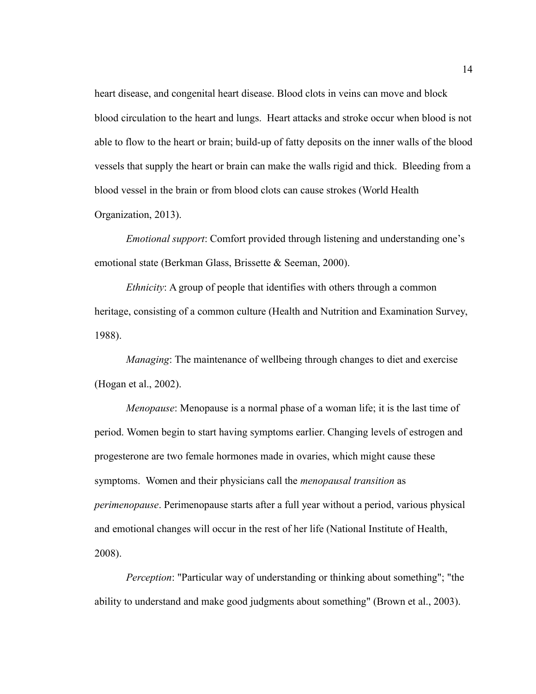heart disease, and congenital heart disease. Blood clots in veins can move and block blood circulation to the heart and lungs. Heart attacks and stroke occur when blood is not able to flow to the heart or brain; build-up of fatty deposits on the inner walls of the blood vessels that supply the heart or brain can make the walls rigid and thick. Bleeding from a blood vessel in the brain or from blood clots can cause strokes (World Health Organization, 2013).

*Emotional support*: Comfort provided through listening and understanding one's emotional state (Berkman Glass, Brissette & Seeman, 2000).

*Ethnicity*: A group of people that identifies with others through a common heritage, consisting of a common culture (Health and Nutrition and Examination Survey, 1988).

*Managing*: The maintenance of wellbeing through changes to diet and exercise (Hogan et al., 2002).

*Menopause*: Menopause is a normal phase of a woman life; it is the last time of period. Women begin to start having symptoms earlier. Changing levels of estrogen and progesterone are two female hormones made in ovaries, which might cause these symptoms. Women and their physicians call the *menopausal transition* as *perimenopause*. Perimenopause starts after a full year without a period, various physical and emotional changes will occur in the rest of her life (National Institute of Health, 2008).

*Perception*: "Particular way of understanding or thinking about something"; "the ability to understand and make good judgments about something" (Brown et al., 2003).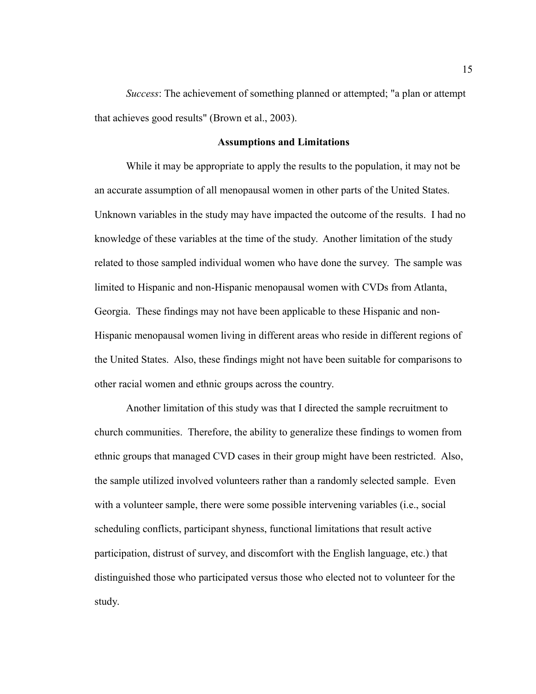*Success*: The achievement of something planned or attempted; "a plan or attempt that achieves good results" (Brown et al., 2003).

#### **Assumptions and Limitations**

While it may be appropriate to apply the results to the population, it may not be an accurate assumption of all menopausal women in other parts of the United States. Unknown variables in the study may have impacted the outcome of the results. I had no knowledge of these variables at the time of the study. Another limitation of the study related to those sampled individual women who have done the survey. The sample was limited to Hispanic and non-Hispanic menopausal women with CVDs from Atlanta, Georgia. These findings may not have been applicable to these Hispanic and non-Hispanic menopausal women living in different areas who reside in different regions of the United States. Also, these findings might not have been suitable for comparisons to other racial women and ethnic groups across the country.

Another limitation of this study was that I directed the sample recruitment to church communities. Therefore, the ability to generalize these findings to women from ethnic groups that managed CVD cases in their group might have been restricted. Also, the sample utilized involved volunteers rather than a randomly selected sample. Even with a volunteer sample, there were some possible intervening variables (i.e., social scheduling conflicts, participant shyness, functional limitations that result active participation, distrust of survey, and discomfort with the English language, etc.) that distinguished those who participated versus those who elected not to volunteer for the study.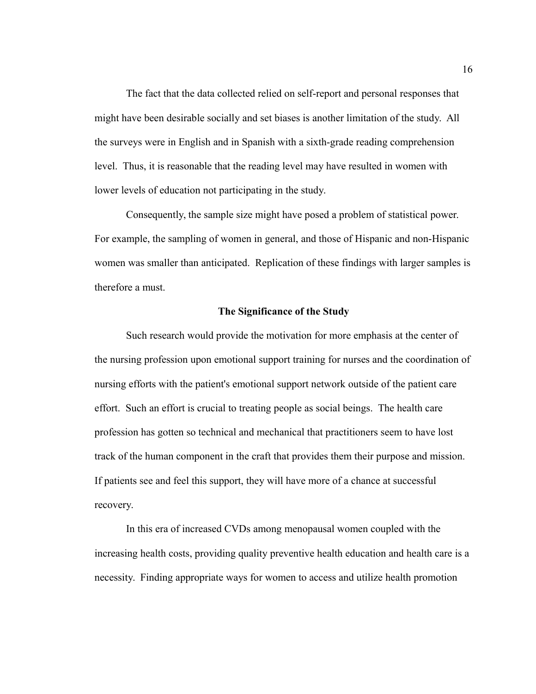The fact that the data collected relied on self-report and personal responses that might have been desirable socially and set biases is another limitation of the study. All the surveys were in English and in Spanish with a sixth-grade reading comprehension level. Thus, it is reasonable that the reading level may have resulted in women with lower levels of education not participating in the study.

Consequently, the sample size might have posed a problem of statistical power. For example, the sampling of women in general, and those of Hispanic and non-Hispanic women was smaller than anticipated. Replication of these findings with larger samples is therefore a must.

#### **The Significance of the Study**

Such research would provide the motivation for more emphasis at the center of the nursing profession upon emotional support training for nurses and the coordination of nursing efforts with the patient's emotional support network outside of the patient care effort. Such an effort is crucial to treating people as social beings. The health care profession has gotten so technical and mechanical that practitioners seem to have lost track of the human component in the craft that provides them their purpose and mission. If patients see and feel this support, they will have more of a chance at successful recovery.

In this era of increased CVDs among menopausal women coupled with the increasing health costs, providing quality preventive health education and health care is a necessity. Finding appropriate ways for women to access and utilize health promotion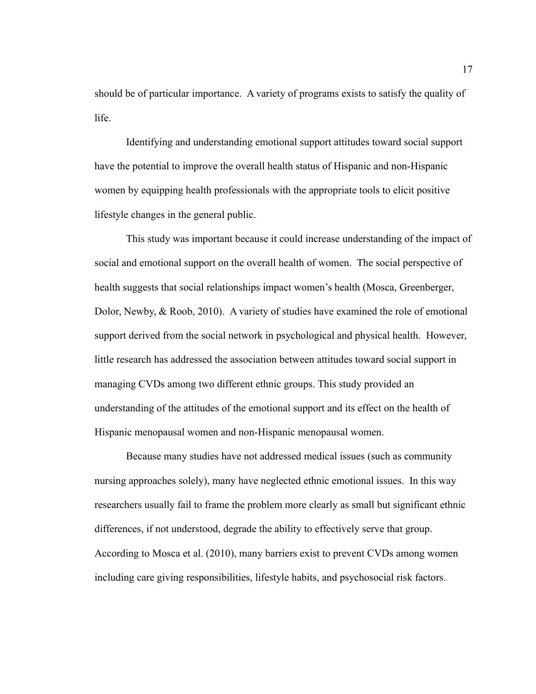should be of particular importance. A variety of programs exists to satisfy the quality of life.

Identifying and understanding emotional support attitudes toward social support have the potential to improve the overall health status of Hispanic and non-Hispanic women by equipping health professionals with the appropriate tools to elicit positive lifestyle changes in the general public.

This study was important because it could increase understanding of the impact of social and emotional support on the overall health of women. The social perspective of health suggests that social relationships impact women's health (Mosca, Greenberger, Dolor, Newby, & Roob, 2010). A variety of studies have examined the role of emotional support derived from the social network in psychological and physical health. However, little research has addressed the association between attitudes toward social support in managing CVDs among two different ethnic groups. This study provided an understanding of the attitudes of the emotional support and its effect on the health of Hispanic menopausal women and non-Hispanic menopausal women.

Because many studies have not addressed medical issues (such as community nursing approaches solely), many have neglected ethnic emotional issues. In this way researchers usually fail to frame the problem more clearly as small but significant ethnic differences, if not understood, degrade the ability to effectively serve that group. According to Mosca et al. (2010), many barriers exist to prevent CVDs among women including care giving responsibilities, lifestyle habits, and psychosocial risk factors.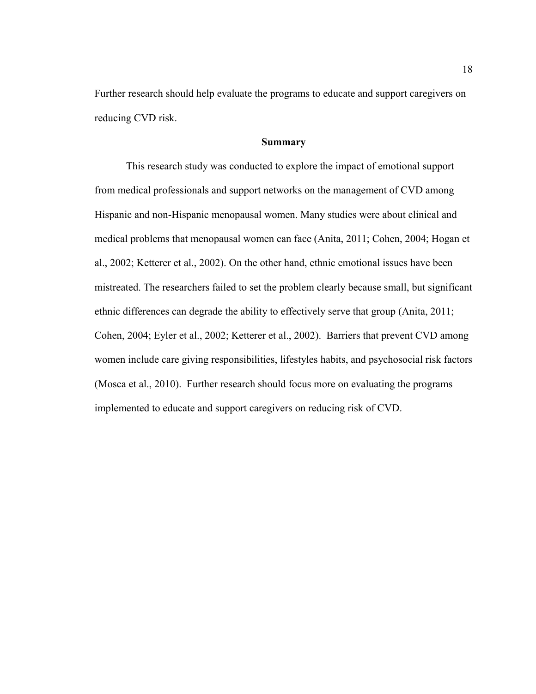Further research should help evaluate the programs to educate and support caregivers on reducing CVD risk.

#### **Summary**

This research study was conducted to explore the impact of emotional support from medical professionals and support networks on the management of CVD among Hispanic and non-Hispanic menopausal women. Many studies were about clinical and medical problems that menopausal women can face (Anita, 2011; Cohen, 2004; Hogan et al., 2002; Ketterer et al., 2002). On the other hand, ethnic emotional issues have been mistreated. The researchers failed to set the problem clearly because small, but significant ethnic differences can degrade the ability to effectively serve that group (Anita, 2011; Cohen, 2004; Eyler et al., 2002; Ketterer et al., 2002). Barriers that prevent CVD among women include care giving responsibilities, lifestyles habits, and psychosocial risk factors (Mosca et al., 2010). Further research should focus more on evaluating the programs implemented to educate and support caregivers on reducing risk of CVD.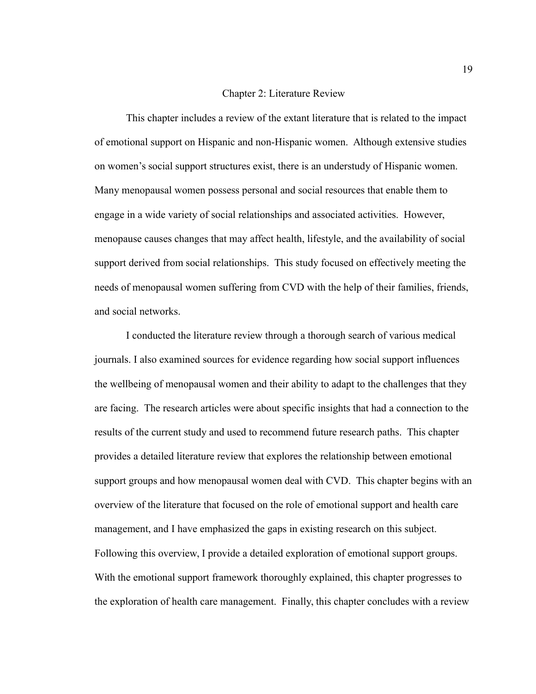#### Chapter 2: Literature Review

This chapter includes a review of the extant literature that is related to the impact of emotional support on Hispanic and non-Hispanic women. Although extensive studies on women's social support structures exist, there is an understudy of Hispanic women. Many menopausal women possess personal and social resources that enable them to engage in a wide variety of social relationships and associated activities. However, menopause causes changes that may affect health, lifestyle, and the availability of social support derived from social relationships. This study focused on effectively meeting the needs of menopausal women suffering from CVD with the help of their families, friends, and social networks.

I conducted the literature review through a thorough search of various medical journals. I also examined sources for evidence regarding how social support influences the wellbeing of menopausal women and their ability to adapt to the challenges that they are facing. The research articles were about specific insights that had a connection to the results of the current study and used to recommend future research paths. This chapter provides a detailed literature review that explores the relationship between emotional support groups and how menopausal women deal with CVD. This chapter begins with an overview of the literature that focused on the role of emotional support and health care management, and I have emphasized the gaps in existing research on this subject. Following this overview, I provide a detailed exploration of emotional support groups. With the emotional support framework thoroughly explained, this chapter progresses to the exploration of health care management. Finally, this chapter concludes with a review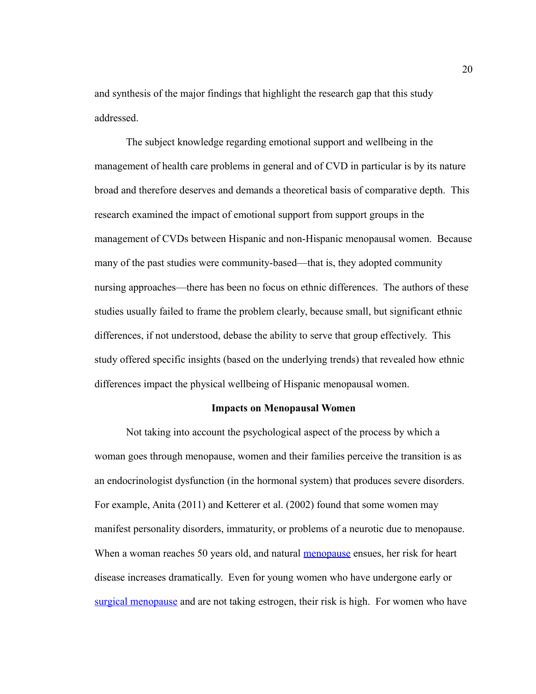and synthesis of the major findings that highlight the research gap that this study addressed.

The subject knowledge regarding emotional support and wellbeing in the management of health care problems in general and of CVD in particular is by its nature broad and therefore deserves and demands a theoretical basis of comparative depth. This research examined the impact of emotional support from support groups in the management of CVDs between Hispanic and non-Hispanic menopausal women. Because many of the past studies were community-based—that is, they adopted community nursing approaches—there has been no focus on ethnic differences. The authors of these studies usually failed to frame the problem clearly, because small, but significant ethnic differences, if not understood, debase the ability to serve that group effectively. This study offered specific insights (based on the underlying trends) that revealed how ethnic differences impact the physical wellbeing of Hispanic menopausal women.

#### **Impacts on Menopausal Women**

Not taking into account the psychological aspect of the process by which a woman goes through menopause, women and their families perceive the transition is as an endocrinologist dysfunction (in the hormonal system) that produces severe disorders. For example, Anita (2011) and Ketterer et al. (2002) found that some women may manifest personality disorders, immaturity, or problems of a neurotic due to menopause. When a woman reaches 50 years old, and natural [menopause](http://www.webmd.com/content/article/51/40624.htm) ensues, her risk for heart disease increases dramatically. Even for young women who have undergone early or [surgical menopause](http://www.webmd.com/content/article/51/40618.htm) and are not taking estrogen, their risk is high. For women who have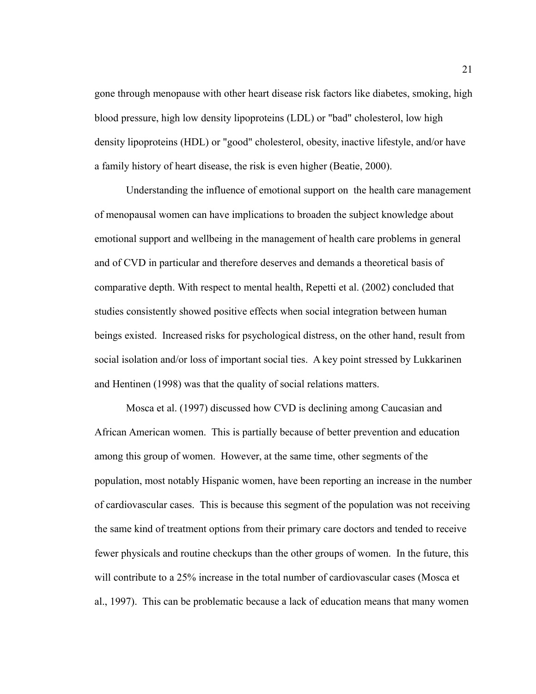gone through menopause with other heart disease risk factors like diabetes, smoking, high blood pressure, high low density lipoproteins (LDL) or "bad" cholesterol, low high density lipoproteins (HDL) or "good" cholesterol, obesity, inactive lifestyle, and/or have a family history of heart disease, the risk is even higher (Beatie, 2000).

Understanding the influence of emotional support on the health care management of menopausal women can have implications to broaden the subject knowledge about emotional support and wellbeing in the management of health care problems in general and of CVD in particular and therefore deserves and demands a theoretical basis of comparative depth. With respect to mental health, Repetti et al. (2002) concluded that studies consistently showed positive effects when social integration between human beings existed. Increased risks for psychological distress, on the other hand, result from social isolation and/or loss of important social ties. A key point stressed by Lukkarinen and Hentinen (1998) was that the quality of social relations matters.

Mosca et al. (1997) discussed how CVD is declining among Caucasian and African American women. This is partially because of better prevention and education among this group of women. However, at the same time, other segments of the population, most notably Hispanic women, have been reporting an increase in the number of cardiovascular cases. This is because this segment of the population was not receiving the same kind of treatment options from their primary care doctors and tended to receive fewer physicals and routine checkups than the other groups of women. In the future, this will contribute to a 25% increase in the total number of cardiovascular cases (Mosca et al., 1997). This can be problematic because a lack of education means that many women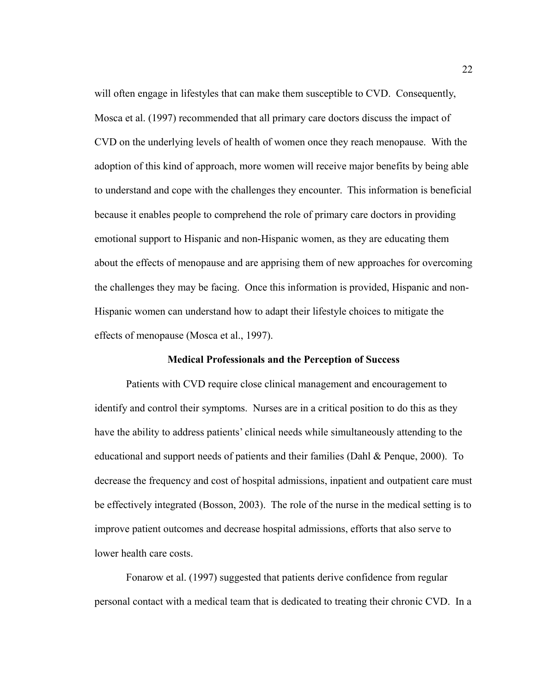will often engage in lifestyles that can make them susceptible to CVD. Consequently, Mosca et al. (1997) recommended that all primary care doctors discuss the impact of CVD on the underlying levels of health of women once they reach menopause. With the adoption of this kind of approach, more women will receive major benefits by being able to understand and cope with the challenges they encounter. This information is beneficial because it enables people to comprehend the role of primary care doctors in providing emotional support to Hispanic and non-Hispanic women, as they are educating them about the effects of menopause and are apprising them of new approaches for overcoming the challenges they may be facing. Once this information is provided, Hispanic and non-Hispanic women can understand how to adapt their lifestyle choices to mitigate the effects of menopause (Mosca et al., 1997).

#### **Medical Professionals and the Perception of Success**

Patients with CVD require close clinical management and encouragement to identify and control their symptoms. Nurses are in a critical position to do this as they have the ability to address patients' clinical needs while simultaneously attending to the educational and support needs of patients and their families (Dahl & Penque, 2000). To decrease the frequency and cost of hospital admissions, inpatient and outpatient care must be effectively integrated (Bosson, 2003). The role of the nurse in the medical setting is to improve patient outcomes and decrease hospital admissions, efforts that also serve to lower health care costs.

Fonarow et al. (1997) suggested that patients derive confidence from regular personal contact with a medical team that is dedicated to treating their chronic CVD. In a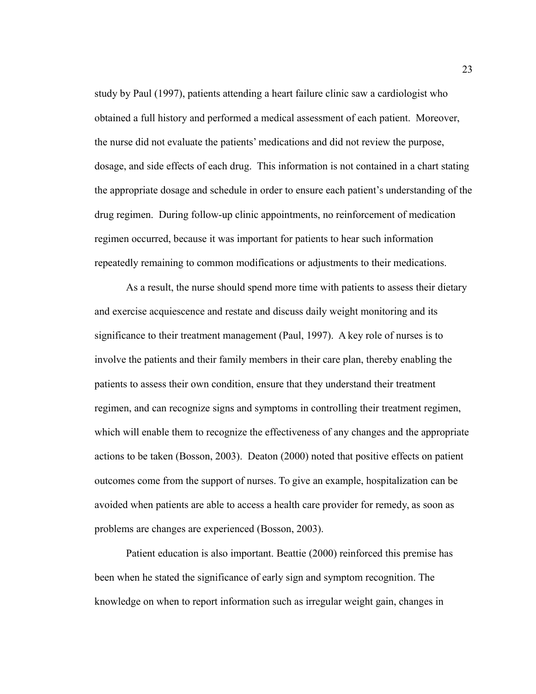study by Paul (1997), patients attending a heart failure clinic saw a cardiologist who obtained a full history and performed a medical assessment of each patient. Moreover, the nurse did not evaluate the patients' medications and did not review the purpose, dosage, and side effects of each drug. This information is not contained in a chart stating the appropriate dosage and schedule in order to ensure each patient's understanding of the drug regimen. During follow-up clinic appointments, no reinforcement of medication regimen occurred, because it was important for patients to hear such information repeatedly remaining to common modifications or adjustments to their medications.

As a result, the nurse should spend more time with patients to assess their dietary and exercise acquiescence and restate and discuss daily weight monitoring and its significance to their treatment management (Paul, 1997). A key role of nurses is to involve the patients and their family members in their care plan, thereby enabling the patients to assess their own condition, ensure that they understand their treatment regimen, and can recognize signs and symptoms in controlling their treatment regimen, which will enable them to recognize the effectiveness of any changes and the appropriate actions to be taken (Bosson, 2003). Deaton (2000) noted that positive effects on patient outcomes come from the support of nurses. To give an example, hospitalization can be avoided when patients are able to access a health care provider for remedy, as soon as problems are changes are experienced (Bosson, 2003).

Patient education is also important. Beattie (2000) reinforced this premise has been when he stated the significance of early sign and symptom recognition. The knowledge on when to report information such as irregular weight gain, changes in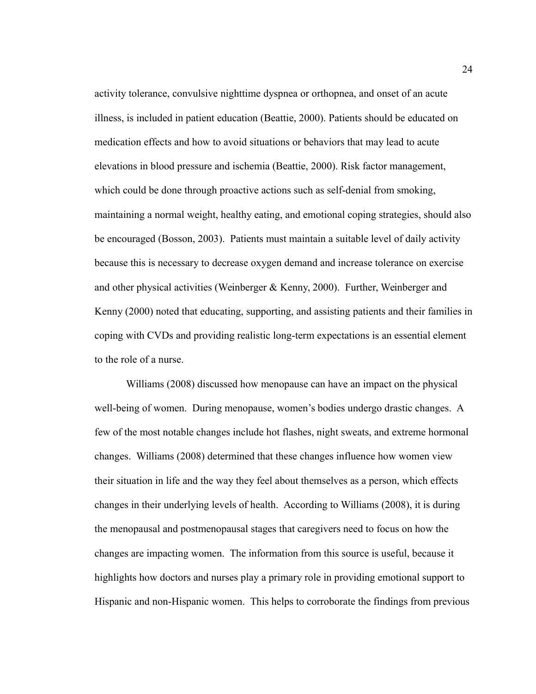activity tolerance, convulsive nighttime dyspnea or orthopnea, and onset of an acute illness, is included in patient education (Beattie, 2000). Patients should be educated on medication effects and how to avoid situations or behaviors that may lead to acute elevations in blood pressure and ischemia (Beattie, 2000). Risk factor management, which could be done through proactive actions such as self-denial from smoking, maintaining a normal weight, healthy eating, and emotional coping strategies, should also be encouraged (Bosson, 2003). Patients must maintain a suitable level of daily activity because this is necessary to decrease oxygen demand and increase tolerance on exercise and other physical activities (Weinberger & Kenny, 2000). Further, Weinberger and Kenny (2000) noted that educating, supporting, and assisting patients and their families in coping with CVDs and providing realistic long-term expectations is an essential element to the role of a nurse.

Williams (2008) discussed how menopause can have an impact on the physical well-being of women. During menopause, women's bodies undergo drastic changes. A few of the most notable changes include hot flashes, night sweats, and extreme hormonal changes. Williams (2008) determined that these changes influence how women view their situation in life and the way they feel about themselves as a person, which effects changes in their underlying levels of health. According to Williams (2008), it is during the menopausal and postmenopausal stages that caregivers need to focus on how the changes are impacting women. The information from this source is useful, because it highlights how doctors and nurses play a primary role in providing emotional support to Hispanic and non-Hispanic women. This helps to corroborate the findings from previous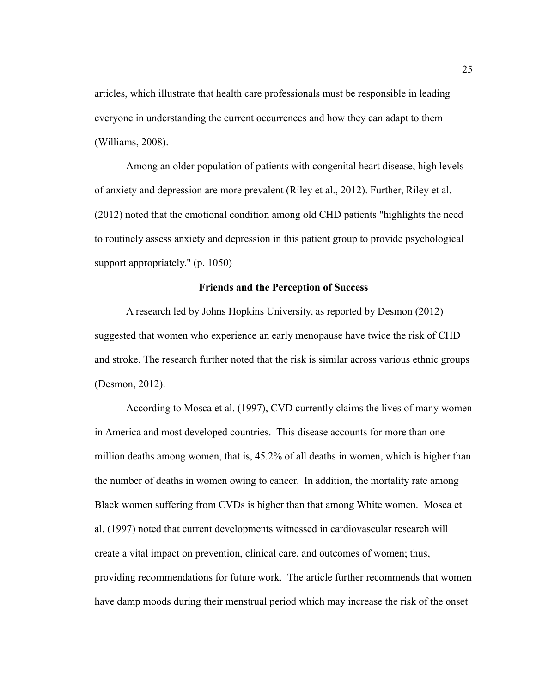articles, which illustrate that health care professionals must be responsible in leading everyone in understanding the current occurrences and how they can adapt to them (Williams, 2008).

Among an older population of patients with congenital heart disease, high levels of anxiety and depression are more prevalent (Riley et al., 2012). Further, Riley et al. (2012) noted that the emotional condition among old CHD patients "highlights the need to routinely assess anxiety and depression in this patient group to provide psychological support appropriately." (p. 1050)

#### **Friends and the Perception of Success**

A research led by Johns Hopkins University, as reported by Desmon (2012) suggested that women who experience an early menopause have twice the risk of CHD and stroke. The research further noted that the risk is similar across various ethnic groups (Desmon, 2012).

According to Mosca et al. (1997), CVD currently claims the lives of many women in America and most developed countries. This disease accounts for more than one million deaths among women, that is, 45.2% of all deaths in women, which is higher than the number of deaths in women owing to cancer. In addition, the mortality rate among Black women suffering from CVDs is higher than that among White women. Mosca et al. (1997) noted that current developments witnessed in cardiovascular research will create a vital impact on prevention, clinical care, and outcomes of women; thus, providing recommendations for future work. The article further recommends that women have damp moods during their menstrual period which may increase the risk of the onset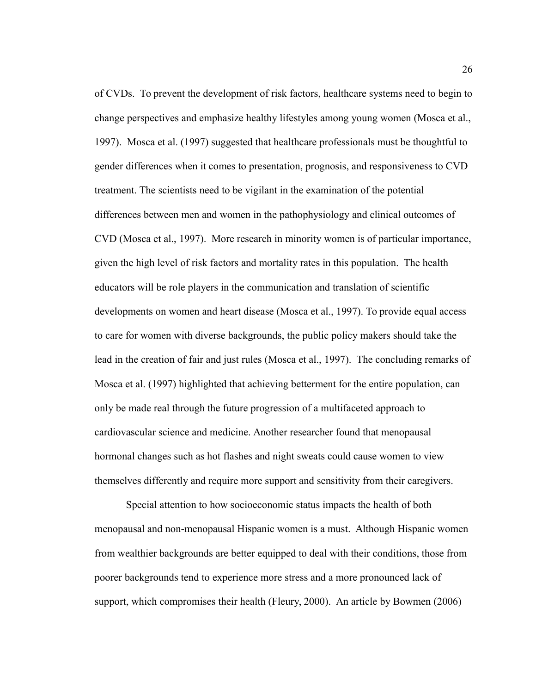of CVDs. To prevent the development of risk factors, healthcare systems need to begin to change perspectives and emphasize healthy lifestyles among young women (Mosca et al., 1997). Mosca et al. (1997) suggested that healthcare professionals must be thoughtful to gender differences when it comes to presentation, prognosis, and responsiveness to CVD treatment. The scientists need to be vigilant in the examination of the potential differences between men and women in the pathophysiology and clinical outcomes of CVD (Mosca et al., 1997). More research in minority women is of particular importance, given the high level of risk factors and mortality rates in this population. The health educators will be role players in the communication and translation of scientific developments on women and heart disease (Mosca et al., 1997). To provide equal access to care for women with diverse backgrounds, the public policy makers should take the lead in the creation of fair and just rules (Mosca et al., 1997). The concluding remarks of Mosca et al. (1997) highlighted that achieving betterment for the entire population, can only be made real through the future progression of a multifaceted approach to cardiovascular science and medicine. Another researcher found that menopausal hormonal changes such as hot flashes and night sweats could cause women to view themselves differently and require more support and sensitivity from their caregivers.

Special attention to how socioeconomic status impacts the health of both menopausal and non-menopausal Hispanic women is a must. Although Hispanic women from wealthier backgrounds are better equipped to deal with their conditions, those from poorer backgrounds tend to experience more stress and a more pronounced lack of support, which compromises their health (Fleury, 2000). An article by Bowmen (2006)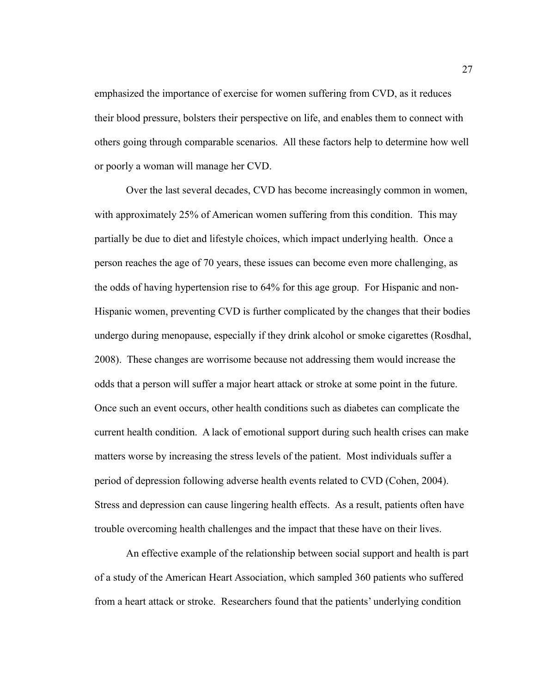emphasized the importance of exercise for women suffering from CVD, as it reduces their blood pressure, bolsters their perspective on life, and enables them to connect with others going through comparable scenarios. All these factors help to determine how well or poorly a woman will manage her CVD.

Over the last several decades, CVD has become increasingly common in women, with approximately 25% of American women suffering from this condition. This may partially be due to diet and lifestyle choices, which impact underlying health. Once a person reaches the age of 70 years, these issues can become even more challenging, as the odds of having hypertension rise to 64% for this age group. For Hispanic and non-Hispanic women, preventing CVD is further complicated by the changes that their bodies undergo during menopause, especially if they drink alcohol or smoke cigarettes (Rosdhal, 2008). These changes are worrisome because not addressing them would increase the odds that a person will suffer a major heart attack or stroke at some point in the future. Once such an event occurs, other health conditions such as diabetes can complicate the current health condition. A lack of emotional support during such health crises can make matters worse by increasing the stress levels of the patient. Most individuals suffer a period of depression following adverse health events related to CVD (Cohen, 2004). Stress and depression can cause lingering health effects. As a result, patients often have trouble overcoming health challenges and the impact that these have on their lives.

An effective example of the relationship between social support and health is part of a study of the American Heart Association, which sampled 360 patients who suffered from a heart attack or stroke. Researchers found that the patients' underlying condition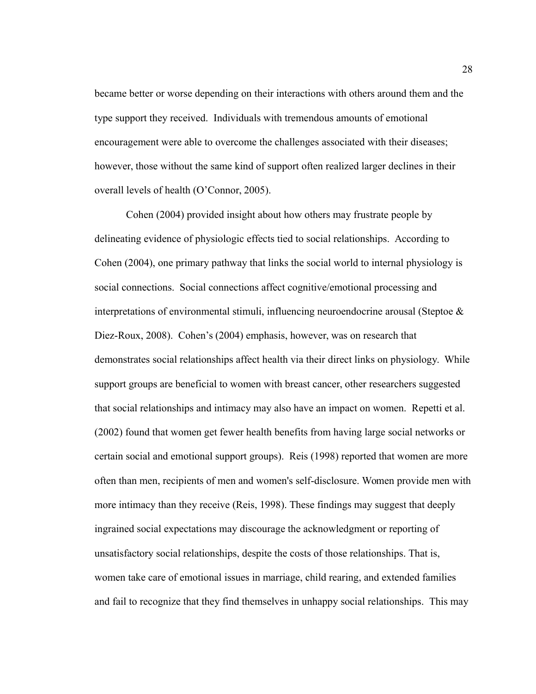became better or worse depending on their interactions with others around them and the type support they received. Individuals with tremendous amounts of emotional encouragement were able to overcome the challenges associated with their diseases; however, those without the same kind of support often realized larger declines in their overall levels of health (O'Connor, 2005).

Cohen (2004) provided insight about how others may frustrate people by delineating evidence of physiologic effects tied to social relationships. According to Cohen (2004), one primary pathway that links the social world to internal physiology is social connections. Social connections affect cognitive/emotional processing and interpretations of environmental stimuli, influencing neuroendocrine arousal (Steptoe & Diez-Roux, 2008). Cohen's (2004) emphasis, however, was on research that demonstrates social relationships affect health via their direct links on physiology. While support groups are beneficial to women with breast cancer, other researchers suggested that social relationships and intimacy may also have an impact on women. Repetti et al. (2002) found that women get fewer health benefits from having large social networks or certain social and emotional support groups). Reis (1998) reported that women are more often than men, recipients of men and women's self-disclosure. Women provide men with more intimacy than they receive (Reis, 1998). These findings may suggest that deeply ingrained social expectations may discourage the acknowledgment or reporting of unsatisfactory social relationships, despite the costs of those relationships. That is, women take care of emotional issues in marriage, child rearing, and extended families and fail to recognize that they find themselves in unhappy social relationships. This may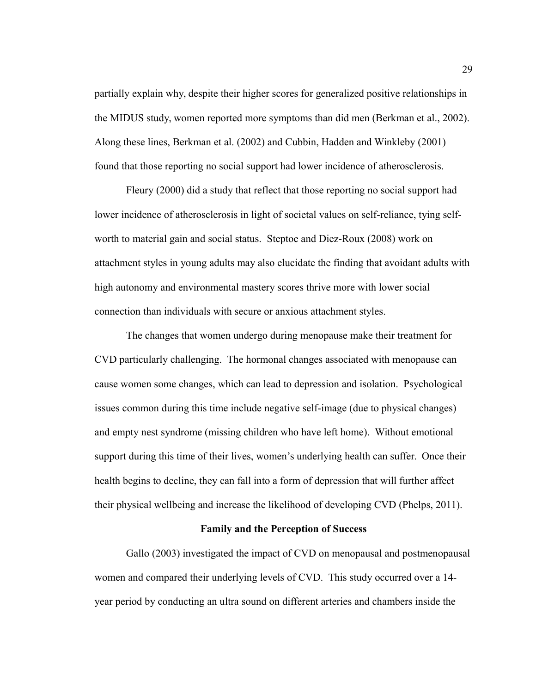partially explain why, despite their higher scores for generalized positive relationships in the MIDUS study, women reported more symptoms than did men (Berkman et al., 2002). Along these lines, Berkman et al. (2002) and Cubbin, Hadden and Winkleby (2001) found that those reporting no social support had lower incidence of atherosclerosis.

Fleury (2000) did a study that reflect that those reporting no social support had lower incidence of atherosclerosis in light of societal values on self-reliance, tying selfworth to material gain and social status. Steptoe and Diez-Roux (2008) work on attachment styles in young adults may also elucidate the finding that avoidant adults with high autonomy and environmental mastery scores thrive more with lower social connection than individuals with secure or anxious attachment styles.

The changes that women undergo during menopause make their treatment for CVD particularly challenging. The hormonal changes associated with menopause can cause women some changes, which can lead to depression and isolation. Psychological issues common during this time include negative self-image (due to physical changes) and empty nest syndrome (missing children who have left home). Without emotional support during this time of their lives, women's underlying health can suffer. Once their health begins to decline, they can fall into a form of depression that will further affect their physical wellbeing and increase the likelihood of developing CVD (Phelps, 2011).

#### **Family and the Perception of Success**

Gallo (2003) investigated the impact of CVD on menopausal and postmenopausal women and compared their underlying levels of CVD. This study occurred over a 14 year period by conducting an ultra sound on different arteries and chambers inside the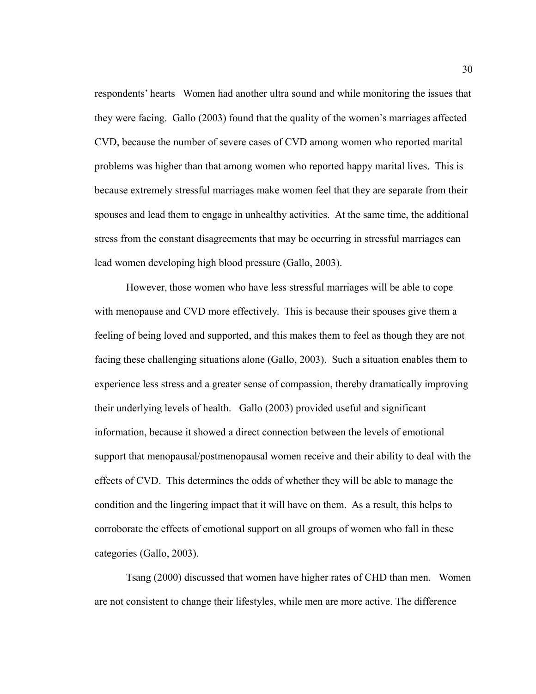respondents' hearts Women had another ultra sound and while monitoring the issues that they were facing. Gallo (2003) found that the quality of the women's marriages affected CVD, because the number of severe cases of CVD among women who reported marital problems was higher than that among women who reported happy marital lives. This is because extremely stressful marriages make women feel that they are separate from their spouses and lead them to engage in unhealthy activities. At the same time, the additional stress from the constant disagreements that may be occurring in stressful marriages can lead women developing high blood pressure (Gallo, 2003).

However, those women who have less stressful marriages will be able to cope with menopause and CVD more effectively. This is because their spouses give them a feeling of being loved and supported, and this makes them to feel as though they are not facing these challenging situations alone (Gallo, 2003). Such a situation enables them to experience less stress and a greater sense of compassion, thereby dramatically improving their underlying levels of health. Gallo (2003) provided useful and significant information, because it showed a direct connection between the levels of emotional support that menopausal/postmenopausal women receive and their ability to deal with the effects of CVD. This determines the odds of whether they will be able to manage the condition and the lingering impact that it will have on them. As a result, this helps to corroborate the effects of emotional support on all groups of women who fall in these categories (Gallo, 2003).

Tsang (2000) discussed that women have higher rates of CHD than men. Women are not consistent to change their lifestyles, while men are more active. The difference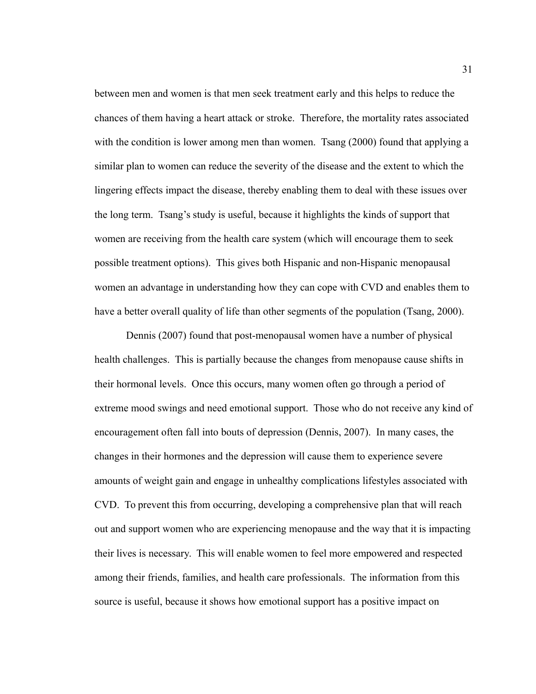between men and women is that men seek treatment early and this helps to reduce the chances of them having a heart attack or stroke. Therefore, the mortality rates associated with the condition is lower among men than women. Tsang (2000) found that applying a similar plan to women can reduce the severity of the disease and the extent to which the lingering effects impact the disease, thereby enabling them to deal with these issues over the long term. Tsang's study is useful, because it highlights the kinds of support that women are receiving from the health care system (which will encourage them to seek possible treatment options). This gives both Hispanic and non-Hispanic menopausal women an advantage in understanding how they can cope with CVD and enables them to have a better overall quality of life than other segments of the population (Tsang, 2000).

Dennis (2007) found that post-menopausal women have a number of physical health challenges. This is partially because the changes from menopause cause shifts in their hormonal levels. Once this occurs, many women often go through a period of extreme mood swings and need emotional support. Those who do not receive any kind of encouragement often fall into bouts of depression (Dennis, 2007). In many cases, the changes in their hormones and the depression will cause them to experience severe amounts of weight gain and engage in unhealthy complications lifestyles associated with CVD. To prevent this from occurring, developing a comprehensive plan that will reach out and support women who are experiencing menopause and the way that it is impacting their lives is necessary. This will enable women to feel more empowered and respected among their friends, families, and health care professionals. The information from this source is useful, because it shows how emotional support has a positive impact on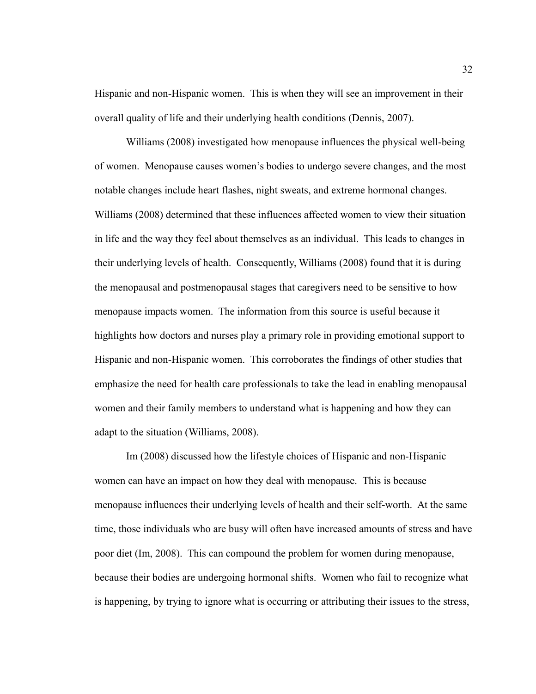Hispanic and non-Hispanic women. This is when they will see an improvement in their overall quality of life and their underlying health conditions (Dennis, 2007).

Williams (2008) investigated how menopause influences the physical well-being of women. Menopause causes women's bodies to undergo severe changes, and the most notable changes include heart flashes, night sweats, and extreme hormonal changes. Williams (2008) determined that these influences affected women to view their situation in life and the way they feel about themselves as an individual. This leads to changes in their underlying levels of health. Consequently, Williams (2008) found that it is during the menopausal and postmenopausal stages that caregivers need to be sensitive to how menopause impacts women. The information from this source is useful because it highlights how doctors and nurses play a primary role in providing emotional support to Hispanic and non-Hispanic women. This corroborates the findings of other studies that emphasize the need for health care professionals to take the lead in enabling menopausal women and their family members to understand what is happening and how they can adapt to the situation (Williams, 2008).

Im (2008) discussed how the lifestyle choices of Hispanic and non-Hispanic women can have an impact on how they deal with menopause. This is because menopause influences their underlying levels of health and their self-worth. At the same time, those individuals who are busy will often have increased amounts of stress and have poor diet (Im, 2008). This can compound the problem for women during menopause, because their bodies are undergoing hormonal shifts. Women who fail to recognize what is happening, by trying to ignore what is occurring or attributing their issues to the stress,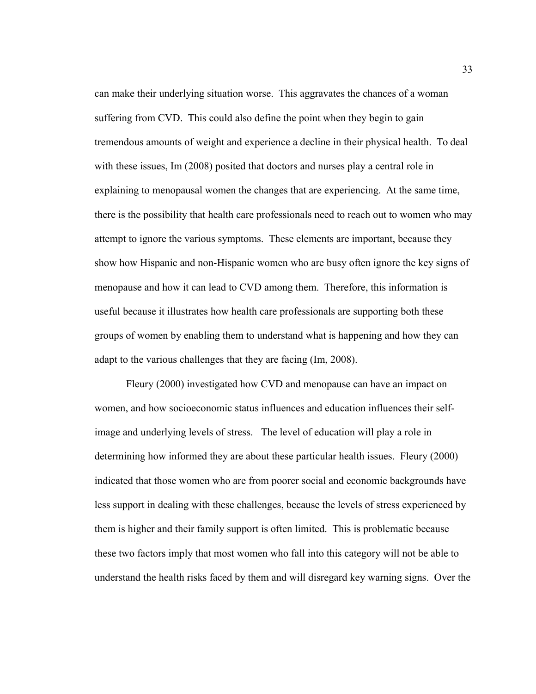can make their underlying situation worse. This aggravates the chances of a woman suffering from CVD. This could also define the point when they begin to gain tremendous amounts of weight and experience a decline in their physical health. To deal with these issues, Im (2008) posited that doctors and nurses play a central role in explaining to menopausal women the changes that are experiencing. At the same time, there is the possibility that health care professionals need to reach out to women who may attempt to ignore the various symptoms. These elements are important, because they show how Hispanic and non-Hispanic women who are busy often ignore the key signs of menopause and how it can lead to CVD among them. Therefore, this information is useful because it illustrates how health care professionals are supporting both these groups of women by enabling them to understand what is happening and how they can adapt to the various challenges that they are facing (Im, 2008).

Fleury (2000) investigated how CVD and menopause can have an impact on women, and how socioeconomic status influences and education influences their selfimage and underlying levels of stress. The level of education will play a role in determining how informed they are about these particular health issues. Fleury (2000) indicated that those women who are from poorer social and economic backgrounds have less support in dealing with these challenges, because the levels of stress experienced by them is higher and their family support is often limited. This is problematic because these two factors imply that most women who fall into this category will not be able to understand the health risks faced by them and will disregard key warning signs. Over the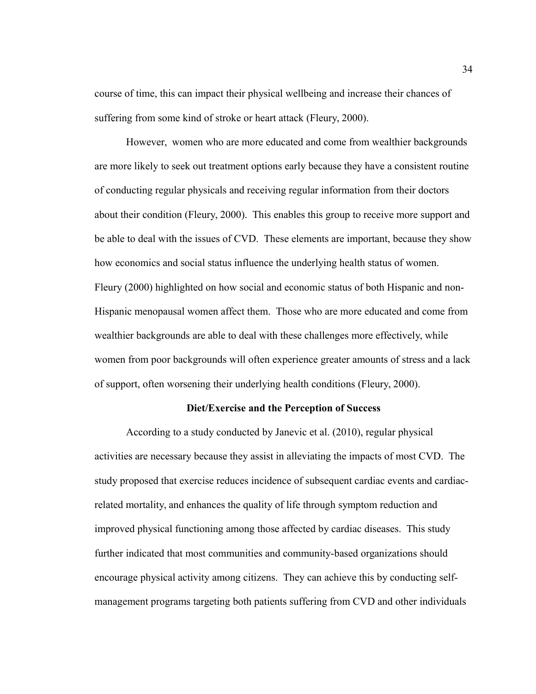course of time, this can impact their physical wellbeing and increase their chances of suffering from some kind of stroke or heart attack (Fleury, 2000).

However, women who are more educated and come from wealthier backgrounds are more likely to seek out treatment options early because they have a consistent routine of conducting regular physicals and receiving regular information from their doctors about their condition (Fleury, 2000). This enables this group to receive more support and be able to deal with the issues of CVD. These elements are important, because they show how economics and social status influence the underlying health status of women. Fleury (2000) highlighted on how social and economic status of both Hispanic and non-Hispanic menopausal women affect them. Those who are more educated and come from wealthier backgrounds are able to deal with these challenges more effectively, while women from poor backgrounds will often experience greater amounts of stress and a lack of support, often worsening their underlying health conditions (Fleury, 2000).

# **Diet/Exercise and the Perception of Success**

According to a study conducted by Janevic et al. (2010), regular physical activities are necessary because they assist in alleviating the impacts of most CVD. The study proposed that exercise reduces incidence of subsequent cardiac events and cardiacrelated mortality, and enhances the quality of life through symptom reduction and improved physical functioning among those affected by cardiac diseases. This study further indicated that most communities and community-based organizations should encourage physical activity among citizens. They can achieve this by conducting selfmanagement programs targeting both patients suffering from CVD and other individuals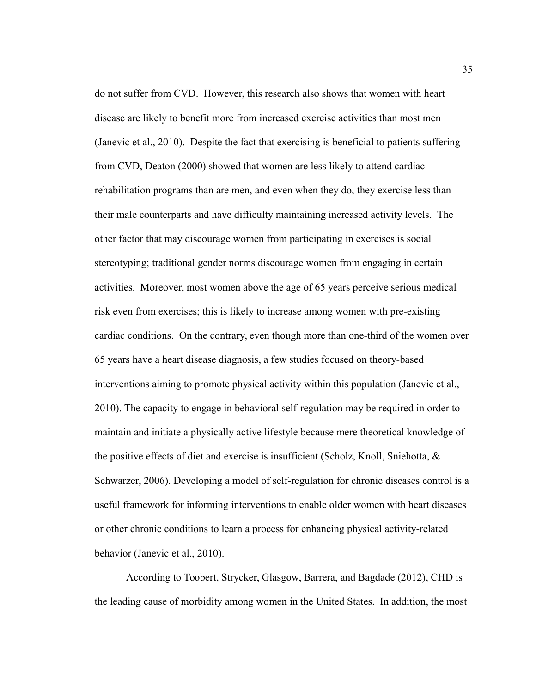do not suffer from CVD. However, this research also shows that women with heart disease are likely to benefit more from increased exercise activities than most men (Janevic et al., 2010). Despite the fact that exercising is beneficial to patients suffering from CVD, Deaton (2000) showed that women are less likely to attend cardiac rehabilitation programs than are men, and even when they do, they exercise less than their male counterparts and have difficulty maintaining increased activity levels. The other factor that may discourage women from participating in exercises is social stereotyping; traditional gender norms discourage women from engaging in certain activities. Moreover, most women above the age of 65 years perceive serious medical risk even from exercises; this is likely to increase among women with pre-existing cardiac conditions. On the contrary, even though more than one-third of the women over 65 years have a heart disease diagnosis, a few studies focused on theory-based interventions aiming to promote physical activity within this population (Janevic et al., 2010). The capacity to engage in behavioral self-regulation may be required in order to maintain and initiate a physically active lifestyle because mere theoretical knowledge of the positive effects of diet and exercise is insufficient (Scholz, Knoll, Sniehotta, & Schwarzer, 2006). Developing a model of self-regulation for chronic diseases control is a useful framework for informing interventions to enable older women with heart diseases or other chronic conditions to learn a process for enhancing physical activity-related behavior (Janevic et al., 2010).

According to Toobert, Strycker, Glasgow, Barrera, and Bagdade (2012), CHD is the leading cause of morbidity among women in the United States. In addition, the most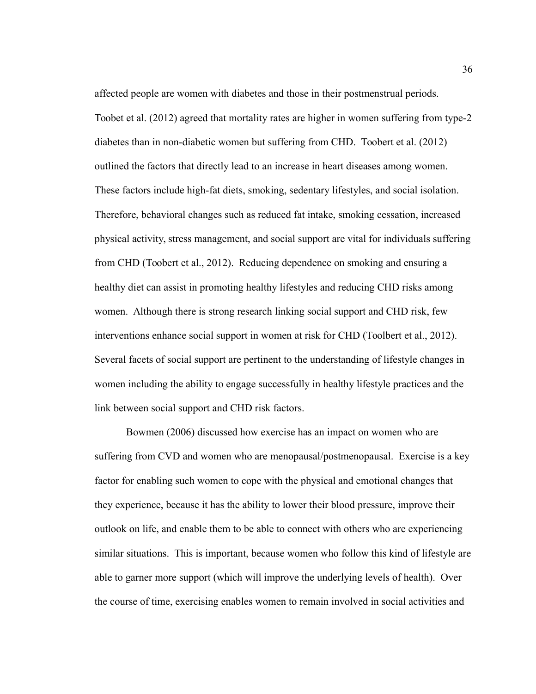affected people are women with diabetes and those in their postmenstrual periods. Toobet et al. (2012) agreed that mortality rates are higher in women suffering from type-2 diabetes than in non-diabetic women but suffering from CHD. Toobert et al. (2012) outlined the factors that directly lead to an increase in heart diseases among women. These factors include high-fat diets, smoking, sedentary lifestyles, and social isolation. Therefore, behavioral changes such as reduced fat intake, smoking cessation, increased physical activity, stress management, and social support are vital for individuals suffering from CHD (Toobert et al., 2012). Reducing dependence on smoking and ensuring a healthy diet can assist in promoting healthy lifestyles and reducing CHD risks among women. Although there is strong research linking social support and CHD risk, few interventions enhance social support in women at risk for CHD (Toolbert et al., 2012). Several facets of social support are pertinent to the understanding of lifestyle changes in women including the ability to engage successfully in healthy lifestyle practices and the link between social support and CHD risk factors.

Bowmen (2006) discussed how exercise has an impact on women who are suffering from CVD and women who are menopausal/postmenopausal. Exercise is a key factor for enabling such women to cope with the physical and emotional changes that they experience, because it has the ability to lower their blood pressure, improve their outlook on life, and enable them to be able to connect with others who are experiencing similar situations. This is important, because women who follow this kind of lifestyle are able to garner more support (which will improve the underlying levels of health). Over the course of time, exercising enables women to remain involved in social activities and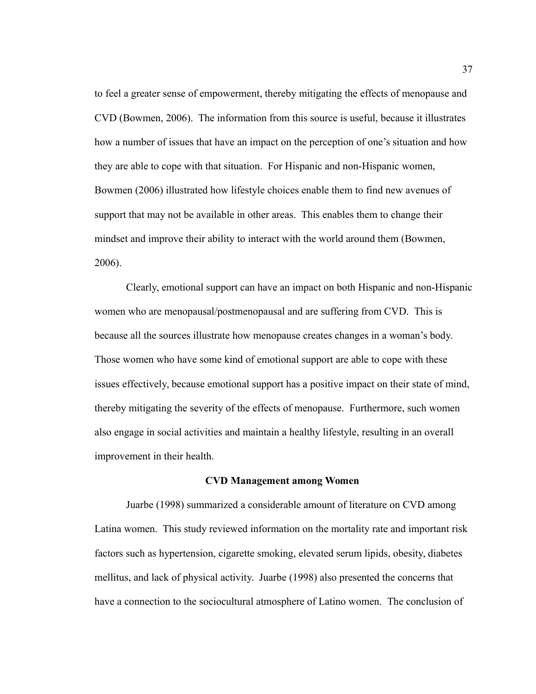to feel a greater sense of empowerment, thereby mitigating the effects of menopause and CVD (Bowmen, 2006). The information from this source is useful, because it illustrates how a number of issues that have an impact on the perception of one's situation and how they are able to cope with that situation. For Hispanic and non-Hispanic women, Bowmen (2006) illustrated how lifestyle choices enable them to find new avenues of support that may not be available in other areas. This enables them to change their mindset and improve their ability to interact with the world around them (Bowmen, 2006).

Clearly, emotional support can have an impact on both Hispanic and non-Hispanic women who are menopausal/postmenopausal and are suffering from CVD. This is because all the sources illustrate how menopause creates changes in a woman's body. Those women who have some kind of emotional support are able to cope with these issues effectively, because emotional support has a positive impact on their state of mind, thereby mitigating the severity of the effects of menopause. Furthermore, such women also engage in social activities and maintain a healthy lifestyle, resulting in an overall improvement in their health.

#### **CVD Management among Women**

Juarbe (1998) summarized a considerable amount of literature on CVD among Latina women. This study reviewed information on the mortality rate and important risk factors such as hypertension, cigarette smoking, elevated serum lipids, obesity, diabetes mellitus, and lack of physical activity. Juarbe (1998) also presented the concerns that have a connection to the sociocultural atmosphere of Latino women. The conclusion of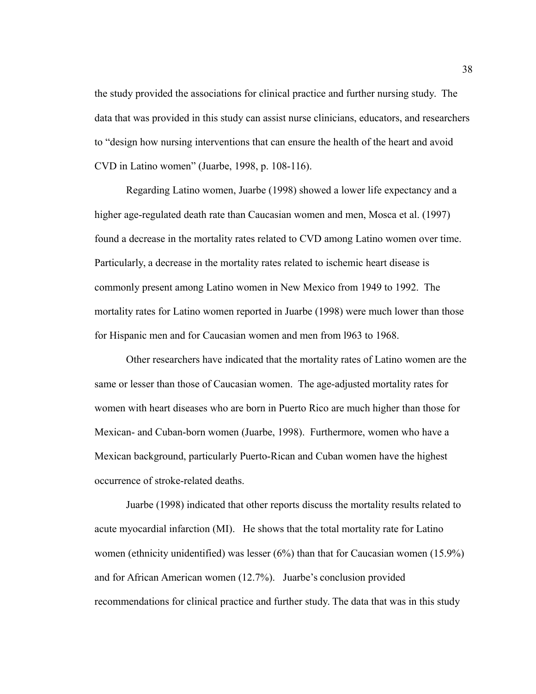the study provided the associations for clinical practice and further nursing study. The data that was provided in this study can assist nurse clinicians, educators, and researchers to "design how nursing interventions that can ensure the health of the heart and avoid CVD in Latino women" (Juarbe, 1998, p. 108-116).

Regarding Latino women, Juarbe (1998) showed a lower life expectancy and a higher age-regulated death rate than Caucasian women and men, Mosca et al. (1997) found a decrease in the mortality rates related to CVD among Latino women over time. Particularly, a decrease in the mortality rates related to ischemic heart disease is commonly present among Latino women in New Mexico from 1949 to 1992. The mortality rates for Latino women reported in Juarbe (1998) were much lower than those for Hispanic men and for Caucasian women and men from l963 to 1968.

Other researchers have indicated that the mortality rates of Latino women are the same or lesser than those of Caucasian women. The age-adjusted mortality rates for women with heart diseases who are born in Puerto Rico are much higher than those for Mexican- and Cuban-born women (Juarbe, 1998). Furthermore, women who have a Mexican background, particularly Puerto-Rican and Cuban women have the highest occurrence of stroke-related deaths.

Juarbe (1998) indicated that other reports discuss the mortality results related to acute myocardial infarction (MI). He shows that the total mortality rate for Latino women (ethnicity unidentified) was lesser (6%) than that for Caucasian women (15.9%) and for African American women (12.7%). Juarbe's conclusion provided recommendations for clinical practice and further study. The data that was in this study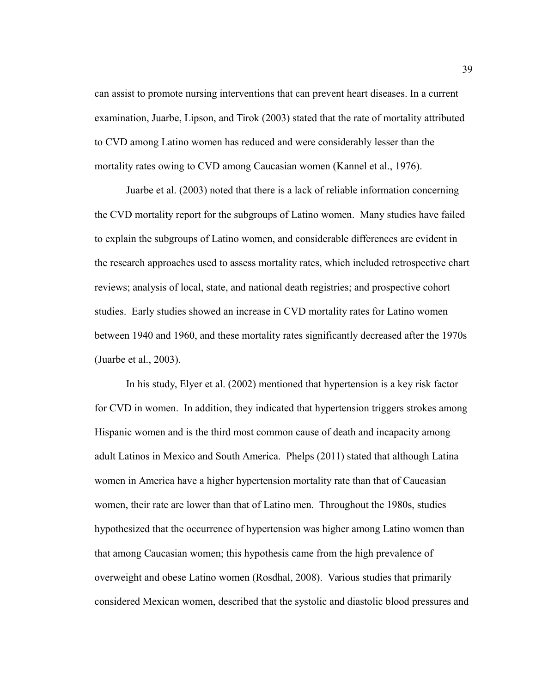can assist to promote nursing interventions that can prevent heart diseases. In a current examination, Juarbe, Lipson, and Tirok (2003) stated that the rate of mortality attributed to CVD among Latino women has reduced and were considerably lesser than the mortality rates owing to CVD among Caucasian women (Kannel et al., 1976).

Juarbe et al. (2003) noted that there is a lack of reliable information concerning the CVD mortality report for the subgroups of Latino women. Many studies have failed to explain the subgroups of Latino women, and considerable differences are evident in the research approaches used to assess mortality rates, which included retrospective chart reviews; analysis of local, state, and national death registries; and prospective cohort studies. Early studies showed an increase in CVD mortality rates for Latino women between 1940 and 1960, and these mortality rates significantly decreased after the 1970s (Juarbe et al., 2003).

In his study, Elyer et al. (2002) mentioned that hypertension is a key risk factor for CVD in women. In addition, they indicated that hypertension triggers strokes among Hispanic women and is the third most common cause of death and incapacity among adult Latinos in Mexico and South America. Phelps (2011) stated that although Latina women in America have a higher hypertension mortality rate than that of Caucasian women, their rate are lower than that of Latino men. Throughout the 1980s, studies hypothesized that the occurrence of hypertension was higher among Latino women than that among Caucasian women; this hypothesis came from the high prevalence of overweight and obese Latino women (Rosdhal, 2008). Various studies that primarily considered Mexican women, described that the systolic and diastolic blood pressures and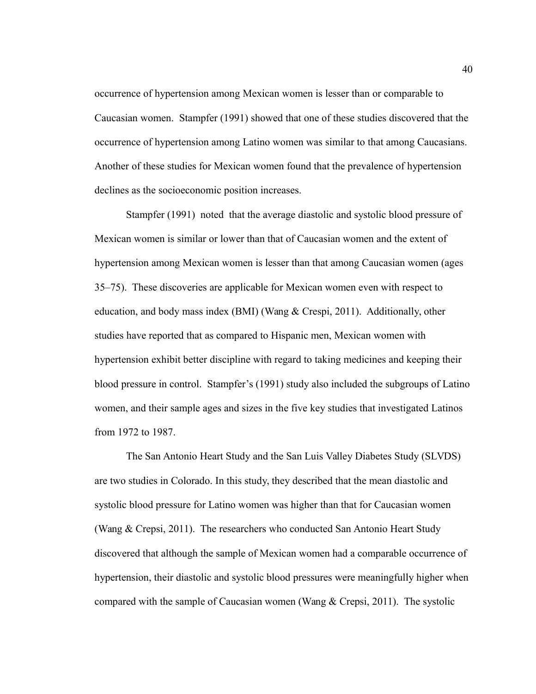occurrence of hypertension among Mexican women is lesser than or comparable to Caucasian women. Stampfer (1991) showed that one of these studies discovered that the occurrence of hypertension among Latino women was similar to that among Caucasians. Another of these studies for Mexican women found that the prevalence of hypertension declines as the socioeconomic position increases.

Stampfer (1991) noted that the average diastolic and systolic blood pressure of Mexican women is similar or lower than that of Caucasian women and the extent of hypertension among Mexican women is lesser than that among Caucasian women (ages 35–75). These discoveries are applicable for Mexican women even with respect to education, and body mass index (BMI) (Wang & Crespi, 2011). Additionally, other studies have reported that as compared to Hispanic men, Mexican women with hypertension exhibit better discipline with regard to taking medicines and keeping their blood pressure in control. Stampfer's (1991) study also included the subgroups of Latino women, and their sample ages and sizes in the five key studies that investigated Latinos from 1972 to 1987.

The San Antonio Heart Study and the San Luis Valley Diabetes Study (SLVDS) are two studies in Colorado. In this study, they described that the mean diastolic and systolic blood pressure for Latino women was higher than that for Caucasian women (Wang & Crepsi, 2011). The researchers who conducted San Antonio Heart Study discovered that although the sample of Mexican women had a comparable occurrence of hypertension, their diastolic and systolic blood pressures were meaningfully higher when compared with the sample of Caucasian women (Wang & Crepsi, 2011). The systolic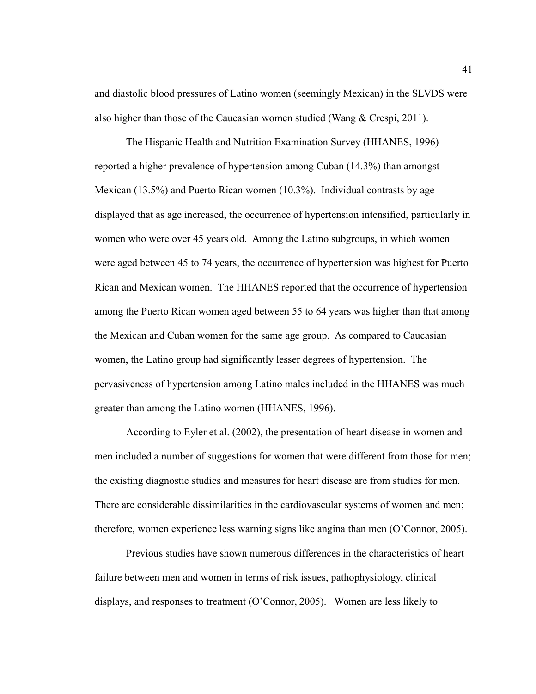and diastolic blood pressures of Latino women (seemingly Mexican) in the SLVDS were also higher than those of the Caucasian women studied (Wang & Crespi, 2011).

The Hispanic Health and Nutrition Examination Survey (HHANES, 1996) reported a higher prevalence of hypertension among Cuban (14.3%) than amongst Mexican (13.5%) and Puerto Rican women (10.3%). Individual contrasts by age displayed that as age increased, the occurrence of hypertension intensified, particularly in women who were over 45 years old. Among the Latino subgroups, in which women were aged between 45 to 74 years, the occurrence of hypertension was highest for Puerto Rican and Mexican women. The HHANES reported that the occurrence of hypertension among the Puerto Rican women aged between 55 to 64 years was higher than that among the Mexican and Cuban women for the same age group. As compared to Caucasian women, the Latino group had significantly lesser degrees of hypertension. The pervasiveness of hypertension among Latino males included in the HHANES was much greater than among the Latino women (HHANES, 1996).

According to Eyler et al. (2002), the presentation of heart disease in women and men included a number of suggestions for women that were different from those for men; the existing diagnostic studies and measures for heart disease are from studies for men. There are considerable dissimilarities in the cardiovascular systems of women and men; therefore, women experience less warning signs like angina than men (O'Connor, 2005).

Previous studies have shown numerous differences in the characteristics of heart failure between men and women in terms of risk issues, pathophysiology, clinical displays, and responses to treatment (O'Connor, 2005). Women are less likely to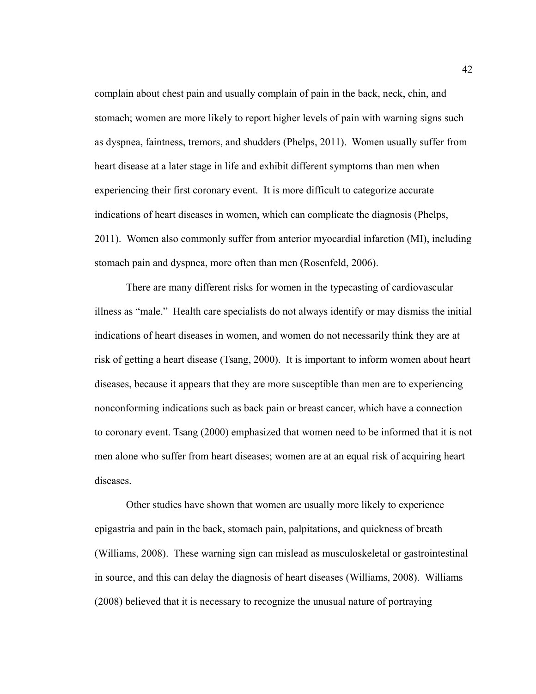complain about chest pain and usually complain of pain in the back, neck, chin, and stomach; women are more likely to report higher levels of pain with warning signs such as dyspnea, faintness, tremors, and shudders (Phelps, 2011). Women usually suffer from heart disease at a later stage in life and exhibit different symptoms than men when experiencing their first coronary event. It is more difficult to categorize accurate indications of heart diseases in women, which can complicate the diagnosis (Phelps, 2011). Women also commonly suffer from anterior myocardial infarction (MI), including stomach pain and dyspnea, more often than men (Rosenfeld, 2006).

There are many different risks for women in the typecasting of cardiovascular illness as "male." Health care specialists do not always identify or may dismiss the initial indications of heart diseases in women, and women do not necessarily think they are at risk of getting a heart disease (Tsang, 2000). It is important to inform women about heart diseases, because it appears that they are more susceptible than men are to experiencing nonconforming indications such as back pain or breast cancer, which have a connection to coronary event. Tsang (2000) emphasized that women need to be informed that it is not men alone who suffer from heart diseases; women are at an equal risk of acquiring heart diseases.

Other studies have shown that women are usually more likely to experience epigastria and pain in the back, stomach pain, palpitations, and quickness of breath (Williams, 2008). These warning sign can mislead as musculoskeletal or gastrointestinal in source, and this can delay the diagnosis of heart diseases (Williams, 2008). Williams (2008) believed that it is necessary to recognize the unusual nature of portraying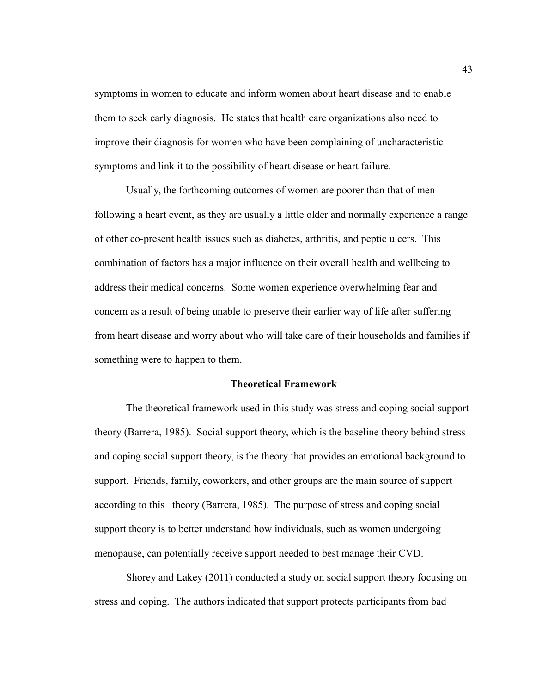symptoms in women to educate and inform women about heart disease and to enable them to seek early diagnosis. He states that health care organizations also need to improve their diagnosis for women who have been complaining of uncharacteristic symptoms and link it to the possibility of heart disease or heart failure.

Usually, the forthcoming outcomes of women are poorer than that of men following a heart event, as they are usually a little older and normally experience a range of other co-present health issues such as diabetes, arthritis, and peptic ulcers. This combination of factors has a major influence on their overall health and wellbeing to address their medical concerns. Some women experience overwhelming fear and concern as a result of being unable to preserve their earlier way of life after suffering from heart disease and worry about who will take care of their households and families if something were to happen to them.

# **Theoretical Framework**

The theoretical framework used in this study was stress and coping social support theory (Barrera, 1985). Social support theory, which is the baseline theory behind stress and coping social support theory, is the theory that provides an emotional background to support. Friends, family, coworkers, and other groups are the main source of support according to this theory (Barrera, 1985). The purpose of stress and coping social support theory is to better understand how individuals, such as women undergoing menopause, can potentially receive support needed to best manage their CVD.

Shorey and Lakey (2011) conducted a study on social support theory focusing on stress and coping. The authors indicated that support protects participants from bad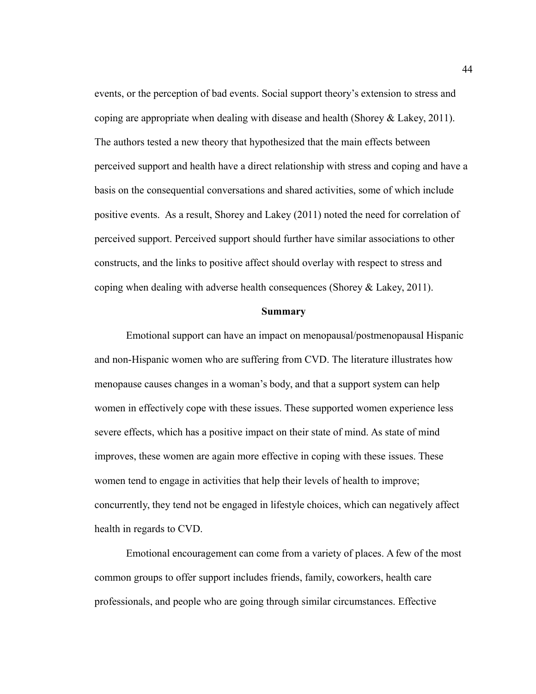events, or the perception of bad events. Social support theory's extension to stress and coping are appropriate when dealing with disease and health (Shorey  $\&$  Lakey, 2011). The authors tested a new theory that hypothesized that the main effects between perceived support and health have a direct relationship with stress and coping and have a basis on the consequential conversations and shared activities, some of which include positive events. As a result, Shorey and Lakey (2011) noted the need for correlation of perceived support. Perceived support should further have similar associations to other constructs, and the links to positive affect should overlay with respect to stress and coping when dealing with adverse health consequences (Shorey & Lakey, 2011).

#### **Summary**

Emotional support can have an impact on menopausal/postmenopausal Hispanic and non-Hispanic women who are suffering from CVD. The literature illustrates how menopause causes changes in a woman's body, and that a support system can help women in effectively cope with these issues. These supported women experience less severe effects, which has a positive impact on their state of mind. As state of mind improves, these women are again more effective in coping with these issues. These women tend to engage in activities that help their levels of health to improve; concurrently, they tend not be engaged in lifestyle choices, which can negatively affect health in regards to CVD.

Emotional encouragement can come from a variety of places. A few of the most common groups to offer support includes friends, family, coworkers, health care professionals, and people who are going through similar circumstances. Effective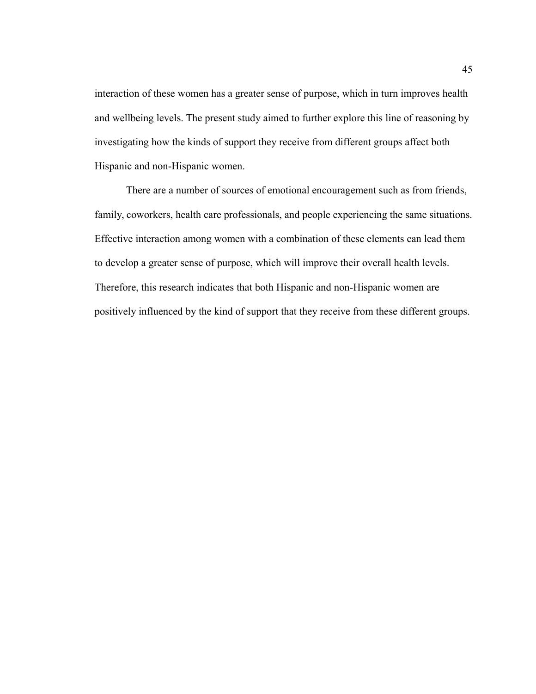interaction of these women has a greater sense of purpose, which in turn improves health and wellbeing levels. The present study aimed to further explore this line of reasoning by investigating how the kinds of support they receive from different groups affect both Hispanic and non-Hispanic women.

There are a number of sources of emotional encouragement such as from friends, family, coworkers, health care professionals, and people experiencing the same situations. Effective interaction among women with a combination of these elements can lead them to develop a greater sense of purpose, which will improve their overall health levels. Therefore, this research indicates that both Hispanic and non-Hispanic women are positively influenced by the kind of support that they receive from these different groups.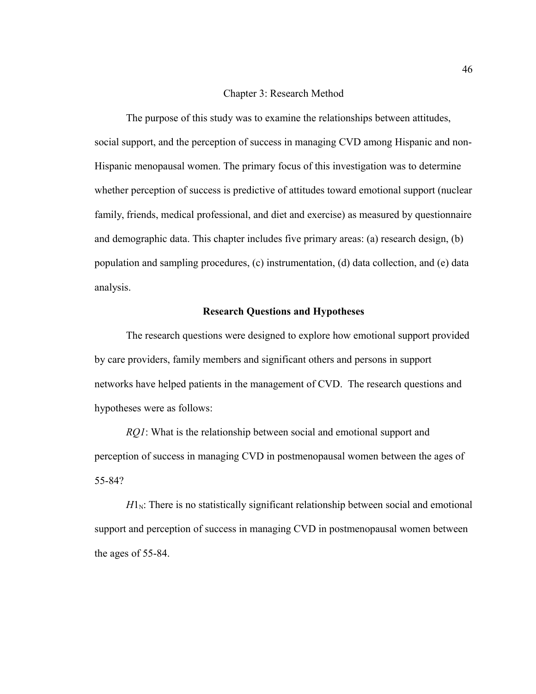# Chapter 3: Research Method

The purpose of this study was to examine the relationships between attitudes, social support, and the perception of success in managing CVD among Hispanic and non-Hispanic menopausal women. The primary focus of this investigation was to determine whether perception of success is predictive of attitudes toward emotional support (nuclear family, friends, medical professional, and diet and exercise) as measured by questionnaire and demographic data. This chapter includes five primary areas: (a) research design, (b) population and sampling procedures, (c) instrumentation, (d) data collection, and (e) data analysis.

# **Research Questions and Hypotheses**

The research questions were designed to explore how emotional support provided by care providers, family members and significant others and persons in support networks have helped patients in the management of CVD. The research questions and hypotheses were as follows:

*RQ1*: What is the relationship between social and emotional support and perception of success in managing CVD in postmenopausal women between the ages of 55-84?

 $H1_N$ : There is no statistically significant relationship between social and emotional support and perception of success in managing CVD in postmenopausal women between the ages of 55-84.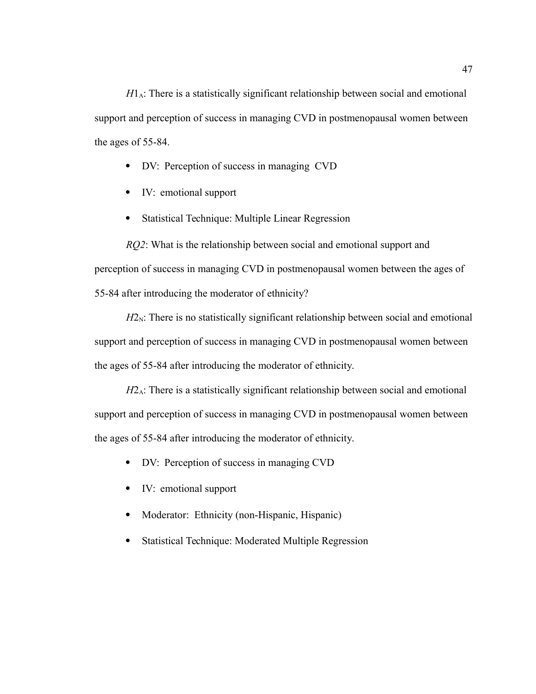$H1_A$ : There is a statistically significant relationship between social and emotional support and perception of success in managing CVD in postmenopausal women between the ages of 55-84.

- DV: Perception of success in managing CVD
- IV: emotional support
- Statistical Technique: Multiple Linear Regression

*RQ2*: What is the relationship between social and emotional support and perception of success in managing CVD in postmenopausal women between the ages of 55-84 after introducing the moderator of ethnicity?

 $H2_N$ : There is no statistically significant relationship between social and emotional support and perception of success in managing CVD in postmenopausal women between the ages of 55-84 after introducing the moderator of ethnicity.

*H*2<sub>A</sub>: There is a statistically significant relationship between social and emotional support and perception of success in managing CVD in postmenopausal women between the ages of 55-84 after introducing the moderator of ethnicity.

- DV: Perception of success in managing CVD
- IV: emotional support
- Moderator: Ethnicity (non-Hispanic, Hispanic)
- Statistical Technique: Moderated Multiple Regression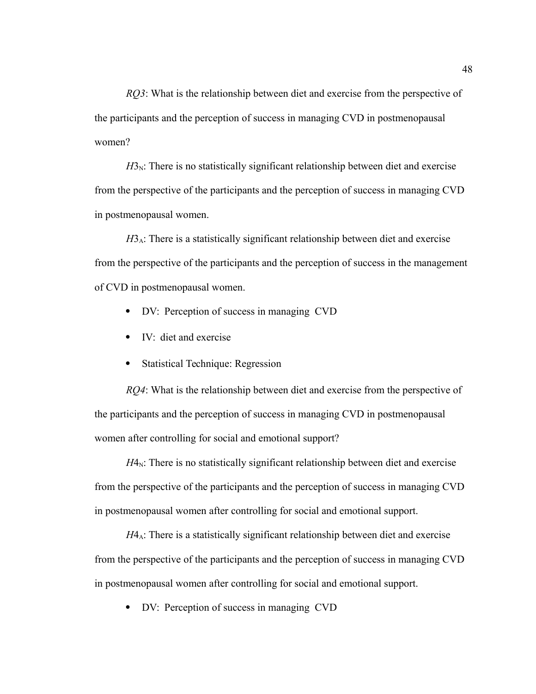*RQ3*: What is the relationship between diet and exercise from the perspective of the participants and the perception of success in managing CVD in postmenopausal women?

 $H_3$ . There is no statistically significant relationship between diet and exercise from the perspective of the participants and the perception of success in managing CVD in postmenopausal women.

 $H_0$ . There is a statistically significant relationship between diet and exercise from the perspective of the participants and the perception of success in the management of CVD in postmenopausal women.

- DV: Perception of success in managing CVD
- IV: diet and exercise
- Statistical Technique: Regression

*RQ4*: What is the relationship between diet and exercise from the perspective of the participants and the perception of success in managing CVD in postmenopausal women after controlling for social and emotional support?

 $H4_N$ : There is no statistically significant relationship between diet and exercise from the perspective of the participants and the perception of success in managing CVD in postmenopausal women after controlling for social and emotional support.

 $H4_A$ : There is a statistically significant relationship between diet and exercise from the perspective of the participants and the perception of success in managing CVD in postmenopausal women after controlling for social and emotional support.

• DV: Perception of success in managing CVD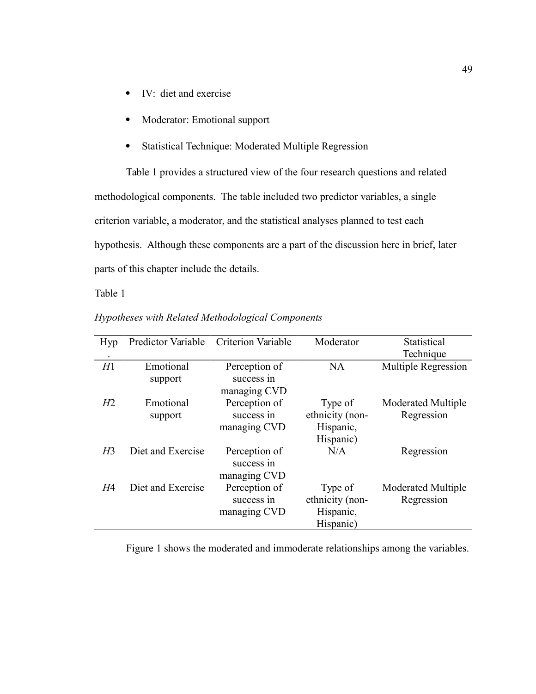- IV: diet and exercise
- Moderator: Emotional support
- Statistical Technique: Moderated Multiple Regression

Table 1 provides a structured view of the four research questions and related methodological components. The table included two predictor variables, a single criterion variable, a moderator, and the statistical analyses planned to test each hypothesis. Although these components are a part of the discussion here in brief, later parts of this chapter include the details.

Table 1

| Hyp            | Predictor Variable | Criterion Variable | Moderator       | Statistical               |
|----------------|--------------------|--------------------|-----------------|---------------------------|
|                |                    |                    |                 | Technique                 |
| H1             | Emotional          | Perception of      | <b>NA</b>       | Multiple Regression       |
|                | support            | success in         |                 |                           |
|                |                    | managing CVD       |                 |                           |
| H2             | Emotional          | Perception of      | Type of         | <b>Moderated Multiple</b> |
|                | support            | success in         | ethnicity (non- | Regression                |
|                |                    | managing CVD       | Hispanic,       |                           |
|                |                    |                    | Hispanic)       |                           |
| H <sub>3</sub> | Diet and Exercise  | Perception of      | N/A             | Regression                |
|                |                    | success in         |                 |                           |
|                |                    | managing CVD       |                 |                           |
| H4             | Diet and Exercise  | Perception of      | Type of         | <b>Moderated Multiple</b> |
|                |                    | success in         | ethnicity (non- | Regression                |
|                |                    | managing CVD       | Hispanic,       |                           |
|                |                    |                    | Hispanic)       |                           |

*Hypotheses with Related Methodological Components* 

Figure 1 shows the moderated and immoderate relationships among the variables.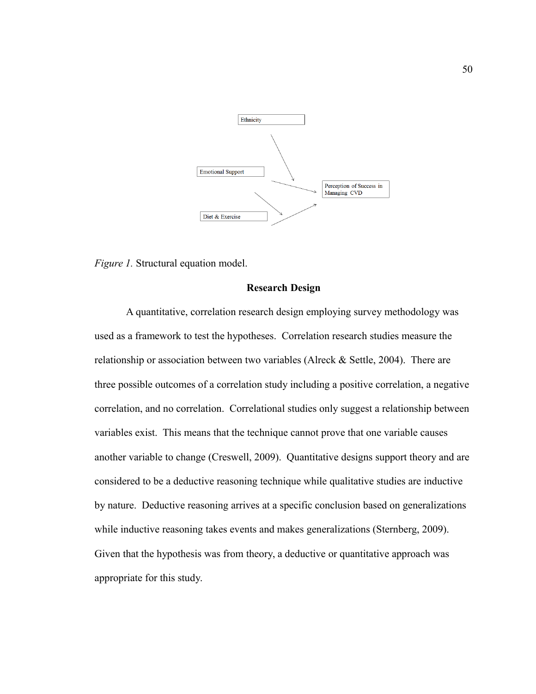

*Figure 1.* Structural equation model.

# **Research Design**

A quantitative, correlation research design employing survey methodology was used as a framework to test the hypotheses. Correlation research studies measure the relationship or association between two variables (Alreck & Settle, 2004). There are three possible outcomes of a correlation study including a positive correlation, a negative correlation, and no correlation. Correlational studies only suggest a relationship between variables exist. This means that the technique cannot prove that one variable causes another variable to change (Creswell, 2009). Quantitative designs support theory and are considered to be a deductive reasoning technique while qualitative studies are inductive by nature. Deductive reasoning arrives at a specific conclusion based on generalizations while inductive reasoning takes events and makes generalizations (Sternberg, 2009). Given that the hypothesis was from theory, a deductive or quantitative approach was appropriate for this study.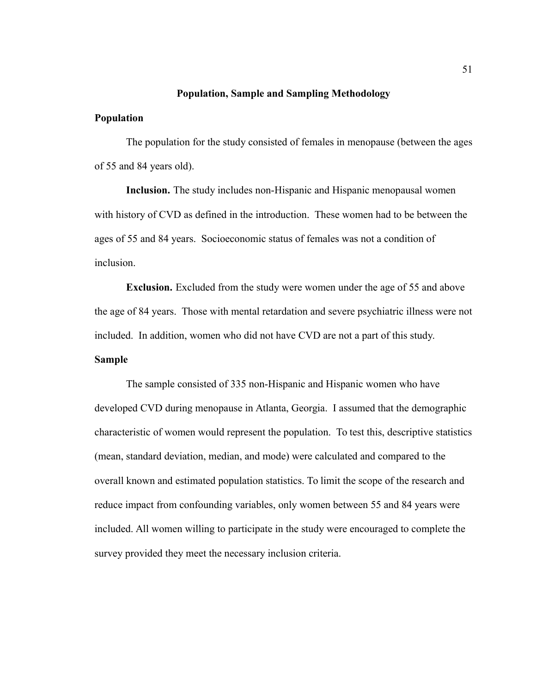## **Population, Sample and Sampling Methodology**

# **Population**

The population for the study consisted of females in menopause (between the ages of 55 and 84 years old).

**Inclusion.** The study includes non-Hispanic and Hispanic menopausal women with history of CVD as defined in the introduction. These women had to be between the ages of 55 and 84 years. Socioeconomic status of females was not a condition of inclusion.

**Exclusion.** Excluded from the study were women under the age of 55 and above the age of 84 years. Those with mental retardation and severe psychiatric illness were not included. In addition, women who did not have CVD are not a part of this study. **Sample**

The sample consisted of 335 non-Hispanic and Hispanic women who have developed CVD during menopause in Atlanta, Georgia. I assumed that the demographic characteristic of women would represent the population. To test this, descriptive statistics (mean, standard deviation, median, and mode) were calculated and compared to the overall known and estimated population statistics. To limit the scope of the research and reduce impact from confounding variables, only women between 55 and 84 years were included. All women willing to participate in the study were encouraged to complete the survey provided they meet the necessary inclusion criteria.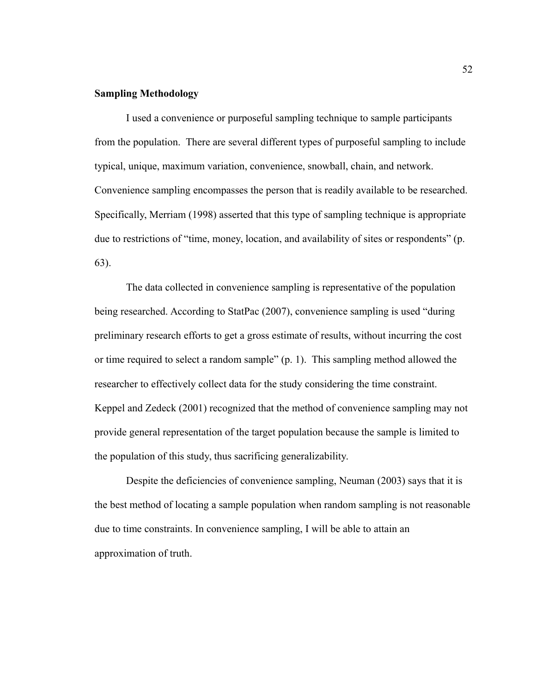# **Sampling Methodology**

I used a convenience or purposeful sampling technique to sample participants from the population. There are several different types of purposeful sampling to include typical, unique, maximum variation, convenience, snowball, chain, and network. Convenience sampling encompasses the person that is readily available to be researched. Specifically, Merriam (1998) asserted that this type of sampling technique is appropriate due to restrictions of "time, money, location, and availability of sites or respondents" (p. 63).

The data collected in convenience sampling is representative of the population being researched. According to StatPac (2007), convenience sampling is used "during preliminary research efforts to get a gross estimate of results, without incurring the cost or time required to select a random sample" (p. 1). This sampling method allowed the researcher to effectively collect data for the study considering the time constraint. Keppel and Zedeck (2001) recognized that the method of convenience sampling may not provide general representation of the target population because the sample is limited to the population of this study, thus sacrificing generalizability.

Despite the deficiencies of convenience sampling, Neuman (2003) says that it is the best method of locating a sample population when random sampling is not reasonable due to time constraints. In convenience sampling, I will be able to attain an approximation of truth.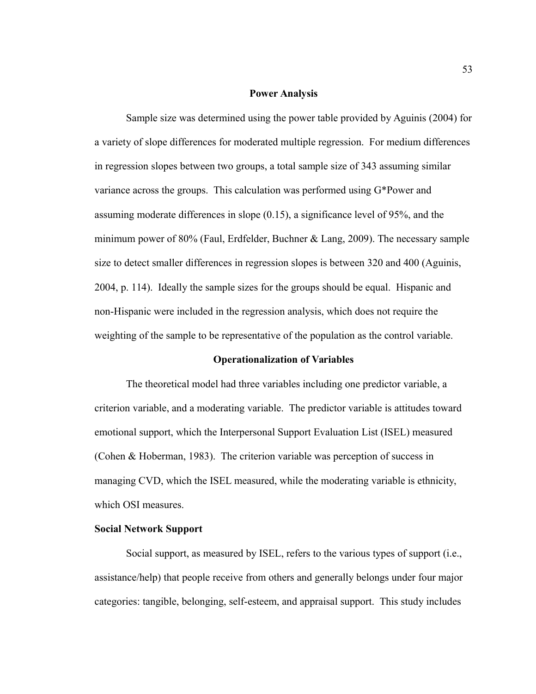### **Power Analysis**

Sample size was determined using the power table provided by Aguinis (2004) for a variety of slope differences for moderated multiple regression. For medium differences in regression slopes between two groups, a total sample size of 343 assuming similar variance across the groups. This calculation was performed using G\*Power and assuming moderate differences in slope (0.15), a significance level of 95%, and the minimum power of 80% (Faul, Erdfelder, Buchner & Lang, 2009). The necessary sample size to detect smaller differences in regression slopes is between 320 and 400 (Aguinis, 2004, p. 114). Ideally the sample sizes for the groups should be equal. Hispanic and non-Hispanic were included in the regression analysis, which does not require the weighting of the sample to be representative of the population as the control variable.

### **Operationalization of Variables**

The theoretical model had three variables including one predictor variable, a criterion variable, and a moderating variable. The predictor variable is attitudes toward emotional support, which the Interpersonal Support Evaluation List (ISEL) measured (Cohen & Hoberman, 1983). The criterion variable was perception of success in managing CVD, which the ISEL measured, while the moderating variable is ethnicity, which OSI measures.

### **Social Network Support**

Social support, as measured by ISEL, refers to the various types of support (i.e., assistance/help) that people receive from others and generally belongs under four major categories: tangible, belonging, self-esteem, and appraisal support. This study includes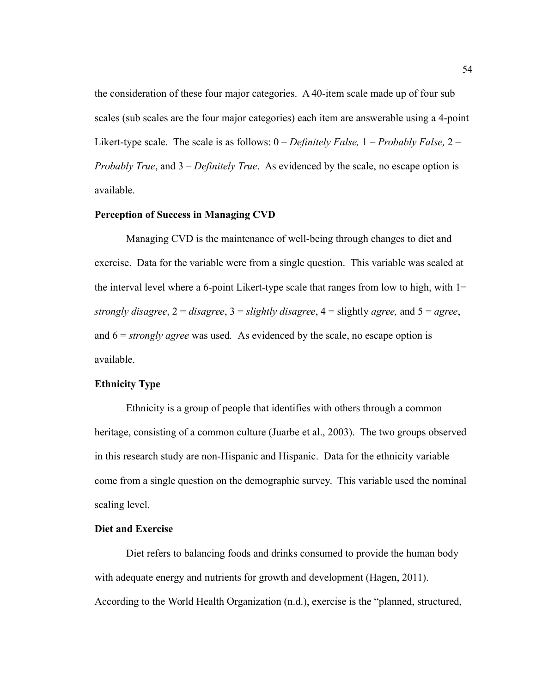the consideration of these four major categories. A 40-item scale made up of four sub scales (sub scales are the four major categories) each item are answerable using a 4-point Likert-type scale. The scale is as follows: 0 – *Definitely False,* 1 – *Probably False,* 2 – *Probably True*, and 3 – *Definitely True*. As evidenced by the scale, no escape option is available.

# **Perception of Success in Managing CVD**

Managing CVD is the maintenance of well-being through changes to diet and exercise. Data for the variable were from a single question. This variable was scaled at the interval level where a 6-point Likert-type scale that ranges from low to high, with  $1=$ *strongly disagree*, 2 = *disagree*, 3 = *slightly disagree*, 4 = slightly *agree,* and 5 = *agree*, and 6 = *strongly agree* was used*.* As evidenced by the scale, no escape option is available.

### **Ethnicity Type**

Ethnicity is a group of people that identifies with others through a common heritage, consisting of a common culture (Juarbe et al., 2003). The two groups observed in this research study are non-Hispanic and Hispanic. Data for the ethnicity variable come from a single question on the demographic survey. This variable used the nominal scaling level.

# **Diet and Exercise**

Diet refers to balancing foods and drinks consumed to provide the human body with adequate energy and nutrients for growth and development (Hagen, 2011). According to the World Health Organization (n.d.), exercise is the "planned, structured,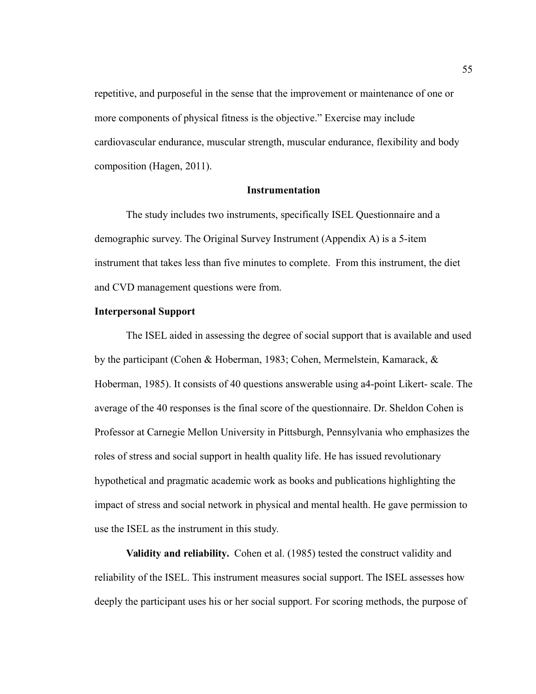repetitive, and purposeful in the sense that the improvement or maintenance of one or more components of physical fitness is the objective." Exercise may include cardiovascular endurance, muscular strength, muscular endurance, flexibility and body composition (Hagen, 2011).

# **Instrumentation**

The study includes two instruments, specifically ISEL Questionnaire and a demographic survey. The Original Survey Instrument (Appendix A) is a 5-item instrument that takes less than five minutes to complete. From this instrument, the diet and CVD management questions were from.

## **Interpersonal Support**

The ISEL aided in assessing the degree of social support that is available and used by the participant (Cohen & Hoberman, 1983; Cohen, Mermelstein, Kamarack, & Hoberman, 1985). It consists of 40 questions answerable using a4-point Likert- scale. The average of the 40 responses is the final score of the questionnaire. Dr. Sheldon Cohen is Professor at Carnegie Mellon University in Pittsburgh, Pennsylvania who emphasizes the roles of stress and social support in health quality life. He has issued revolutionary hypothetical and pragmatic academic work as books and publications highlighting the impact of stress and social network in physical and mental health. He gave permission to use the ISEL as the instrument in this study.

**Validity and reliability.** Cohen et al. (1985) tested the construct validity and reliability of the ISEL. This instrument measures social support. The ISEL assesses how deeply the participant uses his or her social support. For scoring methods, the purpose of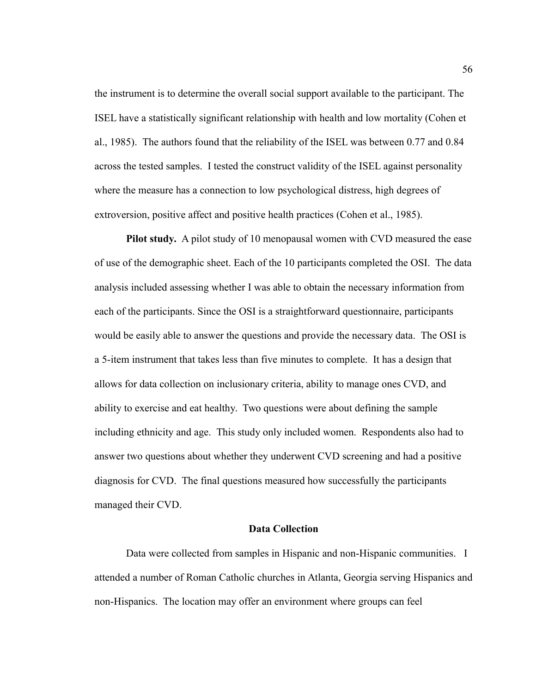the instrument is to determine the overall social support available to the participant. The ISEL have a statistically significant relationship with health and low mortality (Cohen et al., 1985). The authors found that the reliability of the ISEL was between 0.77 and 0.84 across the tested samples. I tested the construct validity of the ISEL against personality where the measure has a connection to low psychological distress, high degrees of extroversion, positive affect and positive health practices (Cohen et al., 1985).

**Pilot study.** A pilot study of 10 menopausal women with CVD measured the ease of use of the demographic sheet. Each of the 10 participants completed the OSI. The data analysis included assessing whether I was able to obtain the necessary information from each of the participants. Since the OSI is a straightforward questionnaire, participants would be easily able to answer the questions and provide the necessary data. The OSI is a 5-item instrument that takes less than five minutes to complete. It has a design that allows for data collection on inclusionary criteria, ability to manage ones CVD, and ability to exercise and eat healthy. Two questions were about defining the sample including ethnicity and age. This study only included women. Respondents also had to answer two questions about whether they underwent CVD screening and had a positive diagnosis for CVD. The final questions measured how successfully the participants managed their CVD.

# **Data Collection**

Data were collected from samples in Hispanic and non-Hispanic communities. I attended a number of Roman Catholic churches in Atlanta, Georgia serving Hispanics and non-Hispanics. The location may offer an environment where groups can feel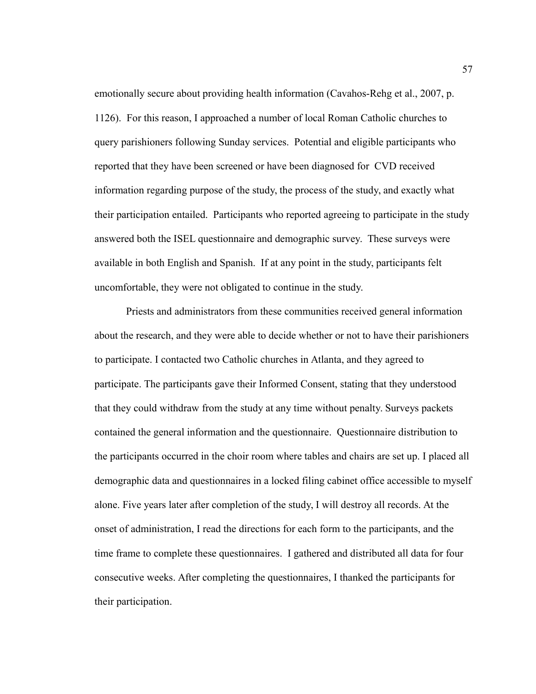emotionally secure about providing health information (Cavahos-Rehg et al., 2007, p. 1126). For this reason, I approached a number of local Roman Catholic churches to query parishioners following Sunday services. Potential and eligible participants who reported that they have been screened or have been diagnosed for CVD received information regarding purpose of the study, the process of the study, and exactly what their participation entailed. Participants who reported agreeing to participate in the study answered both the ISEL questionnaire and demographic survey. These surveys were available in both English and Spanish. If at any point in the study, participants felt uncomfortable, they were not obligated to continue in the study.

Priests and administrators from these communities received general information about the research, and they were able to decide whether or not to have their parishioners to participate. I contacted two Catholic churches in Atlanta, and they agreed to participate. The participants gave their Informed Consent, stating that they understood that they could withdraw from the study at any time without penalty. Surveys packets contained the general information and the questionnaire. Questionnaire distribution to the participants occurred in the choir room where tables and chairs are set up. I placed all demographic data and questionnaires in a locked filing cabinet office accessible to myself alone. Five years later after completion of the study, I will destroy all records. At the onset of administration, I read the directions for each form to the participants, and the time frame to complete these questionnaires. I gathered and distributed all data for four consecutive weeks. After completing the questionnaires, I thanked the participants for their participation.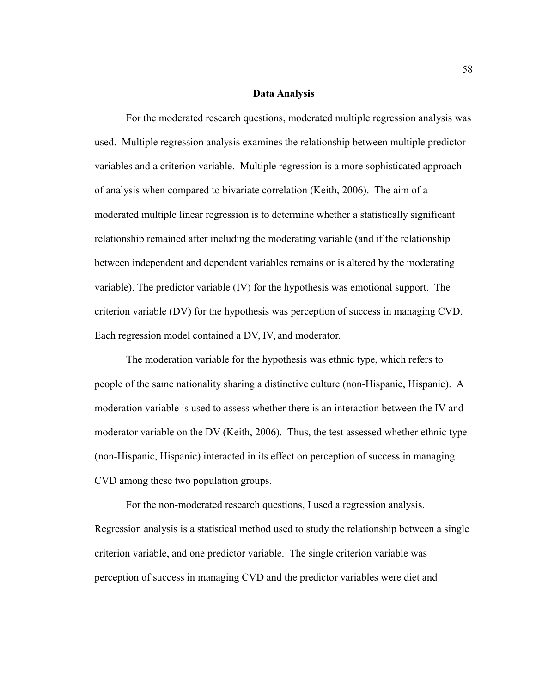# **Data Analysis**

For the moderated research questions, moderated multiple regression analysis was used. Multiple regression analysis examines the relationship between multiple predictor variables and a criterion variable. Multiple regression is a more sophisticated approach of analysis when compared to bivariate correlation (Keith, 2006). The aim of a moderated multiple linear regression is to determine whether a statistically significant relationship remained after including the moderating variable (and if the relationship between independent and dependent variables remains or is altered by the moderating variable). The predictor variable (IV) for the hypothesis was emotional support. The criterion variable (DV) for the hypothesis was perception of success in managing CVD. Each regression model contained a DV, IV, and moderator.

The moderation variable for the hypothesis was ethnic type, which refers to people of the same nationality sharing a distinctive culture (non-Hispanic, Hispanic). A moderation variable is used to assess whether there is an interaction between the IV and moderator variable on the DV (Keith, 2006). Thus, the test assessed whether ethnic type (non-Hispanic, Hispanic) interacted in its effect on perception of success in managing CVD among these two population groups.

For the non-moderated research questions, I used a regression analysis. Regression analysis is a statistical method used to study the relationship between a single criterion variable, and one predictor variable. The single criterion variable was perception of success in managing CVD and the predictor variables were diet and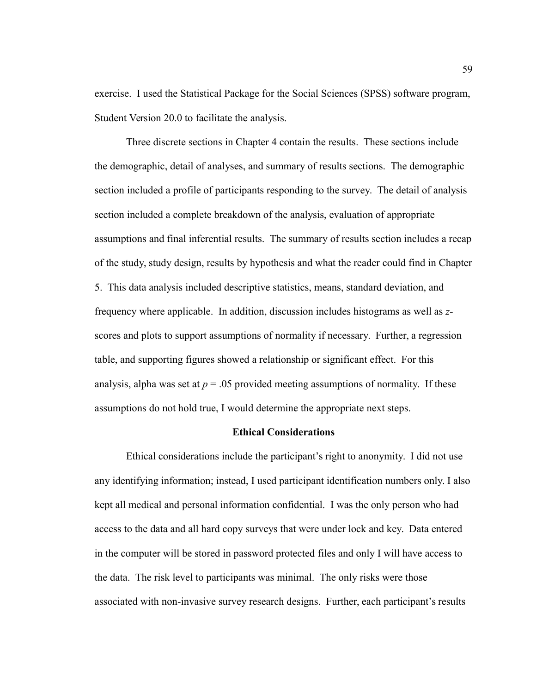exercise. I used the Statistical Package for the Social Sciences (SPSS) software program, Student Version 20.0 to facilitate the analysis.

Three discrete sections in Chapter 4 contain the results. These sections include the demographic, detail of analyses, and summary of results sections. The demographic section included a profile of participants responding to the survey. The detail of analysis section included a complete breakdown of the analysis, evaluation of appropriate assumptions and final inferential results. The summary of results section includes a recap of the study, study design, results by hypothesis and what the reader could find in Chapter 5. This data analysis included descriptive statistics, means, standard deviation, and frequency where applicable. In addition, discussion includes histograms as well as *z*scores and plots to support assumptions of normality if necessary. Further, a regression table, and supporting figures showed a relationship or significant effect. For this analysis, alpha was set at  $p = 0.05$  provided meeting assumptions of normality. If these assumptions do not hold true, I would determine the appropriate next steps.

### **Ethical Considerations**

Ethical considerations include the participant's right to anonymity. I did not use any identifying information; instead, I used participant identification numbers only. I also kept all medical and personal information confidential. I was the only person who had access to the data and all hard copy surveys that were under lock and key. Data entered in the computer will be stored in password protected files and only I will have access to the data. The risk level to participants was minimal. The only risks were those associated with non-invasive survey research designs. Further, each participant's results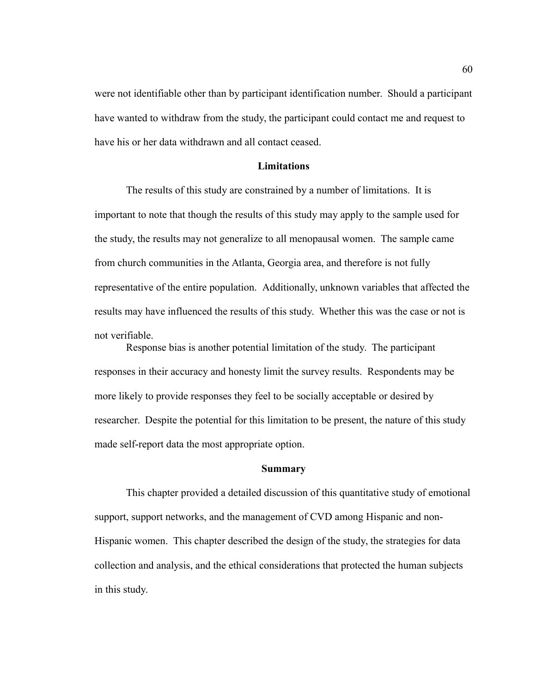were not identifiable other than by participant identification number. Should a participant have wanted to withdraw from the study, the participant could contact me and request to have his or her data withdrawn and all contact ceased.

# **Limitations**

The results of this study are constrained by a number of limitations. It is important to note that though the results of this study may apply to the sample used for the study, the results may not generalize to all menopausal women. The sample came from church communities in the Atlanta, Georgia area, and therefore is not fully representative of the entire population. Additionally, unknown variables that affected the results may have influenced the results of this study. Whether this was the case or not is not verifiable.

Response bias is another potential limitation of the study. The participant responses in their accuracy and honesty limit the survey results. Respondents may be more likely to provide responses they feel to be socially acceptable or desired by researcher. Despite the potential for this limitation to be present, the nature of this study made self-report data the most appropriate option.

## **Summary**

This chapter provided a detailed discussion of this quantitative study of emotional support, support networks, and the management of CVD among Hispanic and non-Hispanic women. This chapter described the design of the study, the strategies for data collection and analysis, and the ethical considerations that protected the human subjects in this study.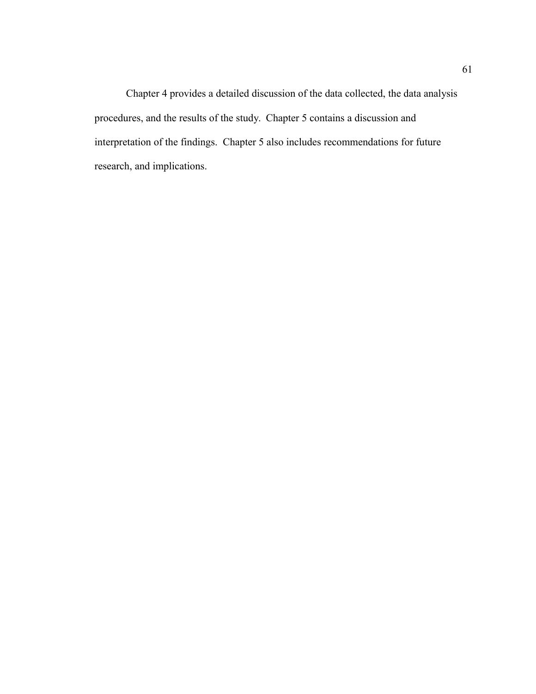Chapter 4 provides a detailed discussion of the data collected, the data analysis procedures, and the results of the study. Chapter 5 contains a discussion and interpretation of the findings. Chapter 5 also includes recommendations for future research, and implications.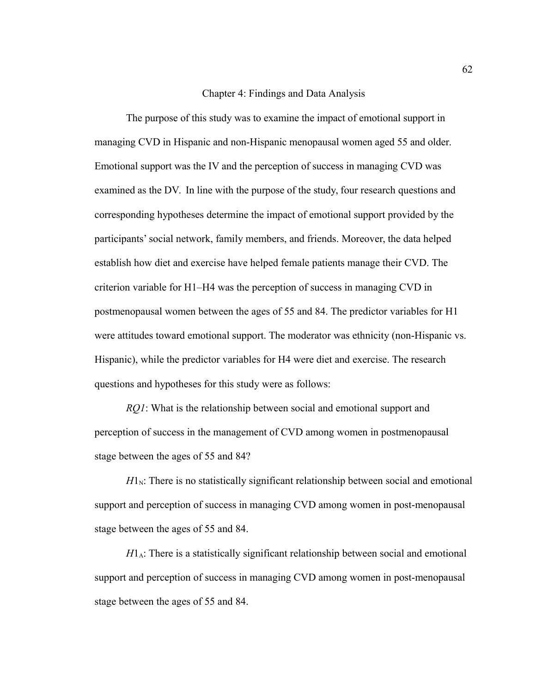## Chapter 4: Findings and Data Analysis

The purpose of this study was to examine the impact of emotional support in managing CVD in Hispanic and non-Hispanic menopausal women aged 55 and older. Emotional support was the IV and the perception of success in managing CVD was examined as the DV. In line with the purpose of the study, four research questions and corresponding hypotheses determine the impact of emotional support provided by the participants' social network, family members, and friends. Moreover, the data helped establish how diet and exercise have helped female patients manage their CVD. The criterion variable for H1–H4 was the perception of success in managing CVD in postmenopausal women between the ages of 55 and 84. The predictor variables for H1 were attitudes toward emotional support. The moderator was ethnicity (non-Hispanic vs. Hispanic), while the predictor variables for H4 were diet and exercise. The research questions and hypotheses for this study were as follows:

*RQ1*: What is the relationship between social and emotional support and perception of success in the management of CVD among women in postmenopausal stage between the ages of 55 and 84?

 $H<sub>N</sub>$ : There is no statistically significant relationship between social and emotional support and perception of success in managing CVD among women in post-menopausal stage between the ages of 55 and 84.

 $H1_A$ : There is a statistically significant relationship between social and emotional support and perception of success in managing CVD among women in post-menopausal stage between the ages of 55 and 84.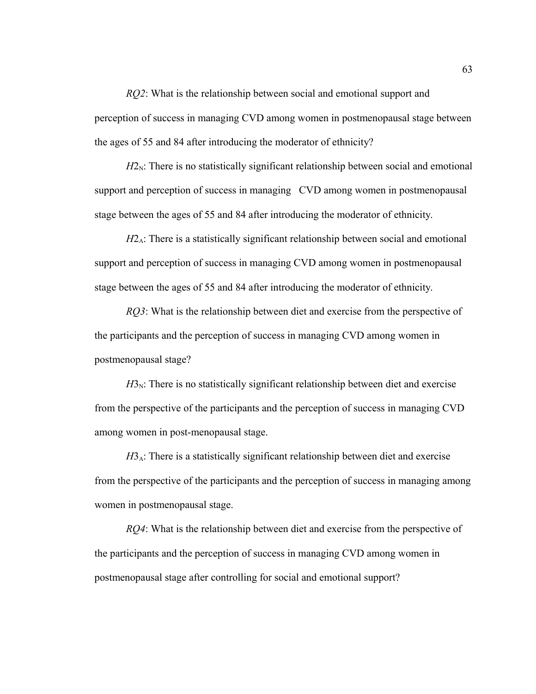*RQ2*: What is the relationship between social and emotional support and perception of success in managing CVD among women in postmenopausal stage between the ages of 55 and 84 after introducing the moderator of ethnicity?

 $H2<sub>N</sub>$ : There is no statistically significant relationship between social and emotional support and perception of success in managing CVD among women in postmenopausal stage between the ages of 55 and 84 after introducing the moderator of ethnicity.

 $H2_A$ : There is a statistically significant relationship between social and emotional support and perception of success in managing CVD among women in postmenopausal stage between the ages of 55 and 84 after introducing the moderator of ethnicity.

*RQ3*: What is the relationship between diet and exercise from the perspective of the participants and the perception of success in managing CVD among women in postmenopausal stage?

 $H3<sub>N</sub>$ : There is no statistically significant relationship between diet and exercise from the perspective of the participants and the perception of success in managing CVD among women in post-menopausal stage.

*H*3<sub>A</sub>: There is a statistically significant relationship between diet and exercise from the perspective of the participants and the perception of success in managing among women in postmenopausal stage.

*RQ4*: What is the relationship between diet and exercise from the perspective of the participants and the perception of success in managing CVD among women in postmenopausal stage after controlling for social and emotional support?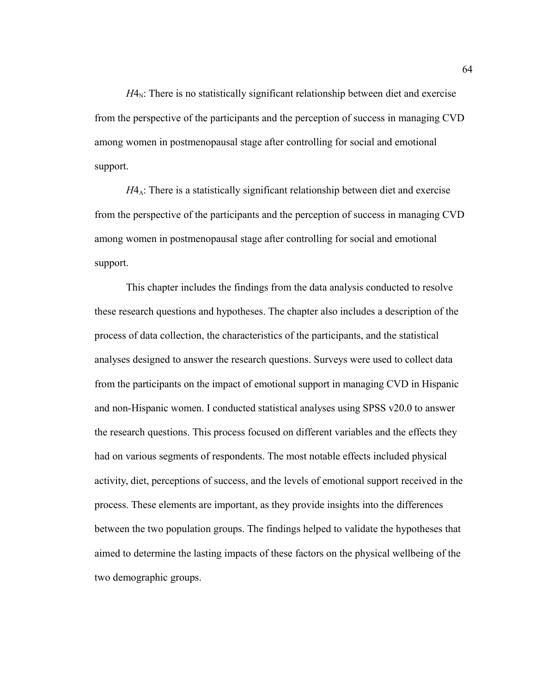$H4<sub>N</sub>$ : There is no statistically significant relationship between diet and exercise from the perspective of the participants and the perception of success in managing CVD among women in postmenopausal stage after controlling for social and emotional support.

*H*4<sub>A</sub>: There is a statistically significant relationship between diet and exercise from the perspective of the participants and the perception of success in managing CVD among women in postmenopausal stage after controlling for social and emotional support.

This chapter includes the findings from the data analysis conducted to resolve these research questions and hypotheses. The chapter also includes a description of the process of data collection, the characteristics of the participants, and the statistical analyses designed to answer the research questions. Surveys were used to collect data from the participants on the impact of emotional support in managing CVD in Hispanic and non-Hispanic women. I conducted statistical analyses using SPSS v20.0 to answer the research questions. This process focused on different variables and the effects they had on various segments of respondents. The most notable effects included physical activity, diet, perceptions of success, and the levels of emotional support received in the process. These elements are important, as they provide insights into the differences between the two population groups. The findings helped to validate the hypotheses that aimed to determine the lasting impacts of these factors on the physical wellbeing of the two demographic groups.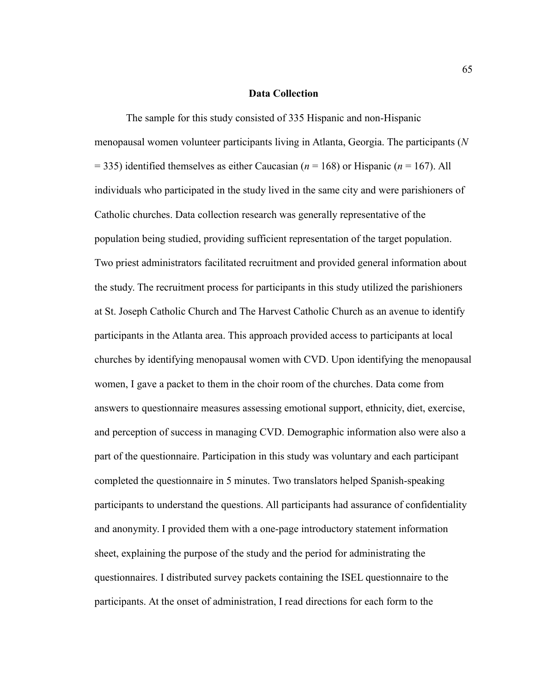#### **Data Collection**

The sample for this study consisted of 335 Hispanic and non-Hispanic menopausal women volunteer participants living in Atlanta, Georgia. The participants (*N* = 335) identified themselves as either Caucasian (*n* = 168) or Hispanic (*n* = 167). All individuals who participated in the study lived in the same city and were parishioners of Catholic churches. Data collection research was generally representative of the population being studied, providing sufficient representation of the target population. Two priest administrators facilitated recruitment and provided general information about the study. The recruitment process for participants in this study utilized the parishioners at St. Joseph Catholic Church and The Harvest Catholic Church as an avenue to identify participants in the Atlanta area. This approach provided access to participants at local churches by identifying menopausal women with CVD. Upon identifying the menopausal women, I gave a packet to them in the choir room of the churches. Data come from answers to questionnaire measures assessing emotional support, ethnicity, diet, exercise, and perception of success in managing CVD. Demographic information also were also a part of the questionnaire. Participation in this study was voluntary and each participant completed the questionnaire in 5 minutes. Two translators helped Spanish-speaking participants to understand the questions. All participants had assurance of confidentiality and anonymity. I provided them with a one-page introductory statement information sheet, explaining the purpose of the study and the period for administrating the questionnaires. I distributed survey packets containing the ISEL questionnaire to the participants. At the onset of administration, I read directions for each form to the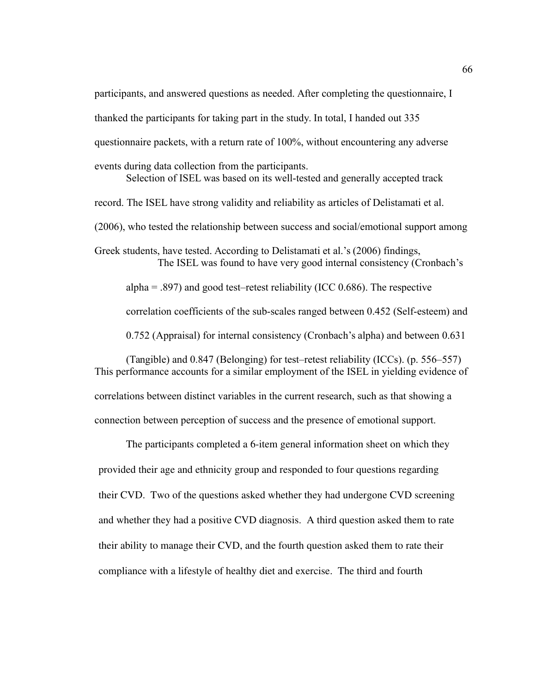participants, and answered questions as needed. After completing the questionnaire, I

thanked the participants for taking part in the study. In total, I handed out 335

questionnaire packets, with a return rate of 100%, without encountering any adverse

events during data collection from the participants.

Selection of ISEL was based on its well-tested and generally accepted track record. The ISEL have strong validity and reliability as articles of Delistamati et al. (2006), who tested the relationship between success and social/emotional support among Greek students, have tested. According to Delistamati et al.'s (2006) findings,

The ISEL was found to have very good internal consistency (Cronbach's

alpha  $= .897$ ) and good test–retest reliability (ICC 0.686). The respective

correlation coefficients of the sub-scales ranged between 0.452 (Self-esteem) and

0.752 (Appraisal) for internal consistency (Cronbach's alpha) and between 0.631

(Tangible) and 0.847 (Belonging) for test–retest reliability (ICCs). (p. 556–557) This performance accounts for a similar employment of the ISEL in yielding evidence of correlations between distinct variables in the current research, such as that showing a connection between perception of success and the presence of emotional support.

The participants completed a 6-item general information sheet on which they provided their age and ethnicity group and responded to four questions regarding their CVD. Two of the questions asked whether they had undergone CVD screening and whether they had a positive CVD diagnosis. A third question asked them to rate their ability to manage their CVD, and the fourth question asked them to rate their compliance with a lifestyle of healthy diet and exercise. The third and fourth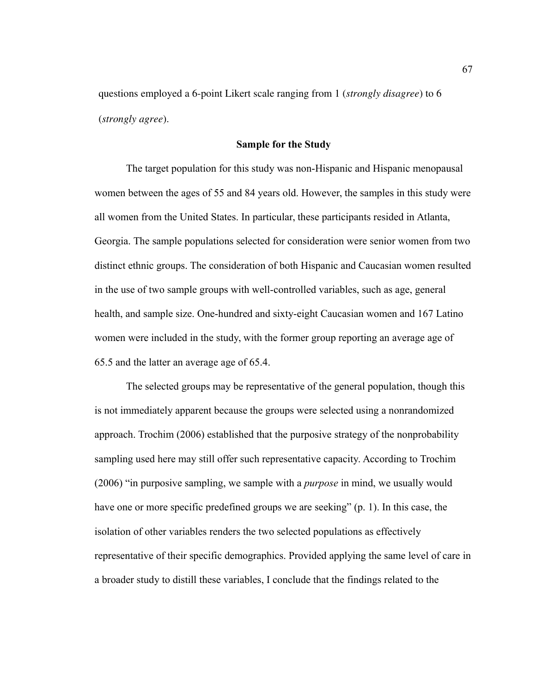questions employed a 6-point Likert scale ranging from 1 (*strongly disagree*) to 6 (*strongly agree*).

#### **Sample for the Study**

The target population for this study was non-Hispanic and Hispanic menopausal women between the ages of 55 and 84 years old. However, the samples in this study were all women from the United States. In particular, these participants resided in Atlanta, Georgia. The sample populations selected for consideration were senior women from two distinct ethnic groups. The consideration of both Hispanic and Caucasian women resulted in the use of two sample groups with well-controlled variables, such as age, general health, and sample size. One-hundred and sixty-eight Caucasian women and 167 Latino women were included in the study, with the former group reporting an average age of 65.5 and the latter an average age of 65.4.

The selected groups may be representative of the general population, though this is not immediately apparent because the groups were selected using a nonrandomized approach. Trochim (2006) established that the purposive strategy of the nonprobability sampling used here may still offer such representative capacity. According to Trochim (2006) "in purposive sampling, we sample with a *purpose* in mind, we usually would have one or more specific predefined groups we are seeking" (p. 1). In this case, the isolation of other variables renders the two selected populations as effectively representative of their specific demographics. Provided applying the same level of care in a broader study to distill these variables, I conclude that the findings related to the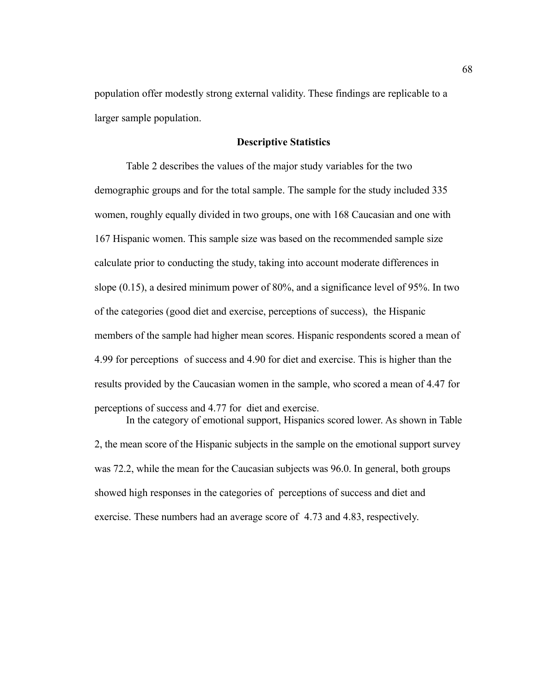population offer modestly strong external validity. These findings are replicable to a larger sample population.

## **Descriptive Statistics**

Table 2 describes the values of the major study variables for the two demographic groups and for the total sample. The sample for the study included 335 women, roughly equally divided in two groups, one with 168 Caucasian and one with 167 Hispanic women. This sample size was based on the recommended sample size calculate prior to conducting the study, taking into account moderate differences in slope (0.15), a desired minimum power of 80%, and a significance level of 95%. In two of the categories (good diet and exercise, perceptions of success), the Hispanic members of the sample had higher mean scores. Hispanic respondents scored a mean of 4.99 for perceptions of success and 4.90 for diet and exercise. This is higher than the results provided by the Caucasian women in the sample, who scored a mean of 4.47 for perceptions of success and 4.77 for diet and exercise.

In the category of emotional support, Hispanics scored lower. As shown in Table 2, the mean score of the Hispanic subjects in the sample on the emotional support survey was 72.2, while the mean for the Caucasian subjects was 96.0. In general, both groups showed high responses in the categories of perceptions of success and diet and exercise. These numbers had an average score of 4.73 and 4.83, respectively.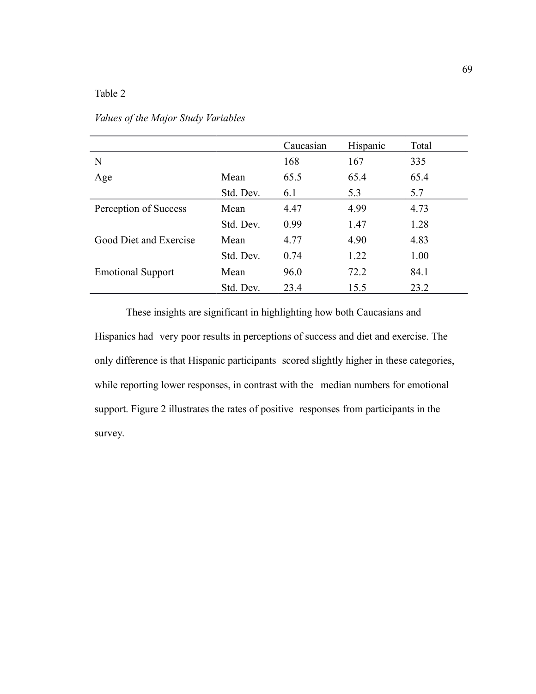|                          |           | Caucasian | Hispanic | Total |
|--------------------------|-----------|-----------|----------|-------|
| N                        |           | 168       | 167      | 335   |
| Age                      | Mean      | 65.5      | 65.4     | 65.4  |
|                          | Std. Dev. | 6.1       | 5.3      | 5.7   |
| Perception of Success    | Mean      | 4.47      | 4.99     | 4.73  |
|                          | Std. Dev. | 0.99      | 1.47     | 1.28  |
| Good Diet and Exercise   | Mean      | 4.77      | 4.90     | 4.83  |
|                          | Std. Dev. | 0.74      | 1.22     | 1.00  |
| <b>Emotional Support</b> | Mean      | 96.0      | 72.2     | 84.1  |
|                          | Std. Dev. | 23.4      | 15.5     | 23.2  |

## *Values of the Major Study Variables*

These insights are significant in highlighting how both Caucasians and Hispanics had very poor results in perceptions of success and diet and exercise. The only difference is that Hispanic participants scored slightly higher in these categories, while reporting lower responses, in contrast with the median numbers for emotional support. Figure 2 illustrates the rates of positive responses from participants in the survey.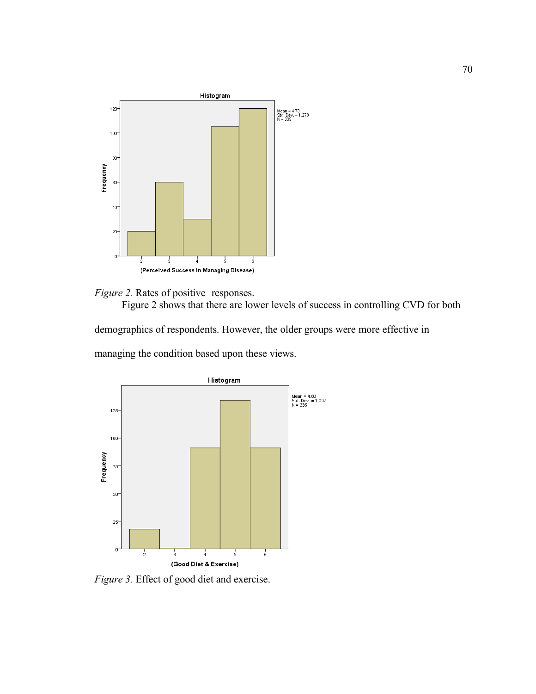



Figure 2 shows that there are lower levels of success in controlling CVD for both

demographics of respondents. However, the older groups were more effective in managing the condition based upon these views.



*Figure 3.* Effect of good diet and exercise.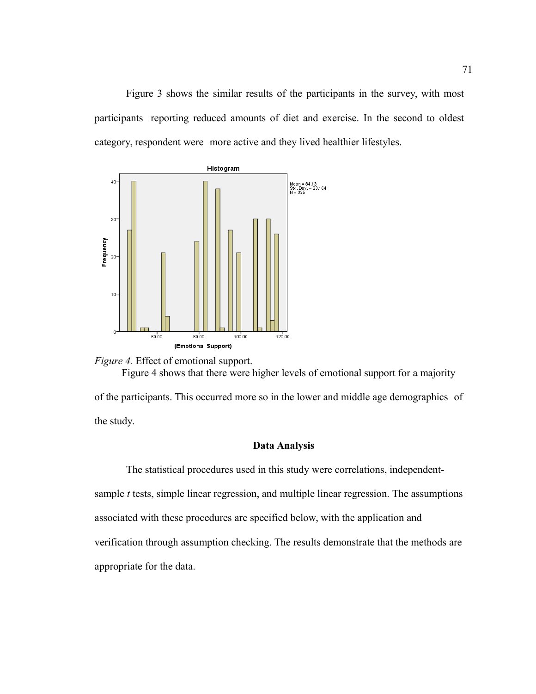Figure 3 shows the similar results of the participants in the survey, with most participants reporting reduced amounts of diet and exercise. In the second to oldest category, respondent were more active and they lived healthier lifestyles.





## **Data Analysis**

The statistical procedures used in this study were correlations, independentsample *t* tests, simple linear regression, and multiple linear regression. The assumptions associated with these procedures are specified below, with the application and verification through assumption checking. The results demonstrate that the methods are appropriate for the data.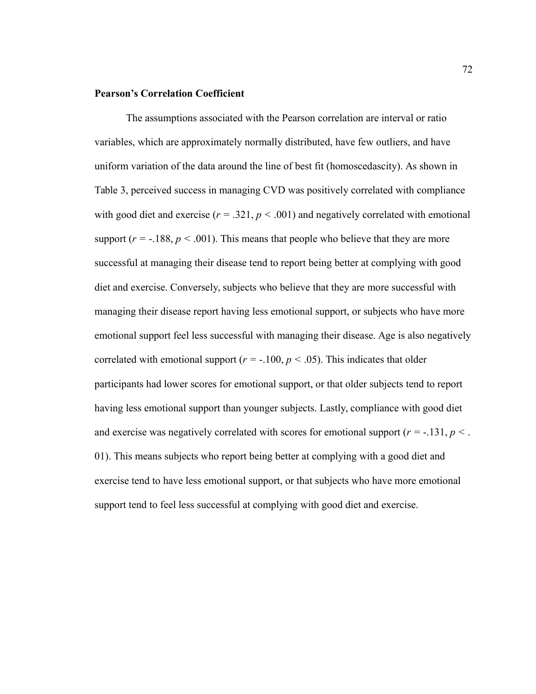## **Pearson's Correlation Coefficient**

The assumptions associated with the Pearson correlation are interval or ratio variables, which are approximately normally distributed, have few outliers, and have uniform variation of the data around the line of best fit (homoscedascity). As shown in Table 3, perceived success in managing CVD was positively correlated with compliance with good diet and exercise  $(r = .321, p < .001)$  and negatively correlated with emotional support ( $r = -188$ ,  $p < .001$ ). This means that people who believe that they are more successful at managing their disease tend to report being better at complying with good diet and exercise. Conversely, subjects who believe that they are more successful with managing their disease report having less emotional support, or subjects who have more emotional support feel less successful with managing their disease. Age is also negatively correlated with emotional support ( $r = -100$ ,  $p < .05$ ). This indicates that older participants had lower scores for emotional support, or that older subjects tend to report having less emotional support than younger subjects. Lastly, compliance with good diet and exercise was negatively correlated with scores for emotional support ( $r = -131$ ,  $p <$ .) 01). This means subjects who report being better at complying with a good diet and exercise tend to have less emotional support, or that subjects who have more emotional support tend to feel less successful at complying with good diet and exercise.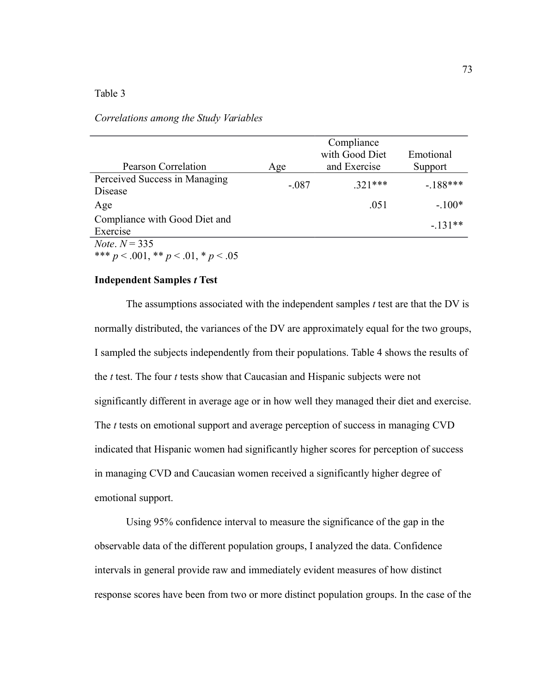#### *Correlations among the Study Variables*

|                                             |         | Compliance     |           |
|---------------------------------------------|---------|----------------|-----------|
|                                             |         | with Good Diet | Emotional |
| <b>Pearson Correlation</b>                  | Age     | and Exercise   | Support   |
| Perceived Success in Managing               | $-.087$ | $.321***$      | $-188***$ |
| Disease                                     |         |                |           |
| Age                                         |         | .051           | $-.100*$  |
| Compliance with Good Diet and               |         |                | $-.131**$ |
| Exercise                                    |         |                |           |
| <i>Note</i> , $N = 335$                     |         |                |           |
| *** $p < .001$ , ** $p < .01$ , * $p < .05$ |         |                |           |

## **Independent Samples** *t* **Test**

The assumptions associated with the independent samples *t* test are that the DV is normally distributed, the variances of the DV are approximately equal for the two groups, I sampled the subjects independently from their populations. Table 4 shows the results of the *t* test. The four *t* tests show that Caucasian and Hispanic subjects were not significantly different in average age or in how well they managed their diet and exercise. The *t* tests on emotional support and average perception of success in managing CVD indicated that Hispanic women had significantly higher scores for perception of success in managing CVD and Caucasian women received a significantly higher degree of emotional support.

Using 95% confidence interval to measure the significance of the gap in the observable data of the different population groups, I analyzed the data. Confidence intervals in general provide raw and immediately evident measures of how distinct response scores have been from two or more distinct population groups. In the case of the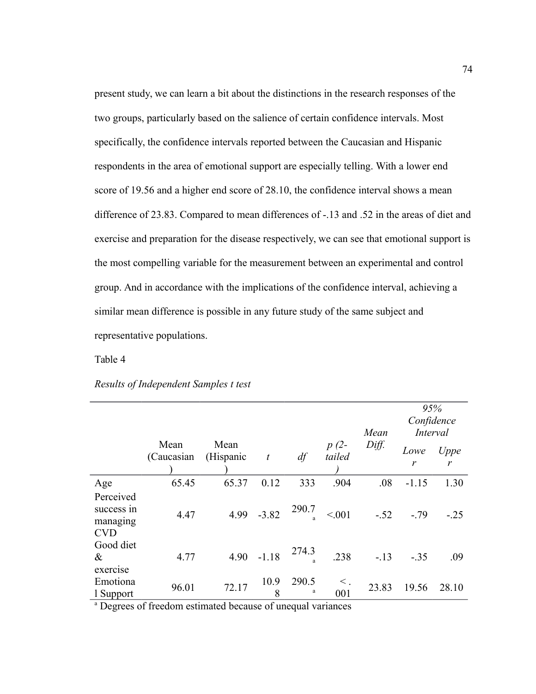present study, we can learn a bit about the distinctions in the research responses of the two groups, particularly based on the salience of certain confidence intervals. Most specifically, the confidence intervals reported between the Caucasian and Hispanic respondents in the area of emotional support are especially telling. With a lower end score of 19.56 and a higher end score of 28.10, the confidence interval shows a mean difference of 23.83. Compared to mean differences of -.13 and .52 in the areas of diet and exercise and preparation for the disease respectively, we can see that emotional support is the most compelling variable for the measurement between an experimental and control group. And in accordance with the implications of the confidence interval, achieving a similar mean difference is possible in any future study of the same subject and representative populations.

## Table 4

|                                                   |                     |                   |                  |            |                  | Mean   | 95%<br>Confidence<br>Interval |           |
|---------------------------------------------------|---------------------|-------------------|------------------|------------|------------------|--------|-------------------------------|-----------|
|                                                   | Mean<br>(Caucasian) | Mean<br>(Hispanic | $\boldsymbol{t}$ | df         | $p(2-$<br>tailed | Diff.  | Lowe<br>r                     | Uppe<br>r |
| Age                                               | 65.45               | 65.37             | 0.12             | 333        | .904             | .08    | $-1.15$                       | 1.30      |
| Perceived<br>success in<br>managing<br><b>CVD</b> | 4.47                | 4.99              | $-3.82$          | 290.7      | < 0.01           | $-.52$ | $-.79$                        | $-0.25$   |
| Good diet<br>$\&$<br>exercise                     | 4.77                | 4.90              | $-1.18$          | 274.3      | .238             | $-13$  | $-.35$                        | .09       |
| Emotiona<br>1 Support                             | 96.01               | 72.17             | 10.9<br>8        | 290.5<br>a | $<$ .<br>001     | 23.83  | 19.56                         | 28.10     |

*Results of Independent Samples t test*

a Degrees of freedom estimated because of unequal variances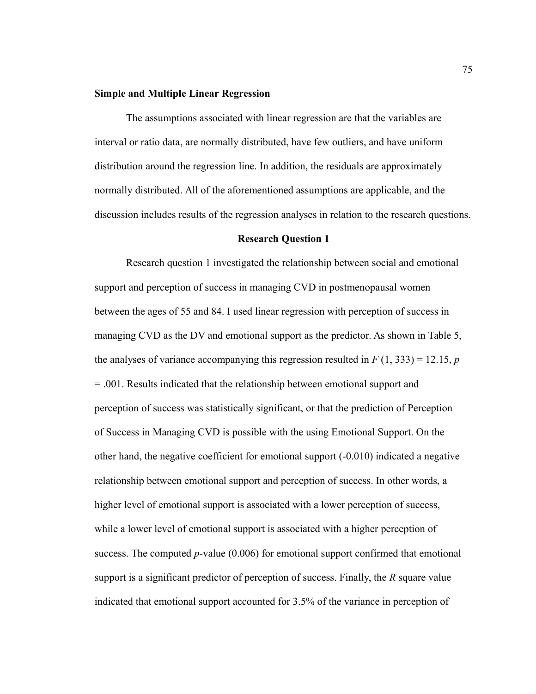## **Simple and Multiple Linear Regression**

The assumptions associated with linear regression are that the variables are interval or ratio data, are normally distributed, have few outliers, and have uniform distribution around the regression line. In addition, the residuals are approximately normally distributed. All of the aforementioned assumptions are applicable, and the discussion includes results of the regression analyses in relation to the research questions.

#### **Research Question 1**

Research question 1 investigated the relationship between social and emotional support and perception of success in managing CVD in postmenopausal women between the ages of 55 and 84. I used linear regression with perception of success in managing CVD as the DV and emotional support as the predictor. As shown in Table 5, the analyses of variance accompanying this regression resulted in  $F(1, 333) = 12.15$ , *p* = .001. Results indicated that the relationship between emotional support and perception of success was statistically significant, or that the prediction of Perception of Success in Managing CVD is possible with the using Emotional Support. On the other hand, the negative coefficient for emotional support (-0.010) indicated a negative relationship between emotional support and perception of success. In other words, a higher level of emotional support is associated with a lower perception of success, while a lower level of emotional support is associated with a higher perception of success. The computed *p*-value (0.006) for emotional support confirmed that emotional support is a significant predictor of perception of success. Finally, the *R* square value indicated that emotional support accounted for 3.5% of the variance in perception of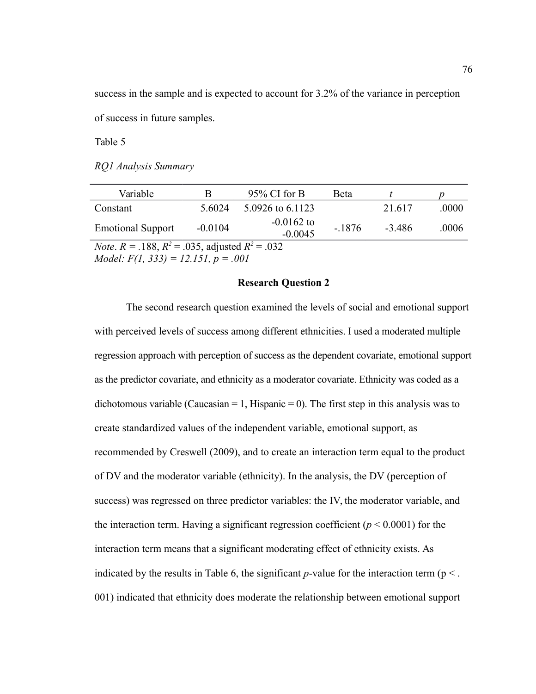success in the sample and is expected to account for 3.2% of the variance in perception of success in future samples.

Table 5

*RQ1 Analysis Summary*

| Variable                                                       |           | $95\%$ CI for B           | Beta    |        |       |  |  |
|----------------------------------------------------------------|-----------|---------------------------|---------|--------|-------|--|--|
| Constant                                                       | 5 6024    | 5.0926 to 6.1123          |         | 21.617 | .0000 |  |  |
| <b>Emotional Support</b>                                       | $-0.0104$ | $-0.0162$ to<br>$-0.0045$ | $-1876$ | -3 486 | .0006 |  |  |
| <i>Note.</i> $R = .188$ , $R^2 = .035$ , adjusted $R^2 = .032$ |           |                           |         |        |       |  |  |
| <i>Model:</i> $F(1, 333) = 12.151$ , $p = .001$                |           |                           |         |        |       |  |  |

#### **Research Question 2**

The second research question examined the levels of social and emotional support with perceived levels of success among different ethnicities. I used a moderated multiple regression approach with perception of success as the dependent covariate, emotional support as the predictor covariate, and ethnicity as a moderator covariate. Ethnicity was coded as a dichotomous variable (Caucasian = 1, Hispanic = 0). The first step in this analysis was to create standardized values of the independent variable, emotional support, as recommended by Creswell (2009), and to create an interaction term equal to the product of DV and the moderator variable (ethnicity). In the analysis, the DV (perception of success) was regressed on three predictor variables: the IV, the moderator variable, and the interaction term. Having a significant regression coefficient  $(p < 0.0001)$  for the interaction term means that a significant moderating effect of ethnicity exists. As indicated by the results in Table 6, the significant  $p$ -value for the interaction term ( $p <$ . 001) indicated that ethnicity does moderate the relationship between emotional support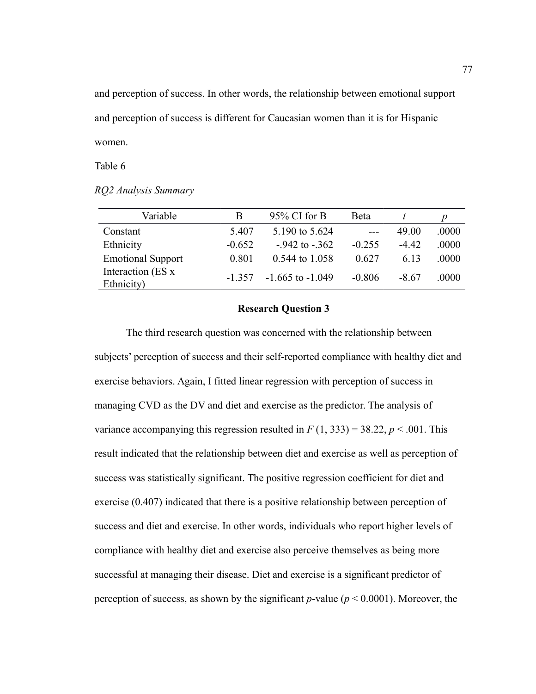and perception of success. In other words, the relationship between emotional support and perception of success is different for Caucasian women than it is for Hispanic women.

Table 6

*RQ2 Analysis Summary*

| Variable                         | B        | $95\%$ CI for B      | <b>Beta</b> |         |       |
|----------------------------------|----------|----------------------|-------------|---------|-------|
| Constant                         | 5.407    | 5.190 to 5.624       |             | 49.00   | .0000 |
| Ethnicity                        | $-0.652$ | $-942$ to $-362$     | $-0.255$    | $-4.42$ | .0000 |
| <b>Emotional Support</b>         | 0.801    | 0.544 to 1.058       | 0.627       | 6.13    | .0000 |
| Interaction (ES x)<br>Ethnicity) | $-1357$  | $-1.665$ to $-1.049$ | $-0.806$    | -8.67   | .0000 |

## **Research Question 3**

The third research question was concerned with the relationship between subjects' perception of success and their self-reported compliance with healthy diet and exercise behaviors. Again, I fitted linear regression with perception of success in managing CVD as the DV and diet and exercise as the predictor. The analysis of variance accompanying this regression resulted in  $F(1, 333) = 38.22$ ,  $p < .001$ . This result indicated that the relationship between diet and exercise as well as perception of success was statistically significant. The positive regression coefficient for diet and exercise (0.407) indicated that there is a positive relationship between perception of success and diet and exercise. In other words, individuals who report higher levels of compliance with healthy diet and exercise also perceive themselves as being more successful at managing their disease. Diet and exercise is a significant predictor of perception of success, as shown by the significant *p*-value (*p* < 0.0001). Moreover, the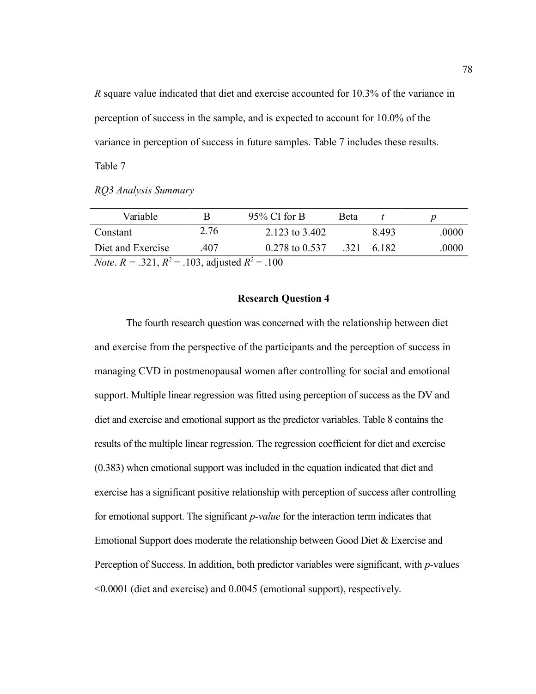*R* square value indicated that diet and exercise accounted for 10.3% of the variance in perception of success in the sample, and is expected to account for 10.0% of the variance in perception of success in future samples. Table 7 includes these results.

Table 7

*RQ3 Analysis Summary*

| Variable                                                       |      | $95\%$ CI for B    | <b>Beta</b> |           |       |  |  |
|----------------------------------------------------------------|------|--------------------|-------------|-----------|-------|--|--|
| Constant                                                       | 2.76 | 2.123 to 3.402     |             | 8493      | .0000 |  |  |
| Diet and Exercise                                              | 407  | $0.278$ to $0.537$ |             | 321 6.182 | .0000 |  |  |
| <i>Note.</i> $R = .321$ , $R^2 = .103$ , adjusted $R^2 = .100$ |      |                    |             |           |       |  |  |

## **Research Question 4**

The fourth research question was concerned with the relationship between diet and exercise from the perspective of the participants and the perception of success in managing CVD in postmenopausal women after controlling for social and emotional support. Multiple linear regression was fitted using perception of success as the DV and diet and exercise and emotional support as the predictor variables. Table 8 contains the results of the multiple linear regression. The regression coefficient for diet and exercise (0.383) when emotional support was included in the equation indicated that diet and exercise has a significant positive relationship with perception of success after controlling for emotional support. The significant *p-value* for the interaction term indicates that Emotional Support does moderate the relationship between Good Diet & Exercise and Perception of Success. In addition, both predictor variables were significant, with *p*-values <0.0001 (diet and exercise) and 0.0045 (emotional support), respectively.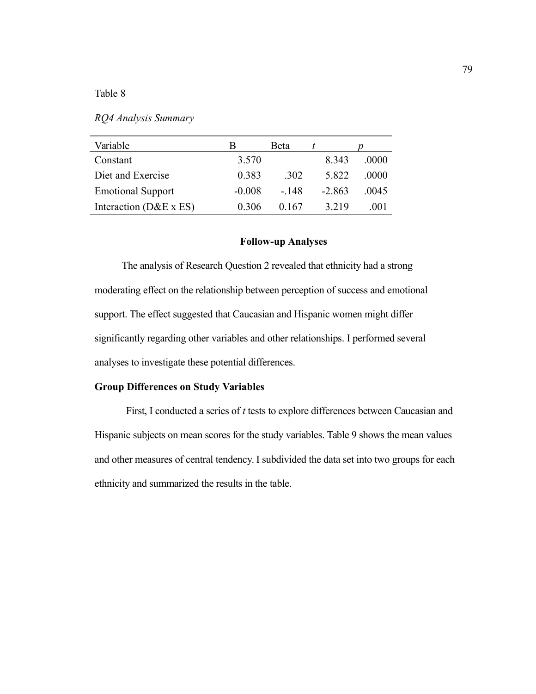| RQ4 Analysis Summary |  |  |  |  |
|----------------------|--|--|--|--|
|----------------------|--|--|--|--|

| Variable                   |          | <b>Beta</b> |         |         |
|----------------------------|----------|-------------|---------|---------|
| Constant                   | 3.570    |             | 8 3 4 3 | (0000)  |
| Diet and Exercise          | 0.383    | 302         | 5 822   | 0000    |
| <b>Emotional Support</b>   | $-0.008$ | - 148       | $-2863$ | (0.045) |
| Interaction ( $D&E x ES$ ) | 0.306    | 0.167       | 3 2 1 9 | 001     |

## **Follow-up Analyses**

The analysis of Research Question 2 revealed that ethnicity had a strong moderating effect on the relationship between perception of success and emotional support. The effect suggested that Caucasian and Hispanic women might differ significantly regarding other variables and other relationships. I performed several analyses to investigate these potential differences.

## **Group Differences on Study Variables**

First, I conducted a series of *t* tests to explore differences between Caucasian and Hispanic subjects on mean scores for the study variables. Table 9 shows the mean values and other measures of central tendency. I subdivided the data set into two groups for each ethnicity and summarized the results in the table.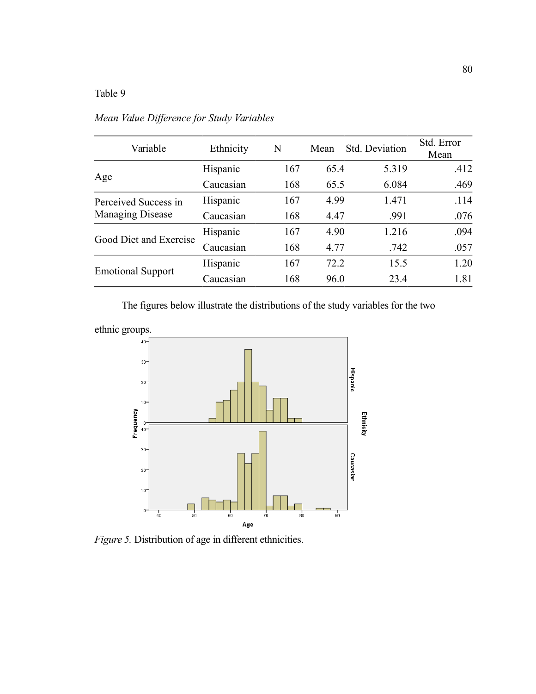| Variable                                        | Ethnicity | N   | Mean | Std. Deviation | Std. Error<br>Mean |
|-------------------------------------------------|-----------|-----|------|----------------|--------------------|
|                                                 | Hispanic  | 167 | 65.4 | 5.319          | .412               |
| Age                                             | Caucasian | 168 | 65.5 | 6.084          | .469               |
| Perceived Success in<br><b>Managing Disease</b> | Hispanic  | 167 | 4.99 | 1.471          | .114               |
|                                                 | Caucasian | 168 | 4.47 | .991           | .076               |
|                                                 | Hispanic  | 167 | 4.90 | 1.216          | .094               |
| Good Diet and Exercise                          | Caucasian | 168 | 4.77 | .742           | .057               |
| <b>Emotional Support</b>                        | Hispanic  | 167 | 72.2 | 15.5           | 1.20               |
|                                                 | Caucasian | 168 | 96.0 | 23.4           | 1.81               |

*Mean Value Difference for Study Variables*

The figures below illustrate the distributions of the study variables for the two





*Figure 5.* Distribution of age in different ethnicities.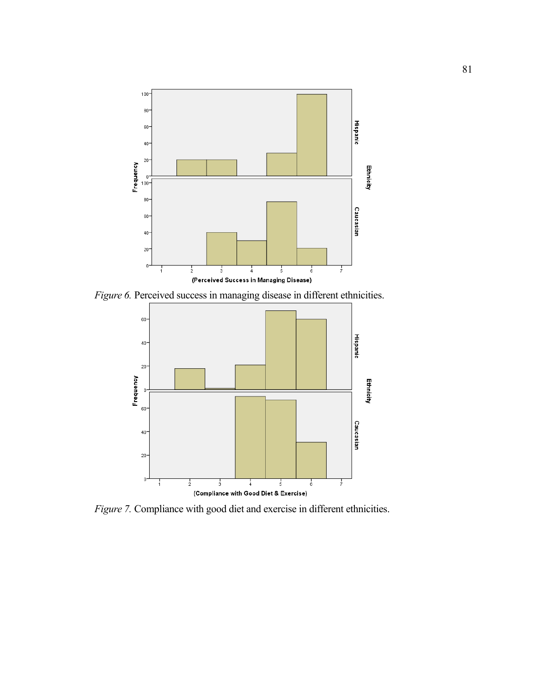

*Figure 6.* Perceived success in managing disease in different ethnicities.



*Figure 7.* Compliance with good diet and exercise in different ethnicities.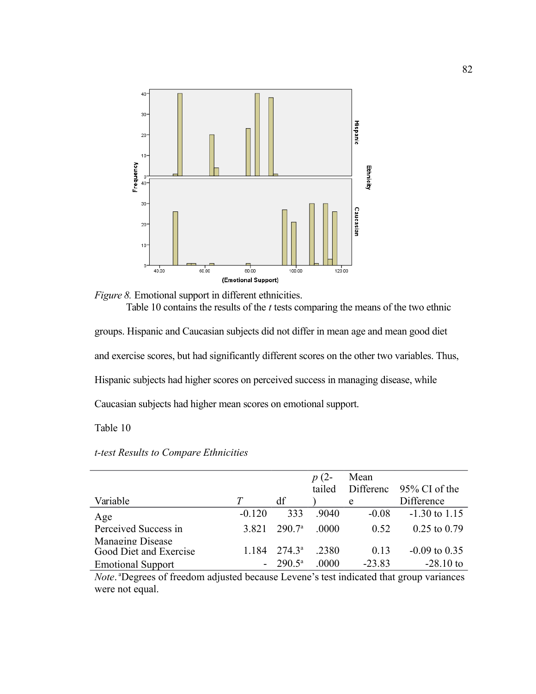

*Figure 8.* Emotional support in different ethnicities. Table 10 contains the results of the *t* tests comparing the means of the two ethnic

groups. Hispanic and Caucasian subjects did not differ in mean age and mean good diet and exercise scores, but had significantly different scores on the other two variables. Thus, Hispanic subjects had higher scores on perceived success in managing disease, while Caucasian subjects had higher mean scores on emotional support.

## Table 10

|                                                                                                           |                |                    | $p(2-$ | Mean      |                  |
|-----------------------------------------------------------------------------------------------------------|----------------|--------------------|--------|-----------|------------------|
|                                                                                                           |                |                    | tailed | Differenc | 95% CI of the    |
| Variable                                                                                                  |                | df                 |        | e         | Difference       |
| Age                                                                                                       | $-0.120$       | 333                | .9040  | $-0.08$   | $-1.30$ to 1.15  |
| Perceived Success in                                                                                      | 3 8 2 1        | 290.7 <sup>a</sup> | .0000  | 0.52      | $0.25$ to $0.79$ |
| Managing Disease<br>Good Diet and Exercise                                                                | 1.184          | $274.3^{\circ}$    | .2380  | 0.13      | $-0.09$ to 0.35  |
| <b>Emotional Support</b>                                                                                  | $\blacksquare$ | $290.5^{\rm a}$    | .0000  | $-23.83$  | $-28.10$ to      |
| <i>Note</i> <sup>a</sup> Degrees of freedom adjusted because Levene's test indicated that group variances |                |                    |        |           |                  |

## *t-test Results to Compare Ethnicities*

d becau *Note*. <sup>a</sup>Degrees of freedom adjusted because Levene's test indicated that group variances were not equal.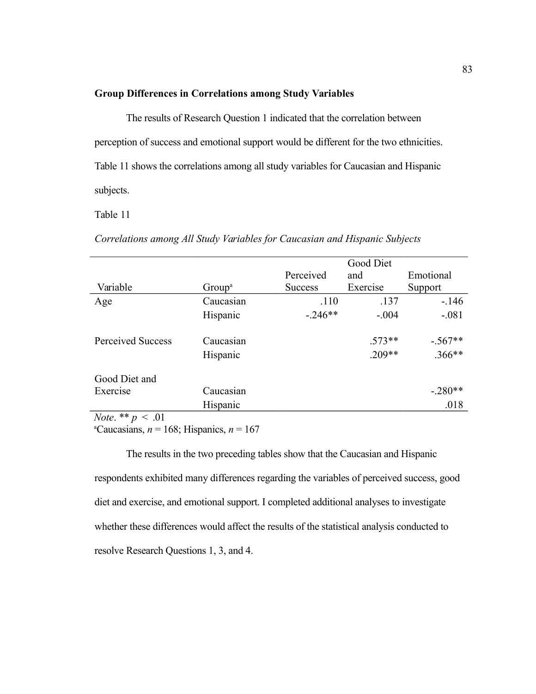## **Group Differences in Correlations among Study Variables**

The results of Research Question 1 indicated that the correlation between perception of success and emotional support would be different for the two ethnicities. Table 11 shows the correlations among all study variables for Caucasian and Hispanic subjects.

Table 11

|  |  | Correlations among All Study Variables for Caucasian and Hispanic Subjects |  |
|--|--|----------------------------------------------------------------------------|--|
|  |  |                                                                            |  |

|                                         |                    |                | Good Diet |                      |
|-----------------------------------------|--------------------|----------------|-----------|----------------------|
|                                         |                    | Perceived      | and       | Emotional            |
| Variable                                | Group <sup>a</sup> | <b>Success</b> | Exercise  | Support              |
| Age                                     | Caucasian          | .110           | .137      | $-146$               |
|                                         | Hispanic           | $-.246**$      | $-.004$   | $-.081$              |
| <b>Perceived Success</b>                | Caucasian          |                | $.573**$  | $-0.567**$<br>.366** |
|                                         | Hispanic           |                | $.209**$  |                      |
| Good Diet and                           |                    |                |           |                      |
| Exercise                                | Caucasian          |                |           | $-.280**$            |
|                                         | Hispanic           |                |           | .018                 |
| $M_{\odot}$ , $\star$ $\star$ $\sim$ 01 |                    |                |           |                      |

*Note*. \*\*  $p < .01$ 

<sup>a</sup>Caucasians, *n* = 168; Hispanics, *n* = 167

The results in the two preceding tables show that the Caucasian and Hispanic respondents exhibited many differences regarding the variables of perceived success, good diet and exercise, and emotional support. I completed additional analyses to investigate whether these differences would affect the results of the statistical analysis conducted to resolve Research Questions 1, 3, and 4.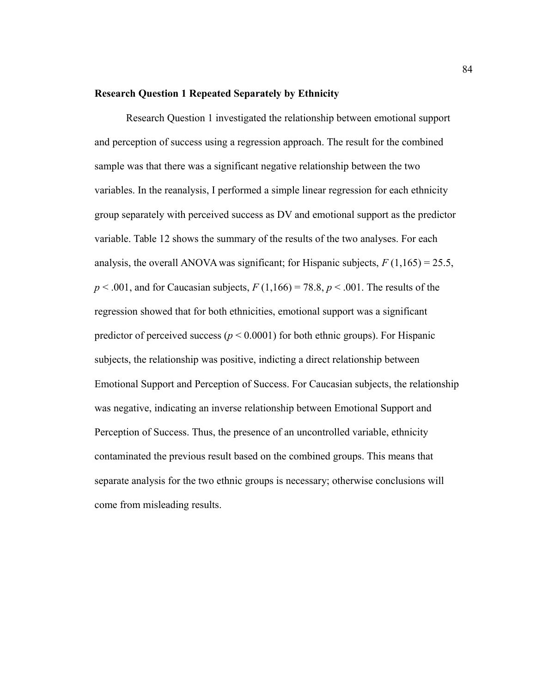#### **Research Question 1 Repeated Separately by Ethnicity**

Research Question 1 investigated the relationship between emotional support and perception of success using a regression approach. The result for the combined sample was that there was a significant negative relationship between the two variables. In the reanalysis, I performed a simple linear regression for each ethnicity group separately with perceived success as DV and emotional support as the predictor variable. Table 12 shows the summary of the results of the two analyses. For each analysis, the overall ANOVA was significant; for Hispanic subjects,  $F(1,165) = 25.5$ ,  $p < .001$ , and for Caucasian subjects,  $F(1,166) = 78.8$ ,  $p < .001$ . The results of the regression showed that for both ethnicities, emotional support was a significant predictor of perceived success ( $p < 0.0001$ ) for both ethnic groups). For Hispanic subjects, the relationship was positive, indicting a direct relationship between Emotional Support and Perception of Success. For Caucasian subjects, the relationship was negative, indicating an inverse relationship between Emotional Support and Perception of Success. Thus, the presence of an uncontrolled variable, ethnicity contaminated the previous result based on the combined groups. This means that separate analysis for the two ethnic groups is necessary; otherwise conclusions will come from misleading results.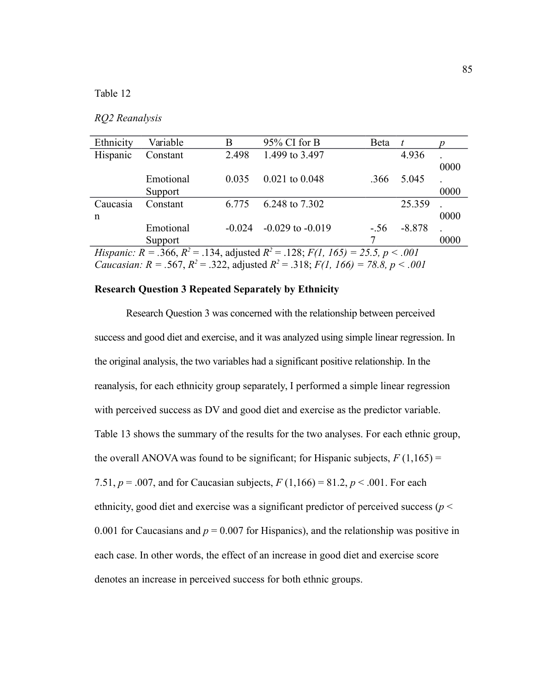## *RQ2 Reanalysis*

| Ethnicity                                                                                            | Variable  | B        | 95% CI for B         | Beta  | t        |      |  |
|------------------------------------------------------------------------------------------------------|-----------|----------|----------------------|-------|----------|------|--|
| Hispanic                                                                                             | Constant  | 2.498    | 1.499 to 3.497       |       | 4.936    |      |  |
|                                                                                                      |           |          |                      |       |          | 0000 |  |
|                                                                                                      | Emotional | 0.035    | $0.021$ to $0.048$   | .366  | 5.045    |      |  |
|                                                                                                      | Support   |          |                      |       |          | 0000 |  |
| Caucasia                                                                                             | Constant  | 6.775    | 6.248 to 7.302       |       | 25.359   |      |  |
| $\mathbf n$                                                                                          |           |          |                      |       |          | 0000 |  |
|                                                                                                      | Emotional | $-0.024$ | $-0.029$ to $-0.019$ | $-56$ | $-8.878$ |      |  |
|                                                                                                      | Support   |          |                      |       |          | 0000 |  |
| <i>Hispanic:</i> $R = .366$ , $R^2 = .134$ , adjusted $R^2 = .128$ ; $F(1, 165) = 25.5$ , $p < .001$ |           |          |                      |       |          |      |  |
|                                                                                                      |           |          |                      |       |          |      |  |

*Caucasian: R* = .567,  $R^2$  = .322, adjusted  $R^2$  = .318;  $F(1, 166)$  = 78.8,  $p < .001$ 

## **Research Question 3 Repeated Separately by Ethnicity**

Research Question 3 was concerned with the relationship between perceived success and good diet and exercise, and it was analyzed using simple linear regression. In the original analysis, the two variables had a significant positive relationship. In the reanalysis, for each ethnicity group separately, I performed a simple linear regression with perceived success as DV and good diet and exercise as the predictor variable. Table 13 shows the summary of the results for the two analyses. For each ethnic group, the overall ANOVA was found to be significant; for Hispanic subjects,  $F(1,165) =$ 7.51,  $p = .007$ , and for Caucasian subjects,  $F(1,166) = 81.2$ ,  $p < .001$ . For each ethnicity, good diet and exercise was a significant predictor of perceived success (*p* < 0.001 for Caucasians and  $p = 0.007$  for Hispanics), and the relationship was positive in each case. In other words, the effect of an increase in good diet and exercise score denotes an increase in perceived success for both ethnic groups.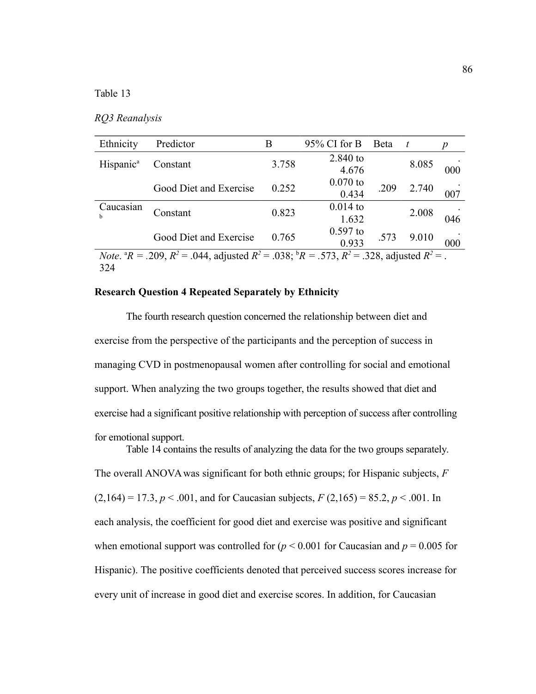|  |  | RQ3 Reanalysis |  |
|--|--|----------------|--|
|--|--|----------------|--|

| Ethnicity                                                                                                                                 | Predictor              | B     | $95\%$ CI for B | <b>B</b> eta | t     | p   |  |
|-------------------------------------------------------------------------------------------------------------------------------------------|------------------------|-------|-----------------|--------------|-------|-----|--|
| Hispanic <sup>a</sup>                                                                                                                     | Constant               | 3.758 | 2.840 to        |              | 8.085 |     |  |
|                                                                                                                                           |                        |       | 4.676           |              |       | 000 |  |
|                                                                                                                                           |                        | 0.252 | $0.070$ to      |              |       |     |  |
|                                                                                                                                           | Good Diet and Exercise |       | 0.434           | .209         | 2.740 | 007 |  |
| Caucasian                                                                                                                                 |                        |       | $0.014$ to      |              |       |     |  |
|                                                                                                                                           | Constant               | 0.823 | 1.632           |              | 2.008 | 046 |  |
|                                                                                                                                           |                        |       | $0.597$ to      |              |       |     |  |
|                                                                                                                                           | Good Diet and Exercise | 0.765 | 0.933           | .573         | 9.010 | 000 |  |
| <i>Note.</i> ${}^{\text{a}}R = .209$ , $R^2 = .044$ , adjusted $R^2 = .038$ ; ${}^{\text{b}}R = .573$ , $R^2 = .328$ , adjusted $R^2 = .$ |                        |       |                 |              |       |     |  |
| $\sim$ $\sim$ $\sim$                                                                                                                      |                        |       |                 |              |       |     |  |

324

## **Research Question 4 Repeated Separately by Ethnicity**

The fourth research question concerned the relationship between diet and exercise from the perspective of the participants and the perception of success in managing CVD in postmenopausal women after controlling for social and emotional support. When analyzing the two groups together, the results showed that diet and exercise had a significant positive relationship with perception of success after controlling for emotional support.

Table 14 contains the results of analyzing the data for the two groups separately. The overall ANOVA was significant for both ethnic groups; for Hispanic subjects, *F*   $(2,164) = 17.3, p < .001$ , and for Caucasian subjects,  $F(2,165) = 85.2, p < .001$ . In each analysis, the coefficient for good diet and exercise was positive and significant when emotional support was controlled for  $(p < 0.001$  for Caucasian and  $p = 0.005$  for Hispanic). The positive coefficients denoted that perceived success scores increase for every unit of increase in good diet and exercise scores. In addition, for Caucasian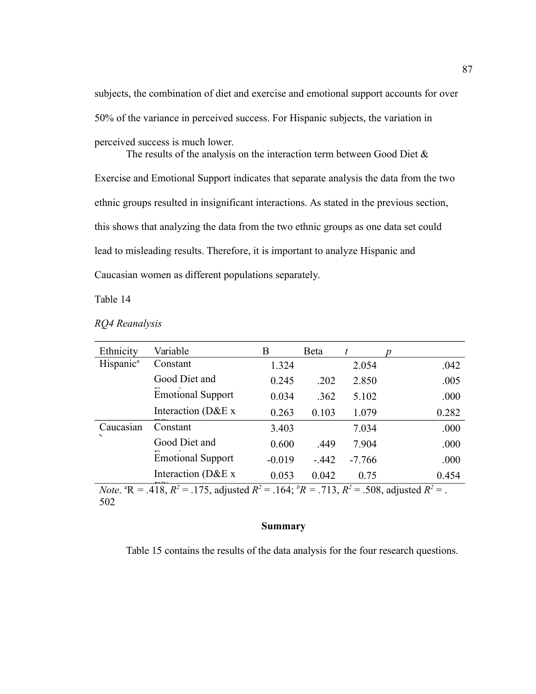subjects, the combination of diet and exercise and emotional support accounts for over 50% of the variance in perceived success. For Hispanic subjects, the variation in perceived success is much lower.

The results of the analysis on the interaction term between Good Diet & Exercise and Emotional Support indicates that separate analysis the data from the two ethnic groups resulted in insignificant interactions. As stated in the previous section, this shows that analyzing the data from the two ethnic groups as one data set could lead to misleading results. Therefore, it is important to analyze Hispanic and Caucasian women as different populations separately.

Table 14

| RQ4 Reanalysis |  |
|----------------|--|
|----------------|--|

| Ethnicity                                                                                                                  | Variable                 | В        | Beta   | t        |       |  |
|----------------------------------------------------------------------------------------------------------------------------|--------------------------|----------|--------|----------|-------|--|
| Hispanic <sup>a</sup>                                                                                                      | Constant                 | 1.324    |        | 2.054    | .042  |  |
|                                                                                                                            | Good Diet and            | 0.245    | .202   | 2.850    | .005  |  |
|                                                                                                                            | <b>Emotional Support</b> | 0.034    | .362   | 5.102    | .000  |  |
|                                                                                                                            | Interaction (D&E x       | 0.263    | 0.103  | 1.079    | 0.282 |  |
| Caucasian<br>L.                                                                                                            | Constant                 | 3.403    |        | 7.034    | .000  |  |
|                                                                                                                            | Good Diet and            | 0.600    | .449   | 7.904    | .000  |  |
|                                                                                                                            | <b>Emotional Support</b> | $-0.019$ | $-442$ | $-7.766$ | .000  |  |
|                                                                                                                            | Interaction (D&E x       | 0.053    | 0.042  | 0.75     | 0.454 |  |
| <i>Note</i> . <sup>a</sup> R = .418, $R^2$ = .175, adjusted $R^2$ = .164; ${}^bR$ = .713, $R^2$ = .508, adjusted $R^2$ = . |                          |          |        |          |       |  |

502

#### **Summary**

Table 15 contains the results of the data analysis for the four research questions.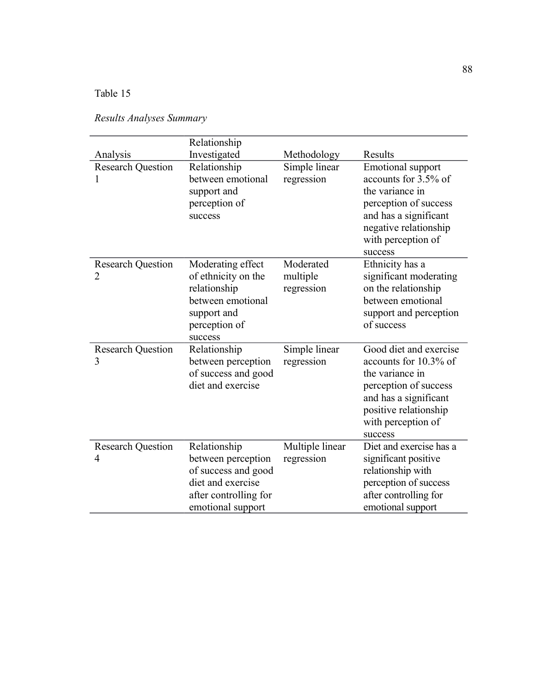| Results Analyses Summary |  |
|--------------------------|--|
|--------------------------|--|

| Analysis                                   | Relationship<br>Investigated                                                                                                 | Methodology                         | Results                                                                                                                                                                         |
|--------------------------------------------|------------------------------------------------------------------------------------------------------------------------------|-------------------------------------|---------------------------------------------------------------------------------------------------------------------------------------------------------------------------------|
| <b>Research Question</b><br>1              | Relationship<br>between emotional<br>support and<br>perception of<br>success                                                 | Simple linear<br>regression         | <b>Emotional support</b><br>accounts for 3.5% of<br>the variance in<br>perception of success<br>and has a significant<br>negative relationship<br>with perception of<br>success |
| <b>Research Question</b><br>$\overline{2}$ | Moderating effect<br>of ethnicity on the<br>relationship<br>between emotional<br>support and<br>perception of<br>success     | Moderated<br>multiple<br>regression | Ethnicity has a<br>significant moderating<br>on the relationship<br>between emotional<br>support and perception<br>of success                                                   |
| <b>Research Question</b><br>3              | Relationship<br>between perception<br>of success and good<br>diet and exercise                                               | Simple linear<br>regression         | Good diet and exercise<br>accounts for 10.3% of<br>the variance in<br>perception of success<br>and has a significant<br>positive relationship<br>with perception of<br>success  |
| <b>Research Question</b><br>4              | Relationship<br>between perception<br>of success and good<br>diet and exercise<br>after controlling for<br>emotional support | Multiple linear<br>regression       | Diet and exercise has a<br>significant positive<br>relationship with<br>perception of success<br>after controlling for<br>emotional support                                     |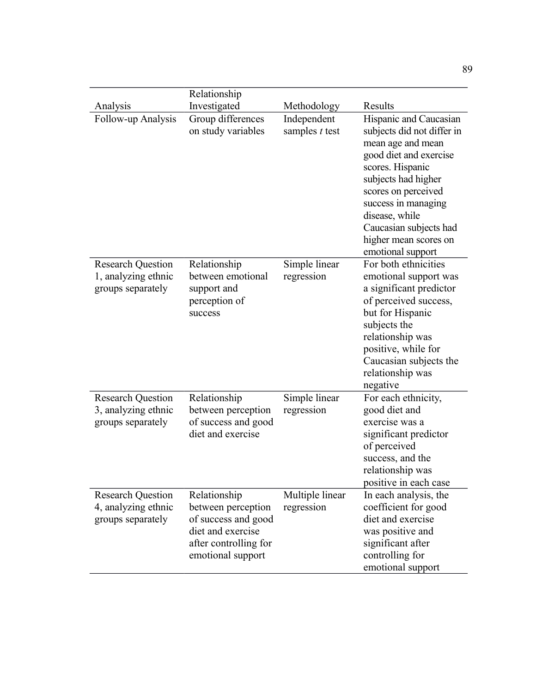|                                                                      | Relationship                                                                                                                 |                                 |                                                                                                                                                                                                                                                                                        |
|----------------------------------------------------------------------|------------------------------------------------------------------------------------------------------------------------------|---------------------------------|----------------------------------------------------------------------------------------------------------------------------------------------------------------------------------------------------------------------------------------------------------------------------------------|
| Analysis                                                             | Investigated                                                                                                                 | Methodology                     | Results                                                                                                                                                                                                                                                                                |
| Follow-up Analysis                                                   | Group differences<br>on study variables                                                                                      | Independent<br>samples $t$ test | Hispanic and Caucasian<br>subjects did not differ in<br>mean age and mean<br>good diet and exercise<br>scores. Hispanic<br>subjects had higher<br>scores on perceived<br>success in managing<br>disease, while<br>Caucasian subjects had<br>higher mean scores on<br>emotional support |
| <b>Research Question</b><br>1, analyzing ethnic<br>groups separately | Relationship<br>between emotional<br>support and<br>perception of<br>success                                                 | Simple linear<br>regression     | For both ethnicities<br>emotional support was<br>a significant predictor<br>of perceived success,<br>but for Hispanic<br>subjects the<br>relationship was<br>positive, while for<br>Caucasian subjects the<br>relationship was<br>negative                                             |
| <b>Research Question</b><br>3, analyzing ethnic<br>groups separately | Relationship<br>between perception<br>of success and good<br>diet and exercise                                               | Simple linear<br>regression     | For each ethnicity,<br>good diet and<br>exercise was a<br>significant predictor<br>of perceived<br>success, and the<br>relationship was<br>positive in each case                                                                                                                       |
| <b>Research Question</b><br>4, analyzing ethnic<br>groups separately | Relationship<br>between perception<br>of success and good<br>diet and exercise<br>after controlling for<br>emotional support | Multiple linear<br>regression   | In each analysis, the<br>coefficient for good<br>diet and exercise<br>was positive and<br>significant after<br>controlling for<br>emotional support                                                                                                                                    |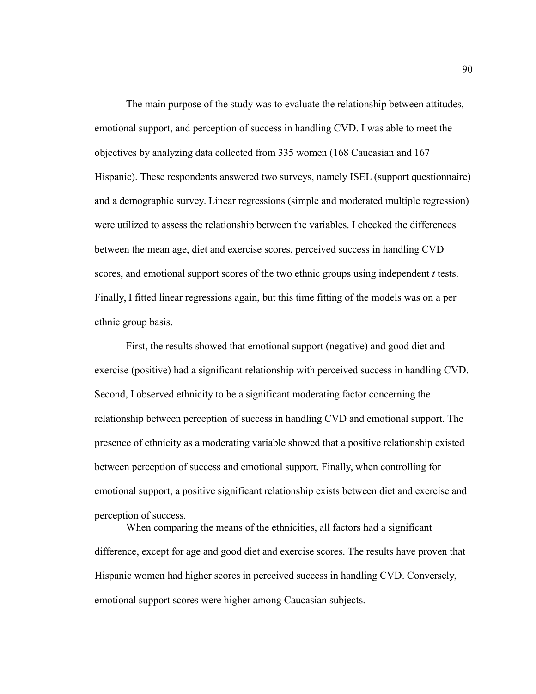The main purpose of the study was to evaluate the relationship between attitudes, emotional support, and perception of success in handling CVD. I was able to meet the objectives by analyzing data collected from 335 women (168 Caucasian and 167 Hispanic). These respondents answered two surveys, namely ISEL (support questionnaire) and a demographic survey. Linear regressions (simple and moderated multiple regression) were utilized to assess the relationship between the variables. I checked the differences between the mean age, diet and exercise scores, perceived success in handling CVD scores, and emotional support scores of the two ethnic groups using independent *t* tests. Finally, I fitted linear regressions again, but this time fitting of the models was on a per ethnic group basis.

First, the results showed that emotional support (negative) and good diet and exercise (positive) had a significant relationship with perceived success in handling CVD. Second, I observed ethnicity to be a significant moderating factor concerning the relationship between perception of success in handling CVD and emotional support. The presence of ethnicity as a moderating variable showed that a positive relationship existed between perception of success and emotional support. Finally, when controlling for emotional support, a positive significant relationship exists between diet and exercise and perception of success.

When comparing the means of the ethnicities, all factors had a significant difference, except for age and good diet and exercise scores. The results have proven that Hispanic women had higher scores in perceived success in handling CVD. Conversely, emotional support scores were higher among Caucasian subjects.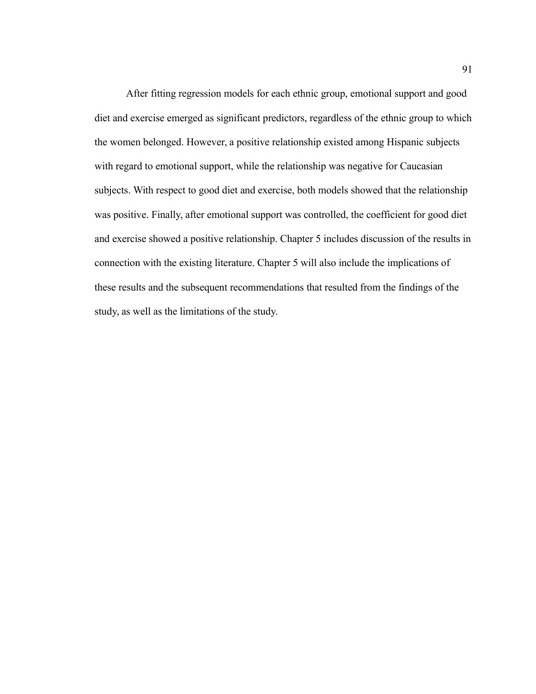After fitting regression models for each ethnic group, emotional support and good diet and exercise emerged as significant predictors, regardless of the ethnic group to which the women belonged. However, a positive relationship existed among Hispanic subjects with regard to emotional support, while the relationship was negative for Caucasian subjects. With respect to good diet and exercise, both models showed that the relationship was positive. Finally, after emotional support was controlled, the coefficient for good diet and exercise showed a positive relationship. Chapter 5 includes discussion of the results in connection with the existing literature. Chapter 5 will also include the implications of these results and the subsequent recommendations that resulted from the findings of the study, as well as the limitations of the study.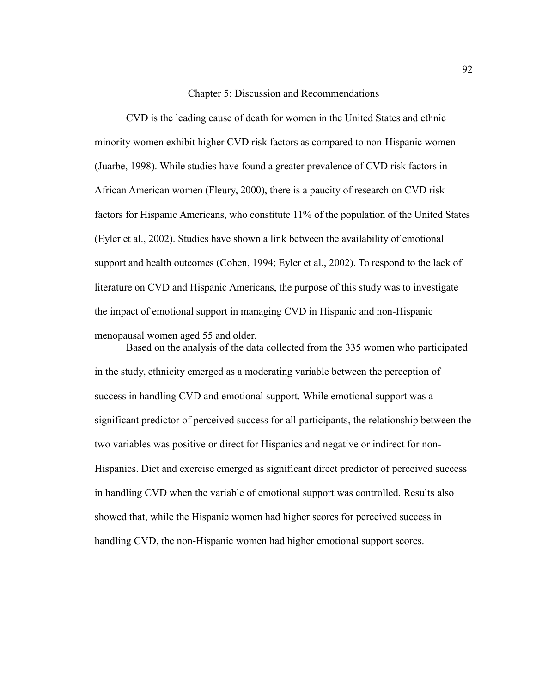Chapter 5: Discussion and Recommendations

CVD is the leading cause of death for women in the United States and ethnic minority women exhibit higher CVD risk factors as compared to non-Hispanic women (Juarbe, 1998). While studies have found a greater prevalence of CVD risk factors in African American women (Fleury, 2000), there is a paucity of research on CVD risk factors for Hispanic Americans, who constitute 11% of the population of the United States (Eyler et al., 2002). Studies have shown a link between the availability of emotional support and health outcomes (Cohen, 1994; Eyler et al., 2002). To respond to the lack of literature on CVD and Hispanic Americans, the purpose of this study was to investigate the impact of emotional support in managing CVD in Hispanic and non-Hispanic menopausal women aged 55 and older.

Based on the analysis of the data collected from the 335 women who participated in the study, ethnicity emerged as a moderating variable between the perception of success in handling CVD and emotional support. While emotional support was a significant predictor of perceived success for all participants, the relationship between the two variables was positive or direct for Hispanics and negative or indirect for non-Hispanics. Diet and exercise emerged as significant direct predictor of perceived success in handling CVD when the variable of emotional support was controlled. Results also showed that, while the Hispanic women had higher scores for perceived success in handling CVD, the non-Hispanic women had higher emotional support scores.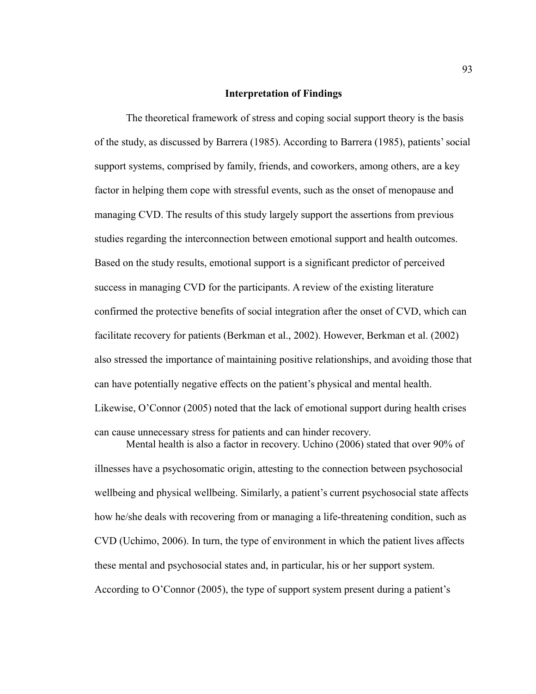### **Interpretation of Findings**

The theoretical framework of stress and coping social support theory is the basis of the study, as discussed by Barrera (1985). According to Barrera (1985), patients' social support systems, comprised by family, friends, and coworkers, among others, are a key factor in helping them cope with stressful events, such as the onset of menopause and managing CVD. The results of this study largely support the assertions from previous studies regarding the interconnection between emotional support and health outcomes. Based on the study results, emotional support is a significant predictor of perceived success in managing CVD for the participants. A review of the existing literature confirmed the protective benefits of social integration after the onset of CVD, which can facilitate recovery for patients (Berkman et al., 2002). However, Berkman et al. (2002) also stressed the importance of maintaining positive relationships, and avoiding those that can have potentially negative effects on the patient's physical and mental health. Likewise, O'Connor (2005) noted that the lack of emotional support during health crises can cause unnecessary stress for patients and can hinder recovery.

Mental health is also a factor in recovery. Uchino (2006) stated that over 90% of illnesses have a psychosomatic origin, attesting to the connection between psychosocial wellbeing and physical wellbeing. Similarly, a patient's current psychosocial state affects how he/she deals with recovering from or managing a life-threatening condition, such as CVD (Uchimo, 2006). In turn, the type of environment in which the patient lives affects these mental and psychosocial states and, in particular, his or her support system. According to O'Connor (2005), the type of support system present during a patient's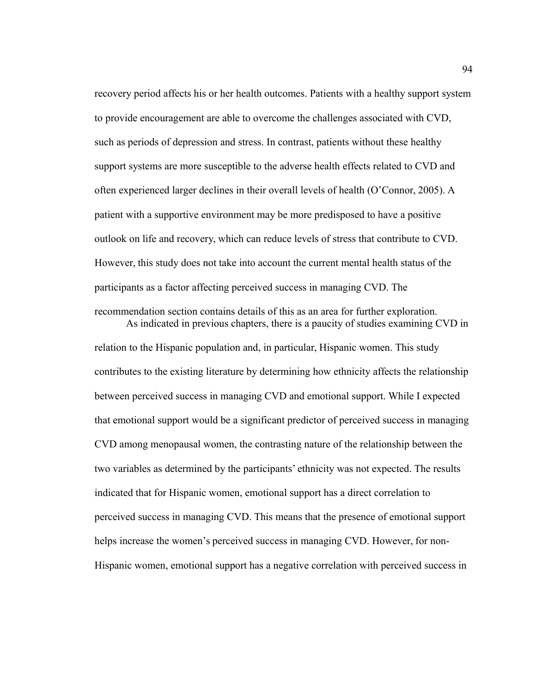recovery period affects his or her health outcomes. Patients with a healthy support system to provide encouragement are able to overcome the challenges associated with CVD, such as periods of depression and stress. In contrast, patients without these healthy support systems are more susceptible to the adverse health effects related to CVD and often experienced larger declines in their overall levels of health (O'Connor, 2005). A patient with a supportive environment may be more predisposed to have a positive outlook on life and recovery, which can reduce levels of stress that contribute to CVD. However, this study does not take into account the current mental health status of the participants as a factor affecting perceived success in managing CVD. The recommendation section contains details of this as an area for further exploration.

As indicated in previous chapters, there is a paucity of studies examining CVD in relation to the Hispanic population and, in particular, Hispanic women. This study contributes to the existing literature by determining how ethnicity affects the relationship between perceived success in managing CVD and emotional support. While I expected that emotional support would be a significant predictor of perceived success in managing CVD among menopausal women, the contrasting nature of the relationship between the two variables as determined by the participants' ethnicity was not expected. The results indicated that for Hispanic women, emotional support has a direct correlation to perceived success in managing CVD. This means that the presence of emotional support helps increase the women's perceived success in managing CVD. However, for non-Hispanic women, emotional support has a negative correlation with perceived success in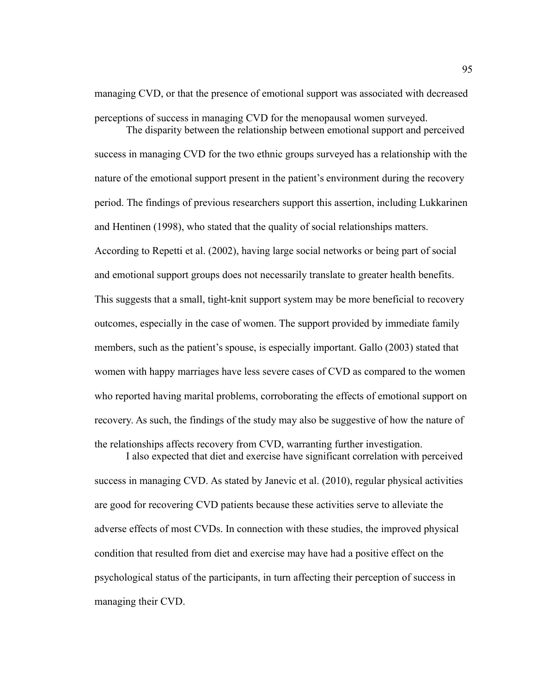managing CVD, or that the presence of emotional support was associated with decreased perceptions of success in managing CVD for the menopausal women surveyed.

The disparity between the relationship between emotional support and perceived success in managing CVD for the two ethnic groups surveyed has a relationship with the nature of the emotional support present in the patient's environment during the recovery period. The findings of previous researchers support this assertion, including Lukkarinen and Hentinen (1998), who stated that the quality of social relationships matters. According to Repetti et al. (2002), having large social networks or being part of social and emotional support groups does not necessarily translate to greater health benefits. This suggests that a small, tight-knit support system may be more beneficial to recovery outcomes, especially in the case of women. The support provided by immediate family members, such as the patient's spouse, is especially important. Gallo (2003) stated that women with happy marriages have less severe cases of CVD as compared to the women who reported having marital problems, corroborating the effects of emotional support on recovery. As such, the findings of the study may also be suggestive of how the nature of the relationships affects recovery from CVD, warranting further investigation. I also expected that diet and exercise have significant correlation with perceived

success in managing CVD. As stated by Janevic et al. (2010), regular physical activities are good for recovering CVD patients because these activities serve to alleviate the adverse effects of most CVDs. In connection with these studies, the improved physical condition that resulted from diet and exercise may have had a positive effect on the psychological status of the participants, in turn affecting their perception of success in managing their CVD.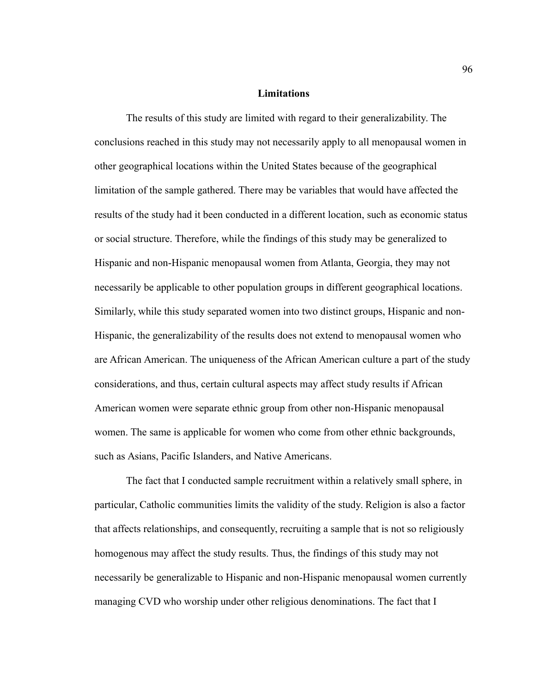#### **Limitations**

The results of this study are limited with regard to their generalizability. The conclusions reached in this study may not necessarily apply to all menopausal women in other geographical locations within the United States because of the geographical limitation of the sample gathered. There may be variables that would have affected the results of the study had it been conducted in a different location, such as economic status or social structure. Therefore, while the findings of this study may be generalized to Hispanic and non-Hispanic menopausal women from Atlanta, Georgia, they may not necessarily be applicable to other population groups in different geographical locations. Similarly, while this study separated women into two distinct groups, Hispanic and non-Hispanic, the generalizability of the results does not extend to menopausal women who are African American. The uniqueness of the African American culture a part of the study considerations, and thus, certain cultural aspects may affect study results if African American women were separate ethnic group from other non-Hispanic menopausal women. The same is applicable for women who come from other ethnic backgrounds, such as Asians, Pacific Islanders, and Native Americans.

The fact that I conducted sample recruitment within a relatively small sphere, in particular, Catholic communities limits the validity of the study. Religion is also a factor that affects relationships, and consequently, recruiting a sample that is not so religiously homogenous may affect the study results. Thus, the findings of this study may not necessarily be generalizable to Hispanic and non-Hispanic menopausal women currently managing CVD who worship under other religious denominations. The fact that I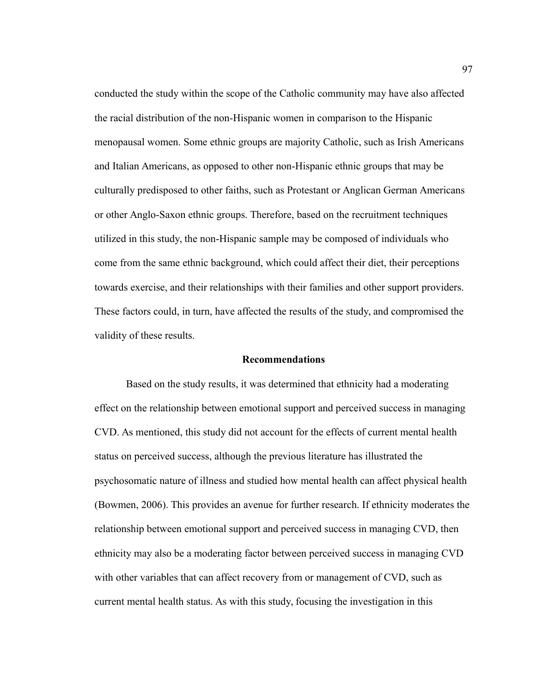conducted the study within the scope of the Catholic community may have also affected the racial distribution of the non-Hispanic women in comparison to the Hispanic menopausal women. Some ethnic groups are majority Catholic, such as Irish Americans and Italian Americans, as opposed to other non-Hispanic ethnic groups that may be culturally predisposed to other faiths, such as Protestant or Anglican German Americans or other Anglo-Saxon ethnic groups. Therefore, based on the recruitment techniques utilized in this study, the non-Hispanic sample may be composed of individuals who come from the same ethnic background, which could affect their diet, their perceptions towards exercise, and their relationships with their families and other support providers. These factors could, in turn, have affected the results of the study, and compromised the validity of these results.

#### **Recommendations**

Based on the study results, it was determined that ethnicity had a moderating effect on the relationship between emotional support and perceived success in managing CVD. As mentioned, this study did not account for the effects of current mental health status on perceived success, although the previous literature has illustrated the psychosomatic nature of illness and studied how mental health can affect physical health (Bowmen, 2006). This provides an avenue for further research. If ethnicity moderates the relationship between emotional support and perceived success in managing CVD, then ethnicity may also be a moderating factor between perceived success in managing CVD with other variables that can affect recovery from or management of CVD, such as current mental health status. As with this study, focusing the investigation in this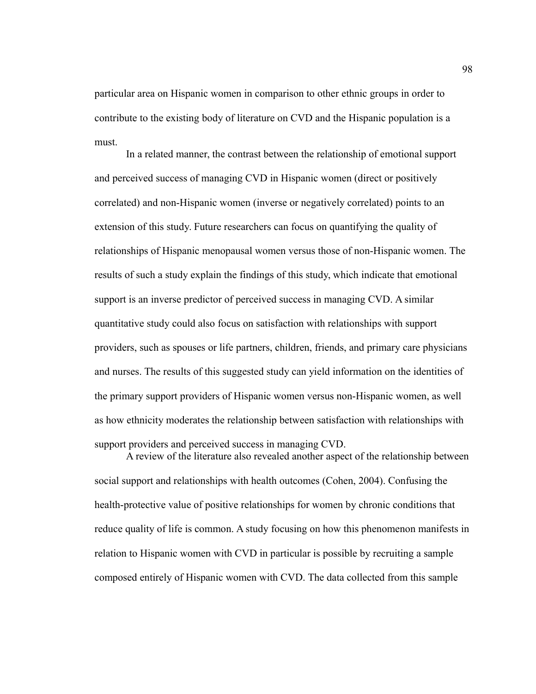particular area on Hispanic women in comparison to other ethnic groups in order to contribute to the existing body of literature on CVD and the Hispanic population is a must.

In a related manner, the contrast between the relationship of emotional support and perceived success of managing CVD in Hispanic women (direct or positively correlated) and non-Hispanic women (inverse or negatively correlated) points to an extension of this study. Future researchers can focus on quantifying the quality of relationships of Hispanic menopausal women versus those of non-Hispanic women. The results of such a study explain the findings of this study, which indicate that emotional support is an inverse predictor of perceived success in managing CVD. A similar quantitative study could also focus on satisfaction with relationships with support providers, such as spouses or life partners, children, friends, and primary care physicians and nurses. The results of this suggested study can yield information on the identities of the primary support providers of Hispanic women versus non-Hispanic women, as well as how ethnicity moderates the relationship between satisfaction with relationships with support providers and perceived success in managing CVD.

A review of the literature also revealed another aspect of the relationship between social support and relationships with health outcomes (Cohen, 2004). Confusing the health-protective value of positive relationships for women by chronic conditions that reduce quality of life is common. A study focusing on how this phenomenon manifests in relation to Hispanic women with CVD in particular is possible by recruiting a sample composed entirely of Hispanic women with CVD. The data collected from this sample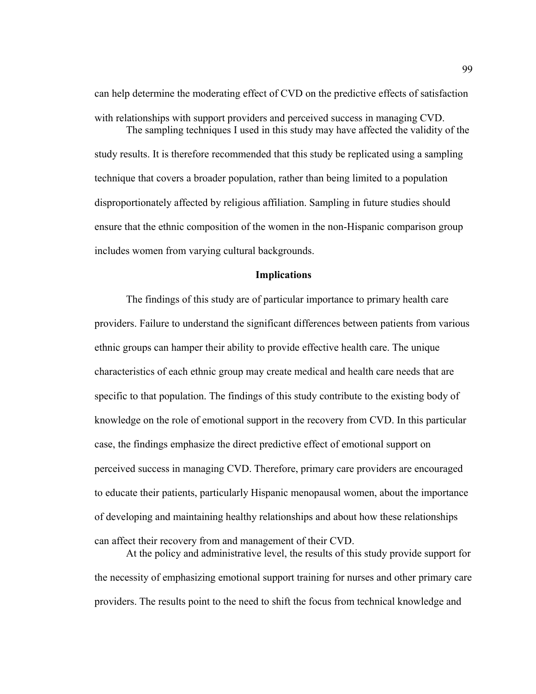can help determine the moderating effect of CVD on the predictive effects of satisfaction with relationships with support providers and perceived success in managing CVD. The sampling techniques I used in this study may have affected the validity of the

study results. It is therefore recommended that this study be replicated using a sampling technique that covers a broader population, rather than being limited to a population disproportionately affected by religious affiliation. Sampling in future studies should ensure that the ethnic composition of the women in the non-Hispanic comparison group includes women from varying cultural backgrounds.

#### **Implications**

The findings of this study are of particular importance to primary health care providers. Failure to understand the significant differences between patients from various ethnic groups can hamper their ability to provide effective health care. The unique characteristics of each ethnic group may create medical and health care needs that are specific to that population. The findings of this study contribute to the existing body of knowledge on the role of emotional support in the recovery from CVD. In this particular case, the findings emphasize the direct predictive effect of emotional support on perceived success in managing CVD. Therefore, primary care providers are encouraged to educate their patients, particularly Hispanic menopausal women, about the importance of developing and maintaining healthy relationships and about how these relationships can affect their recovery from and management of their CVD.

At the policy and administrative level, the results of this study provide support for the necessity of emphasizing emotional support training for nurses and other primary care providers. The results point to the need to shift the focus from technical knowledge and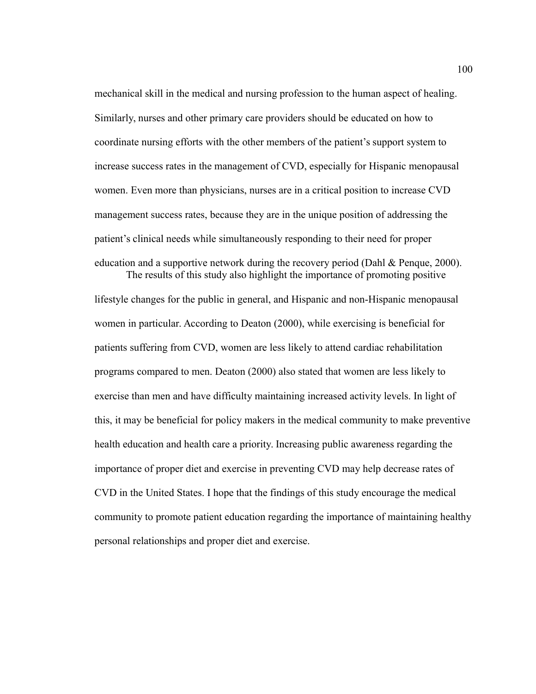mechanical skill in the medical and nursing profession to the human aspect of healing. Similarly, nurses and other primary care providers should be educated on how to coordinate nursing efforts with the other members of the patient's support system to increase success rates in the management of CVD, especially for Hispanic menopausal women. Even more than physicians, nurses are in a critical position to increase CVD management success rates, because they are in the unique position of addressing the patient's clinical needs while simultaneously responding to their need for proper education and a supportive network during the recovery period (Dahl & Penque, 2000). The results of this study also highlight the importance of promoting positive

lifestyle changes for the public in general, and Hispanic and non-Hispanic menopausal women in particular. According to Deaton (2000), while exercising is beneficial for patients suffering from CVD, women are less likely to attend cardiac rehabilitation programs compared to men. Deaton (2000) also stated that women are less likely to exercise than men and have difficulty maintaining increased activity levels. In light of this, it may be beneficial for policy makers in the medical community to make preventive health education and health care a priority. Increasing public awareness regarding the importance of proper diet and exercise in preventing CVD may help decrease rates of CVD in the United States. I hope that the findings of this study encourage the medical community to promote patient education regarding the importance of maintaining healthy personal relationships and proper diet and exercise.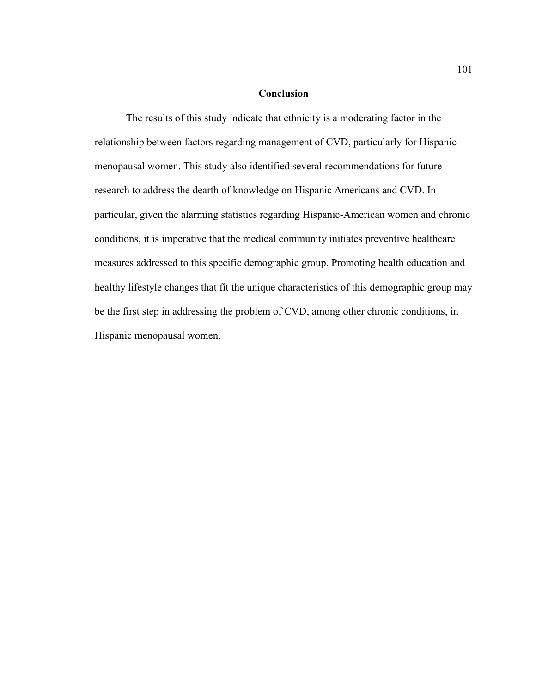### **Conclusion**

The results of this study indicate that ethnicity is a moderating factor in the relationship between factors regarding management of CVD, particularly for Hispanic menopausal women. This study also identified several recommendations for future research to address the dearth of knowledge on Hispanic Americans and CVD. In particular, given the alarming statistics regarding Hispanic-American women and chronic conditions, it is imperative that the medical community initiates preventive healthcare measures addressed to this specific demographic group. Promoting health education and healthy lifestyle changes that fit the unique characteristics of this demographic group may be the first step in addressing the problem of CVD, among other chronic conditions, in Hispanic menopausal women.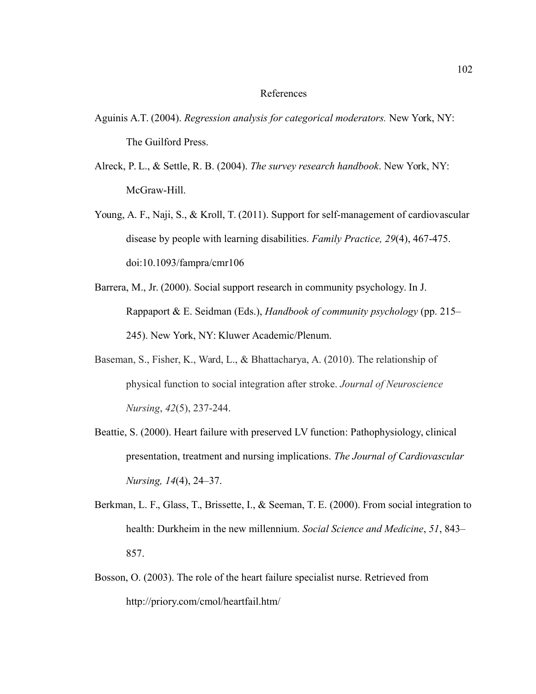#### References

- Aguinis A.T. (2004). *Regression analysis for categorical moderators.* New York, NY: The Guilford Press.
- Alreck, P. L., & Settle, R. B. (2004). *The survey research handbook*. New York, NY: McGraw-Hill.
- Young, A. F., Naji, S., & Kroll, T. (2011). Support for self-management of cardiovascular disease by people with learning disabilities. *Family Practice, 29*(4), 467-475. doi:10.1093/fampra/cmr106
- Barrera, M., Jr. (2000). Social support research in community psychology. In J. Rappaport & E. Seidman (Eds.), *Handbook of community psychology* (pp. 215– 245). New York, NY: Kluwer Academic/Plenum.
- Baseman, S., Fisher, K., Ward, L., & Bhattacharya, A. (2010). The relationship of physical function to social integration after stroke. *Journal of Neuroscience Nursing*, *42*(5), 237-244.
- Beattie, S. (2000). Heart failure with preserved LV function: Pathophysiology, clinical presentation, treatment and nursing implications. *The Journal of Cardiovascular Nursing, 14*(4), 24–37.
- Berkman, L. F., Glass, T., Brissette, I., & Seeman, T. E. (2000). From social integration to health: Durkheim in the new millennium. *Social Science and Medicine*, *51*, 843– 857.
- Bosson, O. (2003). The role of the heart failure specialist nurse. Retrieved from http://priory.com/cmol/heartfail.htm/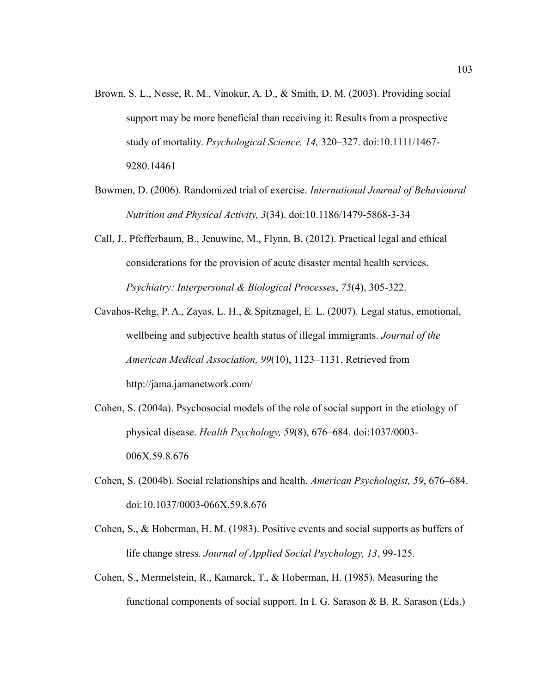- Brown, S. L., Nesse, R. M., Vinokur, A. D., & Smith, D. M. (2003). Providing social support may be more beneficial than receiving it: Results from a prospective study of mortality. *Psychological Science, 14,* 320–327. doi:10.1111/1467- 9280.14461
- Bowmen, D. (2006). Randomized trial of exercise. *International Journal of Behavioural Nutrition and Physical Activity, 3*(34). doi:10.1186/1479-5868-3-34
- Call, J., Pfefferbaum, B., Jenuwine, M., Flynn, B. (2012). Practical legal and ethical considerations for the provision of acute disaster mental health services. *Psychiatry: Interpersonal & Biological Processes*, *75*(4), 305-322.
- Cavahos-Rehg, P. A., Zayas, L. H., & Spitznagel, E. L. (2007). Legal status, emotional, wellbeing and subjective health status of illegal immigrants. *Journal of the American Medical Association, 99*(10), 1123–1131. Retrieved from http://jama.jamanetwork.com/
- Cohen, S. (2004a). Psychosocial models of the role of social support in the etiology of physical disease. *Health Psychology, 59*(8), 676–684. doi:1037/0003- 006X.59.8.676
- Cohen, S. (2004b). Social relationships and health. *American Psychologist, 59*, 676–684. doi:10.1037/0003-066X.59.8.676
- Cohen, S., & Hoberman, H. M. (1983). Positive events and social supports as buffers of life change stress. *Journal of Applied Social Psychology, 13*, 99-125.
- Cohen, S., Mermelstein, R., Kamarck, T., & Hoberman, H. (1985). Measuring the functional components of social support. In I. G. Sarason & B. R. Sarason (Eds.)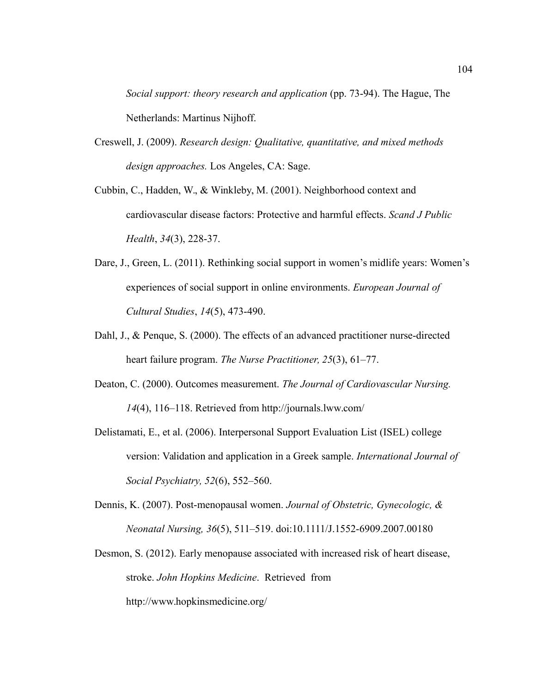*Social support: theory research and application* (pp. 73-94). The Hague, The Netherlands: Martinus Nijhoff.

- Creswell, J. (2009). *Research design: Qualitative, quantitative, and mixed methods design approaches.* Los Angeles, CA: Sage.
- Cubbin, C., Hadden, W., & Winkleby, M. (2001). Neighborhood context and cardiovascular disease factors: Protective and harmful effects. *Scand J Public Health*, *34*(3), 228-37.
- Dare, J., Green, L. (2011). Rethinking social support in women's midlife years: Women's experiences of social support in online environments. *European Journal of Cultural Studies*, *14*(5), 473-490.
- Dahl, J., & Penque, S. (2000). The effects of an advanced practitioner nurse-directed heart failure program. *The Nurse Practitioner, 25*(3), 61–77.
- Deaton, C. (2000). Outcomes measurement. *The Journal of Cardiovascular Nursing. 14*(4), 116–118. Retrieved from http://journals.lww.com/
- Delistamati, E., et al. (2006). Interpersonal Support Evaluation List (ISEL) college version: Validation and application in a Greek sample. *International Journal of Social Psychiatry, 52*(6), 552–560.
- Dennis, K. (2007). Post-menopausal women. *Journal of Obstetric, Gynecologic, & Neonatal Nursing, 36*(5), 511–519. doi:10.1111/J.1552-6909.2007.00180
- Desmon, S. (2012). Early menopause associated with increased risk of heart disease, stroke. *John Hopkins Medicine*. Retrieved from http://www.hopkinsmedicine.org/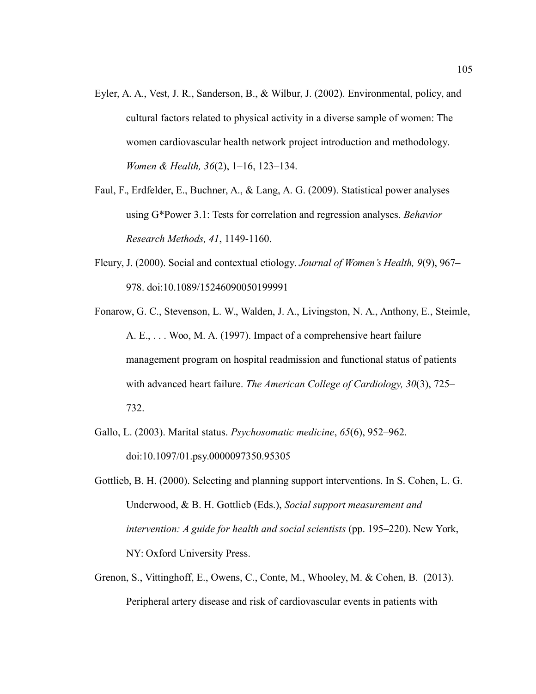- Eyler, A. A., Vest, J. R., Sanderson, B., & Wilbur, J. (2002). Environmental, policy, and cultural factors related to physical activity in a diverse sample of women: The women cardiovascular health network project introduction and methodology. *Women & Health, 36*(2), 1–16, 123–134.
- Faul, F., Erdfelder, E., Buchner, A., & Lang, A. G. (2009). Statistical power analyses using G\*Power 3.1: Tests for correlation and regression analyses. *Behavior Research Methods, 41*, 1149-1160.
- Fleury, J. (2000). Social and contextual etiology. *Journal of Women's Health, 9*(9), 967– 978. doi:10.1089/15246090050199991
- Fonarow, G. C., Stevenson, L. W., Walden, J. A., Livingston, N. A., Anthony, E., Steimle, A. E., . . . Woo, M. A. (1997). Impact of a comprehensive heart failure management program on hospital readmission and functional status of patients with advanced heart failure. *The American College of Cardiology, 30*(3), 725– 732.
- Gallo, L. (2003). Marital status. *Psychosomatic medicine*, *65*(6), 952–962. doi:10.1097/01.psy.0000097350.95305
- Gottlieb, B. H. (2000). Selecting and planning support interventions. In S. Cohen, L. G. Underwood, & B. H. Gottlieb (Eds.), *Social support measurement and intervention: A guide for health and social scientists* (pp. 195–220). New York, NY: Oxford University Press.
- Grenon, S., Vittinghoff, E., Owens, C., Conte, M., Whooley, M. & Cohen, B. (2013). Peripheral artery disease and risk of cardiovascular events in patients with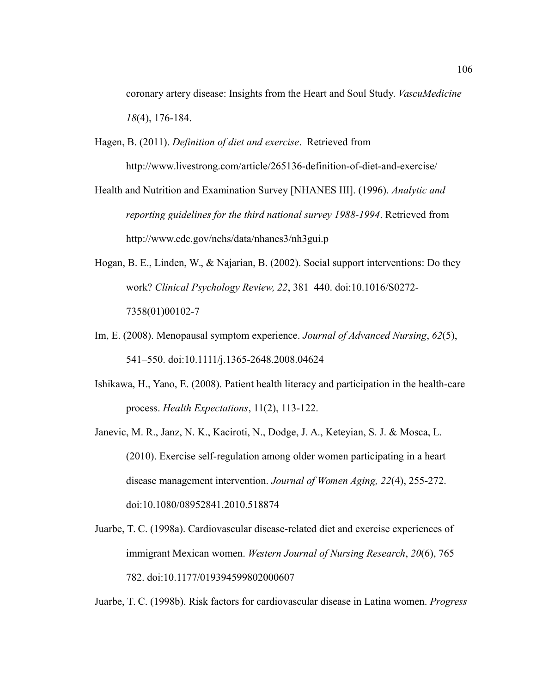coronary artery disease: Insights from the Heart and Soul Study. *VascuMedicine 18*(4), 176-184.

- Hagen, B. (2011). *Definition of diet and exercise*. Retrieved from http://www.livestrong.com/article/265136-definition-of-diet-and-exercise/
- Health and Nutrition and Examination Survey [NHANES III]. (1996). *Analytic and reporting guidelines for the third national survey 1988-1994*. Retrieved from http://www.cdc.gov/nchs/data/nhanes3/nh3gui.p
- Hogan, B. E., Linden, W., & Najarian, B. (2002). Social support interventions: Do they work? *Clinical Psychology Review, 22*, 381–440. doi:10.1016/S0272- 7358(01)00102-7
- Im, E. (2008). Menopausal symptom experience. *Journal of Advanced Nursing*, *62*(5), 541–550. doi:10.1111/j.1365-2648.2008.04624
- Ishikawa, H., Yano, E. (2008). Patient health literacy and participation in the health-care process. *Health Expectations*, 11(2), 113-122.
- Janevic, M. R., Janz, N. K., Kaciroti, N., Dodge, J. A., Keteyian, S. J. & Mosca, L. (2010). Exercise self-regulation among older women participating in a heart disease management intervention. *Journal of Women Aging, 22*(4), 255-272. doi:10.1080/08952841.2010.518874
- Juarbe, T. C. (1998a). Cardiovascular disease-related diet and exercise experiences of immigrant Mexican women. *Western Journal of Nursing Research*, *20*(6), 765– 782. doi:10.1177/019394599802000607

Juarbe, T. C. (1998b). Risk factors for cardiovascular disease in Latina women. *Progress*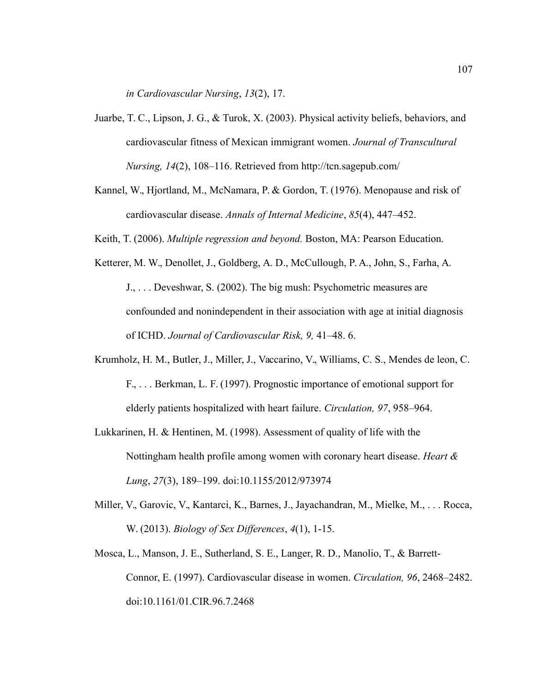*in Cardiovascular Nursing*, *13*(2), 17.

- Juarbe, T. C., Lipson, J. G., & Turok, X. (2003). Physical activity beliefs, behaviors, and cardiovascular fitness of Mexican immigrant women. *Journal of Transcultural Nursing, 14*(2), 108–116. Retrieved from http://tcn.sagepub.com/
- Kannel, W., Hjortland, M., McNamara, P. & Gordon, T. (1976). Menopause and risk of cardiovascular disease. *Annals of Internal Medicine*, *85*(4), 447–452.
- Keith, T. (2006). *Multiple regression and beyond.* Boston, MA: Pearson Education.
- Ketterer, M. W., Denollet, J., Goldberg, A. D., McCullough, P. A., John, S., Farha, A.
	- J., . . . Deveshwar, S. (2002). The big mush: Psychometric measures are confounded and nonindependent in their association with age at initial diagnosis of ICHD. *Journal of Cardiovascular Risk, 9,* 41–48. 6.
- Krumholz, H. M., Butler, J., Miller, J., Vaccarino, V., Williams, C. S., Mendes de leon, C. F., . . . Berkman, L. F. (1997). Prognostic importance of emotional support for elderly patients hospitalized with heart failure. *Circulation, 97*, 958–964.
- Lukkarinen, H. & Hentinen, M. (1998). Assessment of quality of life with the Nottingham health profile among women with coronary heart disease. *Heart & Lung*, *27*(3), 189–199. doi:10.1155/2012/973974
- Miller, V., Garovic, V., Kantarci, K., Barnes, J., Jayachandran, M., Mielke, M., . . . Rocca, W. (2013). *Biology of Sex Differences*, *4*(1), 1-15.
- Mosca, L., Manson, J. E., Sutherland, S. E., Langer, R. D., Manolio, T., & Barrett-Connor, E. (1997). Cardiovascular disease in women. *Circulation, 96*, 2468–2482. doi:10.1161/01.CIR.96.7.2468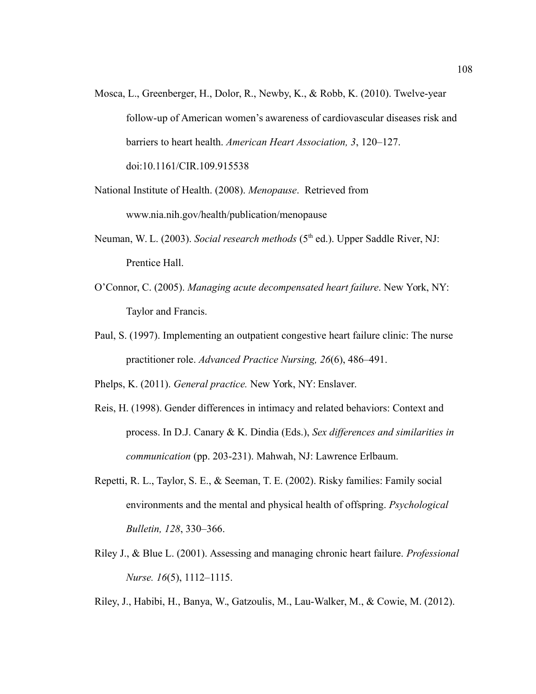- Mosca, L., Greenberger, H., Dolor, R., Newby, K., & Robb, K. (2010). Twelve-year follow-up of American women's awareness of cardiovascular diseases risk and barriers to heart health. *American Heart Association, 3*, 120–127. doi:10.1161/CIR.109.915538
- National Institute of Health. (2008). *Menopause*. Retrieved from www.nia.nih.gov/health/publication/menopause
- Neuman, W. L. (2003). *Social research methods* (5<sup>th</sup> ed.). Upper Saddle River, NJ: Prentice Hall.
- O'Connor, C. (2005). *Managing acute decompensated heart failure*. New York, NY: Taylor and Francis.
- Paul, S. (1997). Implementing an outpatient congestive heart failure clinic: The nurse practitioner role. *Advanced Practice Nursing, 26*(6), 486–491.

Phelps, K. (2011). *General practice.* New York, NY: Enslaver.

- Reis, H. (1998). Gender differences in intimacy and related behaviors: Context and process. In D.J. Canary & K. Dindia (Eds.), *Sex differences and similarities in communication* (pp. 203-231). Mahwah, NJ: Lawrence Erlbaum.
- Repetti, R. L., Taylor, S. E., & Seeman, T. E. (2002). Risky families: Family social environments and the mental and physical health of offspring. *Psychological Bulletin, 128*, 330–366.
- Riley J., & Blue L. (2001). Assessing and managing chronic heart failure. *Professional Nurse. 16*(5), 1112–1115.

Riley, J., Habibi, H., Banya, W., Gatzoulis, M., Lau-Walker, M., & Cowie, M. (2012).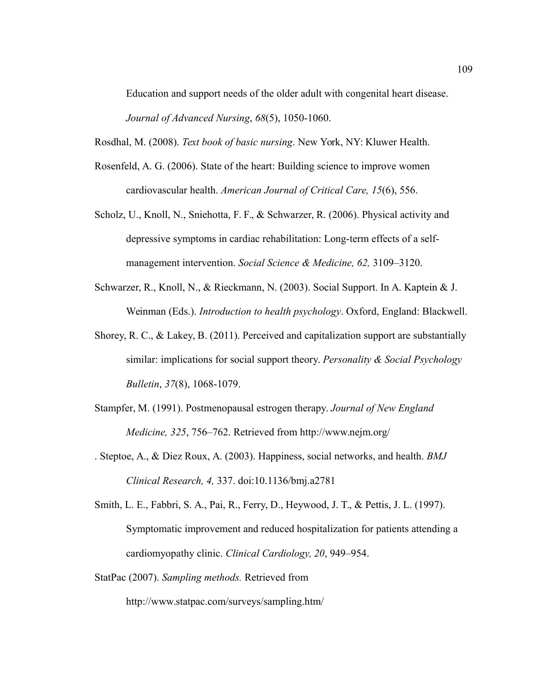Education and support needs of the older adult with congenital heart disease. *Journal of Advanced Nursing*, *68*(5), 1050-1060.

Rosdhal, M. (2008). *Text book of basic nursing*. New York, NY: Kluwer Health.

- Rosenfeld, A. G. (2006). State of the heart: Building science to improve women cardiovascular health. *American Journal of Critical Care, 15*(6), 556.
- Scholz, U., Knoll, N., Sniehotta, F. F., & Schwarzer, R. (2006). Physical activity and depressive symptoms in cardiac rehabilitation: Long-term effects of a selfmanagement intervention. *Social Science & Medicine, 62,* 3109–3120.
- Schwarzer, R., Knoll, N., & Rieckmann, N. (2003). Social Support. In A. Kaptein & J. Weinman (Eds.). *Introduction to health psychology*. Oxford, England: Blackwell.
- Shorey, R. C., & Lakey, B. (2011). Perceived and capitalization support are substantially similar: implications for social support theory. *Personality & Social Psychology Bulletin*, *37*(8), 1068-1079.
- Stampfer, M. (1991). Postmenopausal estrogen therapy. *Journal of New England Medicine, 325*, 756–762. Retrieved from http://www.nejm.org/
- . Steptoe, A., & Diez Roux, A. (2003). Happiness, social networks, and health. *BMJ Clinical Research, 4,* 337. doi:10.1136/bmj.a2781
- Smith, L. E., Fabbri, S. A., Pai, R., Ferry, D., Heywood, J. T., & Pettis, J. L. (1997). Symptomatic improvement and reduced hospitalization for patients attending a cardiomyopathy clinic. *Clinical Cardiology, 20*, 949–954.
- StatPac (2007). *Sampling methods.* Retrieved from

http://www.statpac.com/surveys/sampling.htm/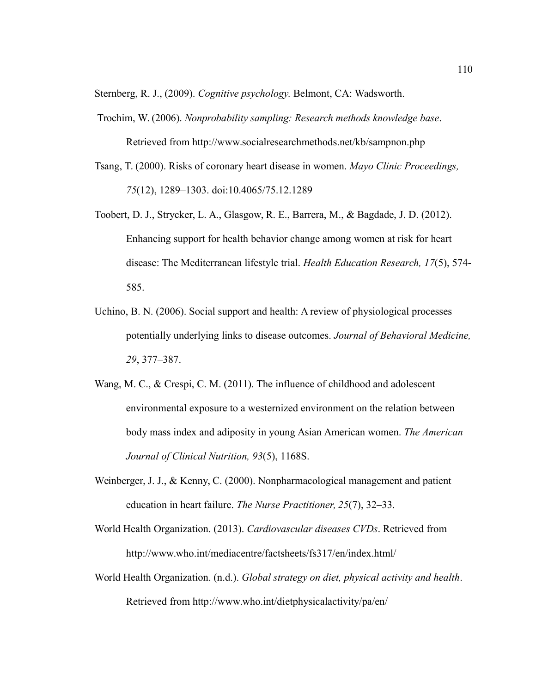Sternberg, R. J., (2009). *Cognitive psychology.* Belmont, CA: Wadsworth.

- Trochim, W. (2006). *Nonprobability sampling: Research methods knowledge base*. Retrieved from http://www.socialresearchmethods.net/kb/sampnon.php
- Tsang, T. (2000). Risks of coronary heart disease in women. *Mayo Clinic Proceedings, 75*(12), 1289–1303. doi:10.4065/75.12.1289
- Toobert, D. J., Strycker, L. A., Glasgow, R. E., Barrera, M., & Bagdade, J. D. (2012). Enhancing support for health behavior change among women at risk for heart disease: The Mediterranean lifestyle trial. *Health Education Research, 17*(5), 574- 585.
- Uchino, B. N. (2006). Social support and health: A review of physiological processes potentially underlying links to disease outcomes. *Journal of Behavioral Medicine, 29*, 377–387.
- Wang, M. C., & Crespi, C. M. (2011). The influence of childhood and adolescent environmental exposure to a westernized environment on the relation between body mass index and adiposity in young Asian American women. *The American Journal of Clinical Nutrition, 93*(5), 1168S.
- Weinberger, J. J., & Kenny, C. (2000). Nonpharmacological management and patient education in heart failure. *The Nurse Practitioner, 25*(7), 32–33.
- World Health Organization. (2013). *Cardiovascular diseases CVDs*. Retrieved from http://www.who.int/mediacentre/factsheets/fs317/en/index.html/
- World Health Organization. (n.d.). *Global strategy on diet, physical activity and health*. Retrieved from http://www.who.int/dietphysicalactivity/pa/en/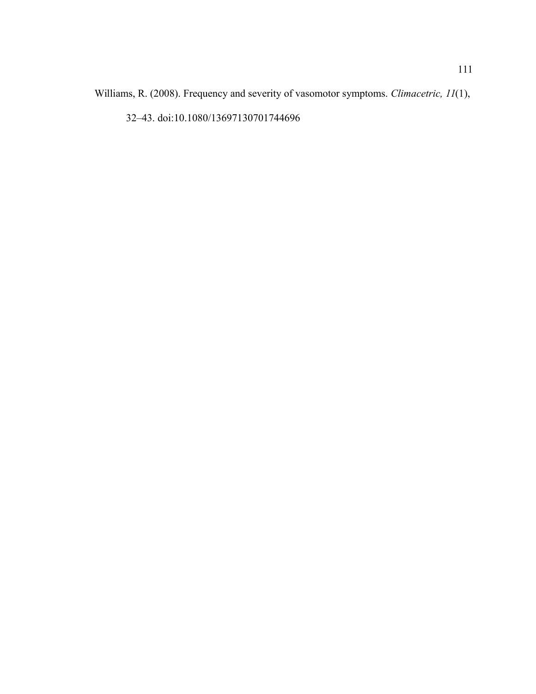Williams, R. (2008). Frequency and severity of vasomotor symptoms. *Climacetric, 11*(1),

32–43. doi:10.1080/13697130701744696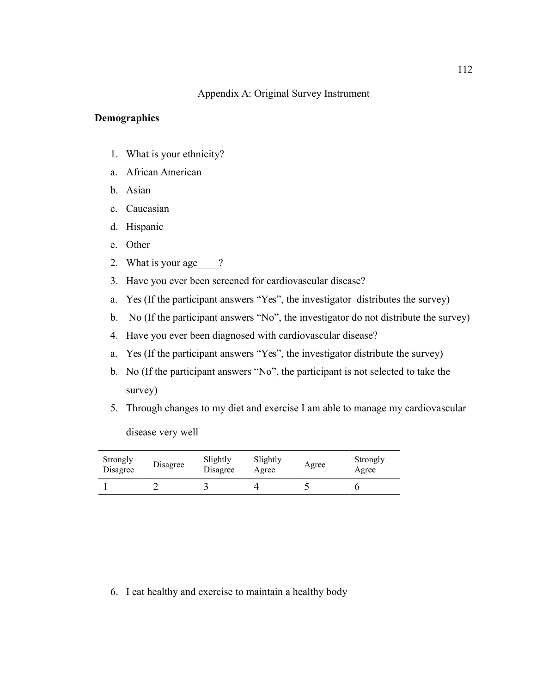## Appendix A: Original Survey Instrument

### **Demographics**

- 1. What is your ethnicity?
- a. African American
- b. Asian
- c. Caucasian
- d. Hispanic
- e. Other
- 2. What is your age ?
- 3. Have you ever been screened for cardiovascular disease?
- a. Yes (If the participant answers "Yes", the investigator distributes the survey)
- b. No (If the participant answers "No", the investigator do not distribute the survey)
- 4. Have you ever been diagnosed with cardiovascular disease?
- a. Yes (If the participant answers "Yes", the investigator distribute the survey)
- b. No (If the participant answers "No", the participant is not selected to take the survey)
- 5. Through changes to my diet and exercise I am able to manage my cardiovascular

disease very well

| Strongly<br>Disagree | Disagree | Slightly<br>Disagree | Slightly<br>Agree | Agree | Strongly<br>Agree |
|----------------------|----------|----------------------|-------------------|-------|-------------------|
|                      |          |                      |                   |       |                   |

6. I eat healthy and exercise to maintain a healthy body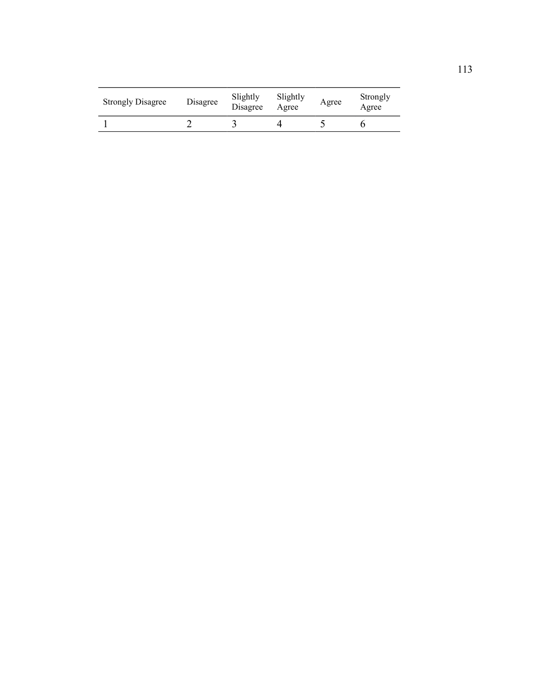| <b>Strongly Disagree</b> | Disagree | Slightly<br>Disagree | Slightly<br>Agree | Agree | Strongly<br>Agree |
|--------------------------|----------|----------------------|-------------------|-------|-------------------|
|                          |          |                      |                   |       |                   |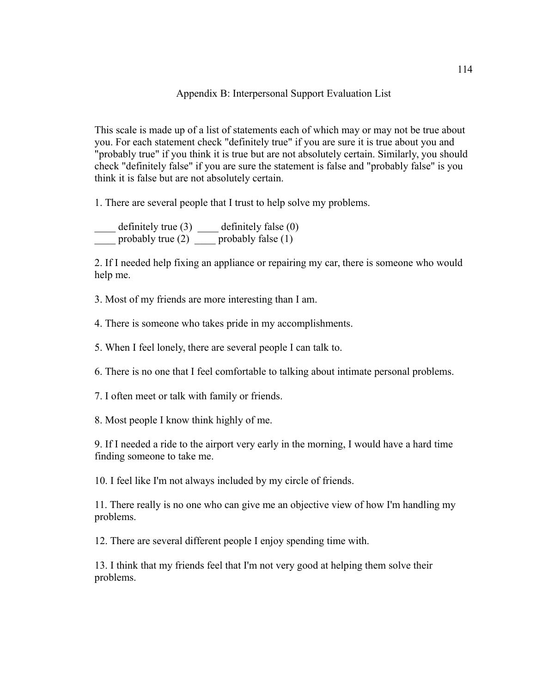### Appendix B: Interpersonal Support Evaluation List

This scale is made up of a list of statements each of which may or may not be true about you. For each statement check "definitely true" if you are sure it is true about you and "probably true" if you think it is true but are not absolutely certain. Similarly, you should check "definitely false" if you are sure the statement is false and "probably false" is you think it is false but are not absolutely certain.

1. There are several people that I trust to help solve my problems.

 $\frac{1}{\sqrt{1-\frac{1}{\sqrt{1-\frac{1}{\sqrt{1-\frac{1}{\sqrt{1-\frac{1}{\sqrt{1-\frac{1}{\sqrt{1-\frac{1}{\sqrt{1-\frac{1}{\sqrt{1-\frac{1}{\sqrt{1-\frac{1}{\sqrt{1-\frac{1}{\sqrt{1-\frac{1}{\sqrt{1-\frac{1}{\sqrt{1-\frac{1}{\sqrt{1-\frac{1}{\sqrt{1-\frac{1}{\sqrt{1-\frac{1}{\sqrt{1-\frac{1}{\sqrt{1-\frac{1}{\sqrt{1-\frac{1}{\sqrt{1-\frac{1}{\sqrt{1-\frac{1}{\sqrt{1-\frac{1}{\sqrt{1-\frac{1}{\sqrt{1-\frac{1$ probably true  $(2)$  probably false  $(1)$ 

2. If I needed help fixing an appliance or repairing my car, there is someone who would help me.

3. Most of my friends are more interesting than I am.

4. There is someone who takes pride in my accomplishments.

5. When I feel lonely, there are several people I can talk to.

6. There is no one that I feel comfortable to talking about intimate personal problems.

7. I often meet or talk with family or friends.

8. Most people I know think highly of me.

9. If I needed a ride to the airport very early in the morning, I would have a hard time finding someone to take me.

10. I feel like I'm not always included by my circle of friends.

11. There really is no one who can give me an objective view of how I'm handling my problems.

12. There are several different people I enjoy spending time with.

13. I think that my friends feel that I'm not very good at helping them solve their problems.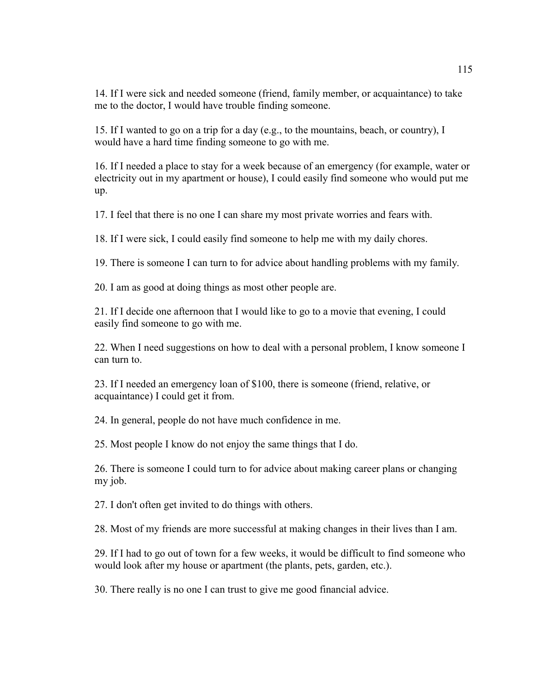14. If I were sick and needed someone (friend, family member, or acquaintance) to take me to the doctor, I would have trouble finding someone.

15. If I wanted to go on a trip for a day (e.g., to the mountains, beach, or country), I would have a hard time finding someone to go with me.

16. If I needed a place to stay for a week because of an emergency (for example, water or electricity out in my apartment or house), I could easily find someone who would put me up.

17. I feel that there is no one I can share my most private worries and fears with.

18. If I were sick, I could easily find someone to help me with my daily chores.

19. There is someone I can turn to for advice about handling problems with my family.

20. I am as good at doing things as most other people are.

21. If I decide one afternoon that I would like to go to a movie that evening, I could easily find someone to go with me.

22. When I need suggestions on how to deal with a personal problem, I know someone I can turn to.

23. If I needed an emergency loan of \$100, there is someone (friend, relative, or acquaintance) I could get it from.

24. In general, people do not have much confidence in me.

25. Most people I know do not enjoy the same things that I do.

26. There is someone I could turn to for advice about making career plans or changing my job.

27. I don't often get invited to do things with others.

28. Most of my friends are more successful at making changes in their lives than I am.

29. If I had to go out of town for a few weeks, it would be difficult to find someone who would look after my house or apartment (the plants, pets, garden, etc.).

30. There really is no one I can trust to give me good financial advice.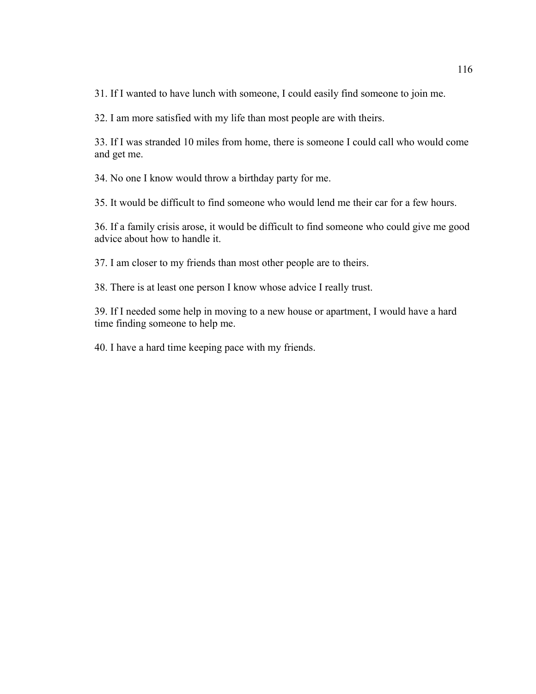31. If I wanted to have lunch with someone, I could easily find someone to join me.

32. I am more satisfied with my life than most people are with theirs.

33. If I was stranded 10 miles from home, there is someone I could call who would come and get me.

34. No one I know would throw a birthday party for me.

35. It would be difficult to find someone who would lend me their car for a few hours.

36. If a family crisis arose, it would be difficult to find someone who could give me good advice about how to handle it.

37. I am closer to my friends than most other people are to theirs.

38. There is at least one person I know whose advice I really trust.

39. If I needed some help in moving to a new house or apartment, I would have a hard time finding someone to help me.

40. I have a hard time keeping pace with my friends.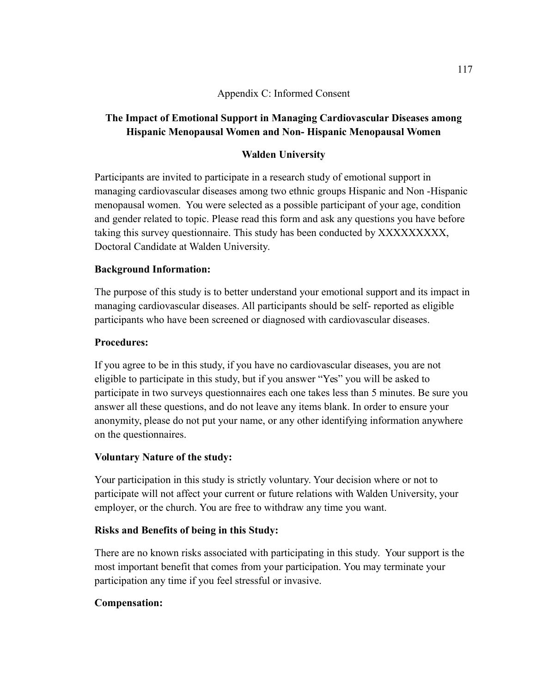# Appendix C: Informed Consent

# **The Impact of Emotional Support in Managing Cardiovascular Diseases among Hispanic Menopausal Women and Non- Hispanic Menopausal Women**

# **Walden University**

Participants are invited to participate in a research study of emotional support in managing cardiovascular diseases among two ethnic groups Hispanic and Non -Hispanic menopausal women. You were selected as a possible participant of your age, condition and gender related to topic. Please read this form and ask any questions you have before taking this survey questionnaire. This study has been conducted by XXXXXXXXX, Doctoral Candidate at Walden University.

# **Background Information:**

The purpose of this study is to better understand your emotional support and its impact in managing cardiovascular diseases. All participants should be self- reported as eligible participants who have been screened or diagnosed with cardiovascular diseases.

# **Procedures:**

If you agree to be in this study, if you have no cardiovascular diseases, you are not eligible to participate in this study, but if you answer "Yes" you will be asked to participate in two surveys questionnaires each one takes less than 5 minutes. Be sure you answer all these questions, and do not leave any items blank. In order to ensure your anonymity, please do not put your name, or any other identifying information anywhere on the questionnaires.

# **Voluntary Nature of the study:**

Your participation in this study is strictly voluntary. Your decision where or not to participate will not affect your current or future relations with Walden University, your employer, or the church. You are free to withdraw any time you want.

# **Risks and Benefits of being in this Study:**

There are no known risks associated with participating in this study. Your support is the most important benefit that comes from your participation. You may terminate your participation any time if you feel stressful or invasive.

## **Compensation:**